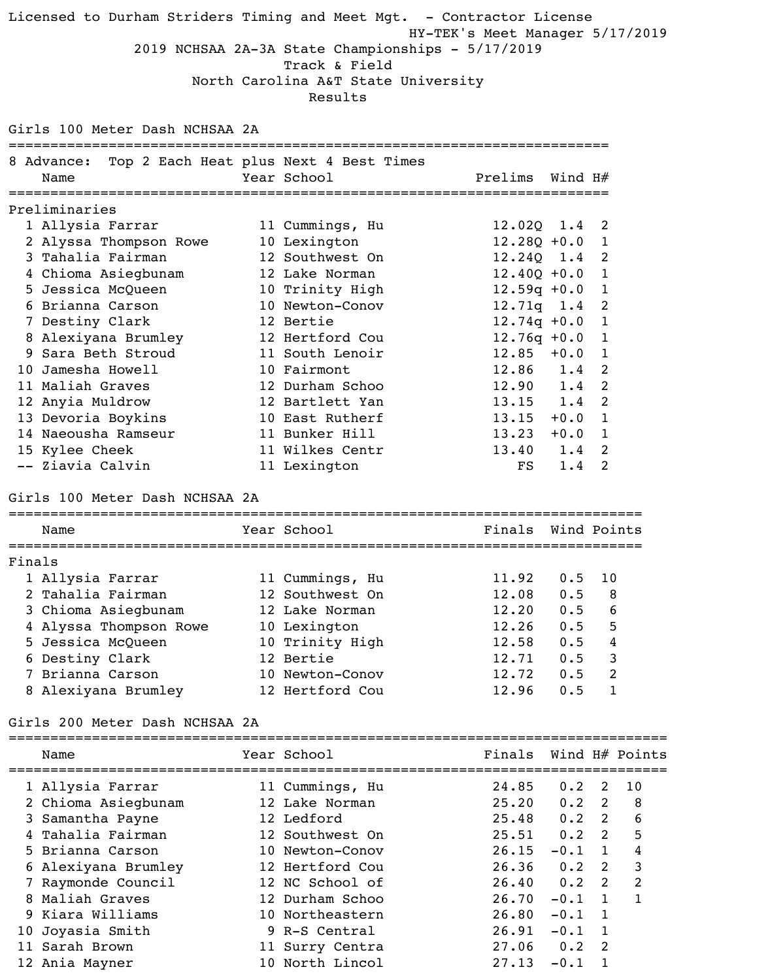Licensed to Durham Striders Timing and Meet Mgt. - Contractor License HY-TEK's Meet Manager 5/17/2019 2019 NCHSAA 2A-3A State Championships - 5/17/2019 Track & Field North Carolina A&T State University Results Girls 100 Meter Dash NCHSAA 2A ======================================================================== 8 Advance: Top 2 Each Heat plus Next 4 Best Times Name The Year School Team Prelims Wind H# ======================================================================== Preliminaries 1 Allysia Farrar 11 Cummings, Hu 12.02Q 1.4 2 2 Alyssa Thompson Rowe 10 Lexington 12.280 +0.0 1 3 Tahalia Fairman 12 Southwest On 12.24Q 1.4 2 4 Chioma Asiegbunam 12 Lake Norman 12.40Q +0.0 1 5 Jessica McQueen 10 Trinity High 12.59q +0.0 1 6 Brianna Carson 10 Newton-Conov 12.71q 1.4 2 7 Destiny Clark 12 Bertie 12.74q +0.0 1 8 Alexiyana Brumley 12 Hertford Cou 12.76q +0.0 1 9 Sara Beth Stroud 11 South Lenoir 12.85 +0.0 1 10 Jamesha Howell 10 Fairmont 12.86 1.4 2 11 Maliah Graves 12 Durham Schoo 12.90 1.4 2 12 Anyia Muldrow 12 Bartlett Yan 13.15 1.4 2 13 Devoria Boykins 10 East Rutherf 13.15 +0.0 1 14 Naeousha Ramseur 11 Bunker Hill 13.23 +0.0 1 15 Kylee Cheek 11 Wilkes Centr 13.40 1.4 2 -- Ziavia Calvin 11 Lexington FS 1.4 2 Girls 100 Meter Dash NCHSAA 2A ============================================================================ Name Year School Finals Wind Points ============================================================================ Finals 1 Allysia Farrar 11 Cummings, Hu 11.92 0.5 10 2 Tahalia Fairman 12 Southwest On 12.08 0.5 8 3 Chioma Asiegbunam 12 Lake Norman 12.20 0.5 6 4 Alyssa Thompson Rowe 10 Lexington 12.26 0.5 5 5 Jessica McQueen 10 Trinity High 12.58 0.5 4 6 Destiny Clark 12 Bertie 12.71 0.5 3 7 Brianna Carson 10 Newton-Conov 12.72 0.5 2 8 Alexiyana Brumley 12 Hertford Cou 12.96 0.5 1 Girls 200 Meter Dash NCHSAA 2A =============================================================================== Name Tear School Finals Wind H# Points =============================================================================== 1 Allysia Farrar 11 Cummings, Hu 24.85 0.2 2 10 2 Chioma Asiegbunam 12 Lake Norman 25.20 0.2 2 8 3 Samantha Payne 12 Ledford 25.48 0.2 2 6 4 Tahalia Fairman 12 Southwest On 25.51 0.2 2 5 5 Brianna Carson 10 Newton-Conov 26.15 -0.1 1 4 6 Alexiyana Brumley 12 Hertford Cou 26.36 0.2 2 3 7 Raymonde Council 12 NC School of 26.40 0.2 2 2 8 Maliah Graves 12 Durham Schoo 26.70 -0.1 1 1 9 Kiara Williams 10 Northeastern 26.80 -0.1 1 10 Joyasia Smith 9 R-S Central 26.91 -0.1 1

 11 Sarah Brown 11 Surry Centra 27.06 0.2 2 12 Ania Mayner 10 North Lincol 27.13 -0.1 1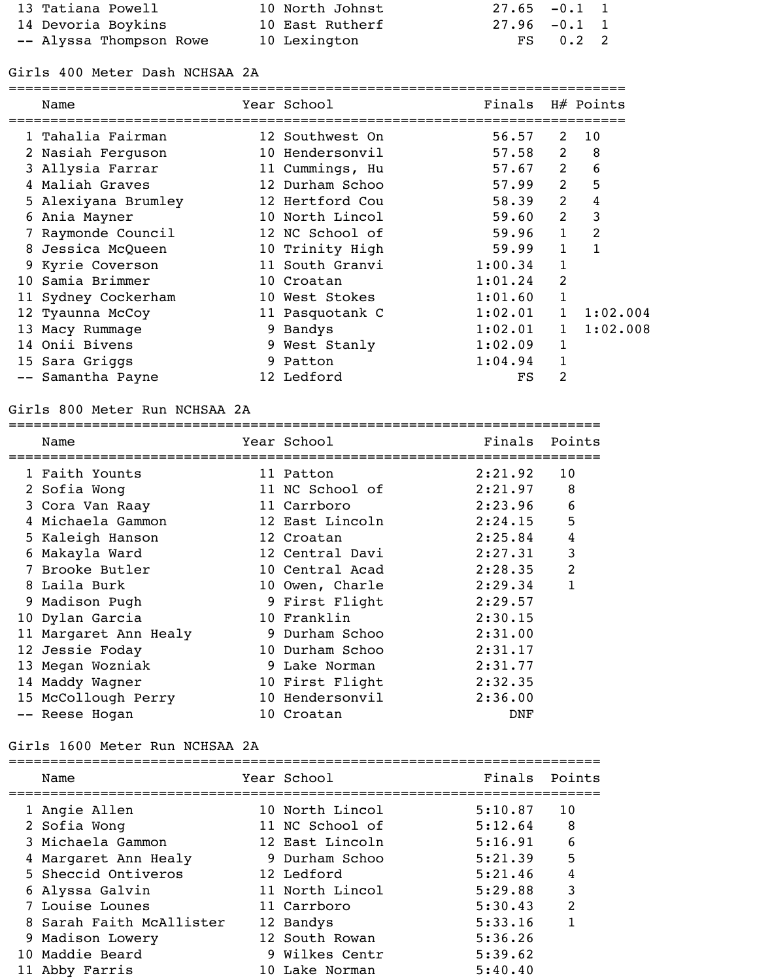| 13 Tatiana Powell       | 10 North Johnst | $27.65 - 0.1$ 1  |            |  |
|-------------------------|-----------------|------------------|------------|--|
| 14 Devoria Boykins      | 10 East Rutherf | $27.96$ $-0.1$ 1 |            |  |
| -- Alyssa Thompson Rowe | 10 Lexington    |                  | $FS$ 0.2 2 |  |

## Girls 400 Meter Dash NCHSAA 2A

| Name                | Year School     | Finals  |                | $H#$ Points  |
|---------------------|-----------------|---------|----------------|--------------|
| 1 Tahalia Fairman   | 12 Southwest On | 56.57   | 2              | 10           |
| 2 Nasiah Ferguson   | 10 Hendersonvil | 57.58   | $\overline{2}$ | 8            |
| 3 Allysia Farrar    | 11 Cummings, Hu | 57.67   | $\overline{2}$ | 6            |
| 4 Maliah Graves     | 12 Durham Schoo | 57.99   | $\overline{2}$ | 5            |
| 5 Alexiyana Brumley | 12 Hertford Cou | 58.39   | 2              | 4            |
| 6 Ania Mayner       | 10 North Lincol | 59.60   | 2              | 3            |
| Raymonde Council    | 12 NC School of | 59.96   | 1              | 2            |
| 8 Jessica McQueen   | 10 Trinity High | 59.99   | 1              | $\mathbf{1}$ |
| 9 Kyrie Coverson    | 11 South Granvi | 1:00.34 | 1              |              |
| 10 Samia Brimmer    | 10 Croatan      | 1:01.24 | 2              |              |
| 11 Sydney Cockerham | 10 West Stokes  | 1:01.60 | 1              |              |
| 12 Tyaunna McCoy    | 11 Pasquotank C | 1:02.01 |                | 1:02.004     |
| 13 Macy Rummage     | 9 Bandys        | 1:02.01 | $\mathbf{1}$   | 1:02.008     |
| 14 Onii Bivens      | 9 West Stanly   | 1:02.09 | 1              |              |
| 15 Sara Griggs      | 9 Patton        | 1:04.94 |                |              |
| -- Samantha Payne   | 12 Ledford      | FS      | 2              |              |

## Girls 800 Meter Run NCHSAA 2A

|   | Name                  | Year School     | Finals  | Points         |
|---|-----------------------|-----------------|---------|----------------|
|   | 1 Faith Younts        | 11 Patton       | 2:21.92 | 10             |
|   | 2 Sofia Wong          | 11 NC School of | 2:21.97 | 8              |
|   | 3 Cora Van Raay       | 11 Carrboro     | 2:23.96 | 6              |
| 4 | Michaela Gammon       | 12 East Lincoln | 2:24.15 | 5              |
|   | 5 Kaleigh Hanson      | 12 Croatan      | 2:25.84 | 4              |
| 6 | Makayla Ward          | 12 Central Davi | 2:27.31 | 3              |
|   | Brooke Butler         | 10 Central Acad | 2:28.35 | $\overline{2}$ |
| 8 | Laila Burk            | 10 Owen, Charle | 2:29.34 |                |
|   | 9 Madison Pugh        | 9 First Flight  | 2:29.57 |                |
|   | 10 Dylan Garcia       | 10 Franklin     | 2:30.15 |                |
|   | 11 Margaret Ann Healy | 9 Durham Schoo  | 2:31.00 |                |
|   | 12 Jessie Foday       | 10 Durham Schoo | 2:31.17 |                |
|   | 13 Megan Wozniak      | 9 Lake Norman   | 2:31.77 |                |
|   | 14 Maddy Wagner       | 10 First Flight | 2:32.35 |                |
|   | 15 McCollough Perry   | 10 Hendersonvil | 2:36.00 |                |
|   | -- Reese Hogan        | 10 Croatan      | DNF     |                |

## Girls 1600 Meter Run NCHSAA 2A

|  | Name                     | Year School     | Finals Points |     |
|--|--------------------------|-----------------|---------------|-----|
|  | 1 Angie Allen            | 10 North Lincol | 5:10.87       | 10  |
|  | 2 Sofia Wong             | 11 NC School of | 5:12.64       | - 8 |
|  | 3 Michaela Gammon        | 12 East Lincoln | 5:16.91       | 6   |
|  | 4 Margaret Ann Healy     | 9 Durham Schoo  | 5:21.39       | 5   |
|  | 5 Sheccid Ontiveros      | 12 Ledford      | 5:21.46       | 4   |
|  | 6 Alyssa Galvin          | 11 North Lincol | 5:29.88       | 3   |
|  | 7 Louise Lounes          | 11 Carrboro     | 5:30.43       | 2   |
|  | 8 Sarah Faith McAllister | 12 Bandys       | 5:33.16       |     |
|  | 9 Madison Lowery         | 12 South Rowan  | 5:36.26       |     |
|  | 10 Maddie Beard          | 9 Wilkes Centr  | 5:39.62       |     |
|  | 11 Abby Farris           | 10 Lake Norman  | 5:40.40       |     |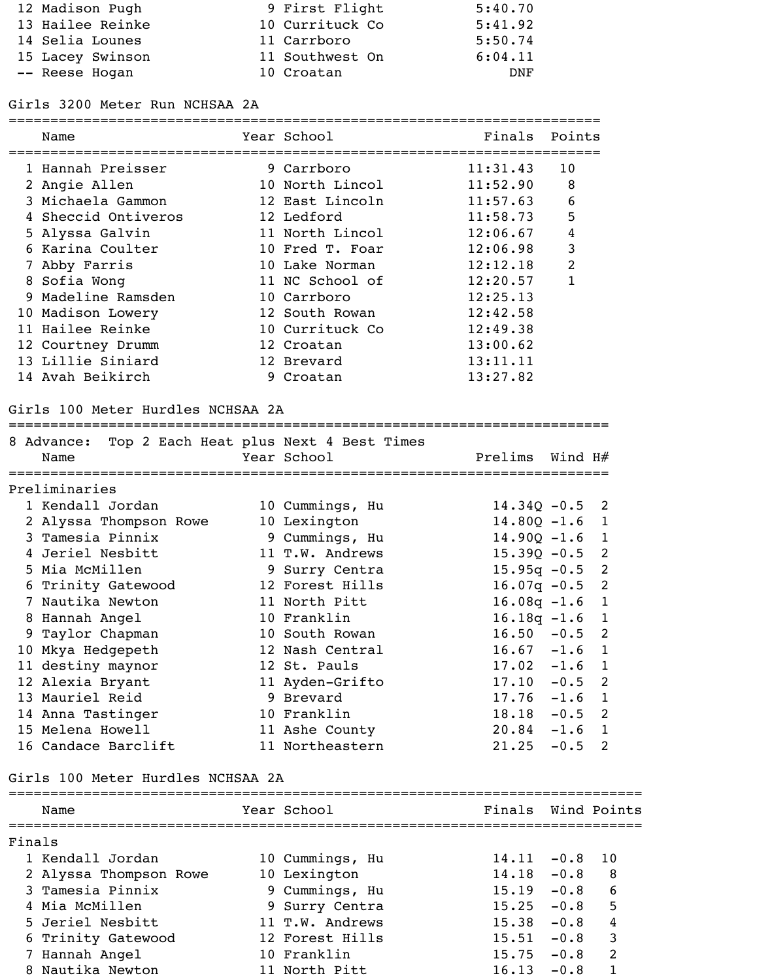| 12 Madison Pugh  | 9 First Flight  | 5:40.70 |
|------------------|-----------------|---------|
| 13 Hailee Reinke | 10 Currituck Co | 5:41.92 |
| 14 Selia Lounes  | 11 Carrboro     | 5:50.74 |
| 15 Lacey Swinson | 11 Southwest On | 6:04.11 |
| -- Reese Hogan   | 10 Croatan      | DNF     |

# Girls 3200 Meter Run NCHSAA 2A

| Name                                                      | Year School     | Finals           | Points           |                     |
|-----------------------------------------------------------|-----------------|------------------|------------------|---------------------|
| 1 Hannah Preisser                                         | 9 Carrboro      | 11:31.43         | 10               |                     |
| 2 Angie Allen                                             | 10 North Lincol | 11:52.90         | 8                |                     |
| 3 Michaela Gammon                                         | 12 East Lincoln | 11:57.63         | 6                |                     |
| 4 Sheccid Ontiveros                                       | 12 Ledford      | 11:58.73         | 5                |                     |
| 5 Alyssa Galvin                                           | 11 North Lincol | 12:06.67         | $\overline{4}$   |                     |
| 6 Karina Coulter                                          | 10 Fred T. Foar | 12:06.98         | $\mathsf{3}$     |                     |
| 7 Abby Farris                                             | 10 Lake Norman  | 12:12.18         | $\overline{2}$   |                     |
| 8 Sofia Wong                                              | 11 NC School of | 12:20.57         | 1                |                     |
| 9 Madeline Ramsden                                        | 10 Carrboro     | 12:25.13         |                  |                     |
| 10 Madison Lowery                                         | 12 South Rowan  | 12:42.58         |                  |                     |
| 11 Hailee Reinke                                          | 10 Currituck Co | 12:49.38         |                  |                     |
| 12 Courtney Drumm                                         | 12 Croatan      | 13:00.62         |                  |                     |
| 13 Lillie Siniard                                         | 12 Brevard      | 13:11.11         |                  |                     |
| 14 Avah Beikirch                                          | 9 Croatan       | 13:27.82         |                  |                     |
| 8 Advance: Top 2 Each Heat plus Next 4 Best Times<br>Name | Year School     | Prelims          | Wind $H#$        |                     |
| Preliminaries                                             |                 |                  |                  |                     |
| 1 Kendall Jordan                                          | 10 Cummings, Hu | $14.34Q - 0.5$ 2 |                  |                     |
| 2 Alyssa Thompson Rowe                                    | 10 Lexington    | $14.80Q - 1.6$ 1 |                  |                     |
| 3 Tamesia Pinnix                                          | 9 Cummings, Hu  | $14.90Q - 1.6$ 1 |                  |                     |
| 4 Jeriel Nesbitt                                          | 11 T.W. Andrews | $15.39Q - 0.5$ 2 |                  |                     |
| 5 Mia McMillen                                            | 9 Surry Centra  | $15.95q - 0.5$ 2 |                  |                     |
| 6 Trinity Gatewood                                        | 12 Forest Hills | $16.07q - 0.5$   |                  | $\overline{2}$      |
| 7 Nautika Newton                                          | 11 North Pitt   | $16.08q - 1.6$   |                  | $\mathbf 1$         |
| 8 Hannah Angel                                            | 10 Franklin     | $16.18q - 1.6$   |                  | $\mathbf 1$         |
| 9 Taylor Chapman                                          | 10 South Rowan  | 16.50            | $-0.5$           | 2                   |
| 10 Mkya Hedgepeth                                         | 12 Nash Central | 16.67            | $-1.6$           | $\mathbf 1$         |
| 11 destiny maynor                                         | 12 St. Pauls    | $17.02 -1.6$     |                  | $\mathbf 1$         |
| 12 Alexia Bryant                                          | 11 Ayden-Grifto | 17.10            | $-0.5$           | 2                   |
| 13 Mauriel Reid                                           | 9 Brevard       | $17.76 - 1.6$    |                  | $\mathbf 1$         |
| 14 Anna Tastinger                                         | 10 Franklin     | 18.18            | $-0.5$           | 2                   |
| 15 Melena Howell                                          | 11 Ashe County  |                  |                  |                     |
| 16 Candace Barclift                                       | 11 Northeastern | 20.84<br>21.25   | $-1.6$<br>$-0.5$ | $\overline{1}$<br>2 |

# Girls 100 Meter Hurdles NCHSAA 2A

| Finals Wind Points |                                                                                           |
|--------------------|-------------------------------------------------------------------------------------------|
|                    |                                                                                           |
|                    |                                                                                           |
| $14.11 - 0.8$      | -10                                                                                       |
| 14.18<br>$-0.8$    | 8                                                                                         |
| 15.19<br>$-0.8$    | 6                                                                                         |
|                    | 5                                                                                         |
|                    | $\overline{4}$                                                                            |
|                    | 3                                                                                         |
|                    | 2                                                                                         |
|                    |                                                                                           |
|                    | 15.25<br>$-0.8$<br>$15.38 - 0.8$<br>15.51<br>$-0.8$<br>15.75<br>$-0.8$<br>16.13<br>$-0.8$ |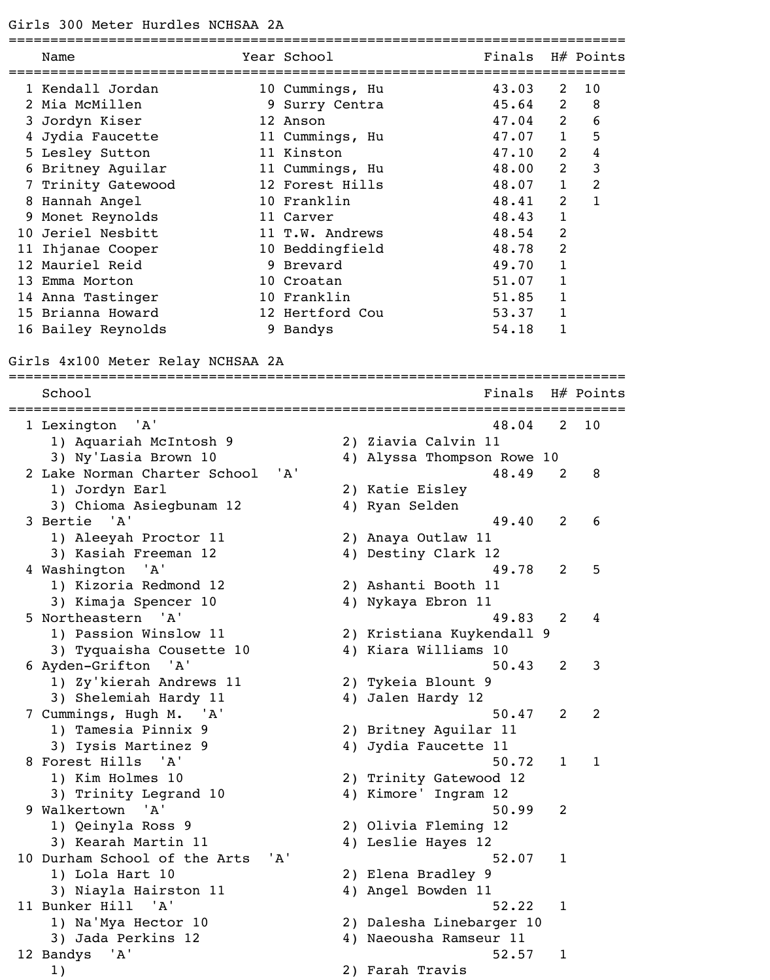### Girls 300 Meter Hurdles NCHSAA 2A

|     | Name               | Year School     | Finals |                | $H#$ Points |
|-----|--------------------|-----------------|--------|----------------|-------------|
|     | 1 Kendall Jordan   | 10 Cummings, Hu | 43.03  | 2              | 10          |
|     | Mia McMillen       | 9 Surry Centra  | 45.64  | 2              | 8           |
| 3   | Jordyn Kiser       | 12 Anson        | 47.04  | 2              | 6           |
|     | 4 Jydia Faucette   | 11 Cummings, Hu | 47.07  |                | 5           |
|     | 5 Lesley Sutton    | 11 Kinston      | 47.10  | 2              | 4           |
| 6   | Britney Aguilar    | 11 Cummings, Hu | 48.00  | 2              | 3           |
|     | Trinity Gatewood   | 12 Forest Hills | 48.07  | 1              | 2           |
| 8   | Hannah Angel       | 10 Franklin     | 48.41  | 2              |             |
| 9   | Monet Reynolds     | 11 Carver       | 48.43  | $\mathbf{1}$   |             |
| 10. | Jeriel Nesbitt     | 11 T.W. Andrews | 48.54  | 2              |             |
|     | 11 Ihjanae Cooper  | 10 Beddingfield | 48.78  | $\overline{2}$ |             |
|     | 12 Mauriel Reid    | 9 Brevard       | 49.70  |                |             |
| 13  | Emma Morton        | 10 Croatan      | 51.07  |                |             |
|     | 14 Anna Tastinger  | 10 Franklin     | 51.85  |                |             |
|     | 15 Brianna Howard  | 12 Hertford Cou | 53.37  |                |             |
|     | 16 Bailey Reynolds | 9 Bandys        | 54.18  |                |             |

#### Girls 4x100 Meter Relay NCHSAA 2A

========================================================================== School Finals H# Points ========================================================================== 1 Lexington 'A' 48.04 2 10 1) Aquariah McIntosh 9 2) Ziavia Calvin 11 3) Ny'Lasia Brown 10 4) Alyssa Thompson Rowe 10 2 Lake Norman Charter School 'A' 48.49 2 8 1) Jordyn Earl 2) Katie Eisley 3) Chioma Asiegbunam 12 4) Ryan Selden 3 Bertie 'A' 49.40 2 6 1) Aleeyah Proctor 11 2) Anaya Outlaw 11 3) Kasiah Freeman 12 4) Destiny Clark 12 4 Washington 'A' 19.78 2 5 1) Kizoria Redmond 12 2) Ashanti Booth 11 3) Kimaja Spencer 10 4) Nykaya Ebron 11 5 Northeastern 'A' 49.83 2 4 1) Passion Winslow 11 2) Kristiana Kuykendall 9 3) Tyquaisha Cousette 10 4) Kiara Williams 10 6 Ayden-Grifton 'A' 50.43 2 3 1) Zy'kierah Andrews 11 2) Tykeia Blount 9 3) Shelemiah Hardy 11 4) Jalen Hardy 12 7 Cummings, Hugh M. 'A' 50.47 2 2 1) Tamesia Pinnix 9 2) Britney Aguilar 11 3) Iysis Martinez 9 4) Jydia Faucette 11 8 Forest Hills 'A' 50.72 1 1 1) Kim Holmes 10 2) Trinity Gatewood 12 3) Trinity Legrand 10 4) Kimore' Ingram 12 9 Walkertown 'A' 50.99 2 1) Qeinyla Ross 9 2) Olivia Fleming 12 3) Kearah Martin 11 4) Leslie Hayes 12 10 Durham School of the Arts 'A' 52.07 1 1) Lola Hart 10 2) Elena Bradley 9 3) Niayla Hairston 11 4) Angel Bowden 11 11 Bunker Hill 'A' 52.22 1 1) Na'Mya Hector 10 2) Dalesha Linebarger 10 3) Jada Perkins 12 4) Naeousha Ramseur 11 12 Bandys 'A' 52.57 1 1) 2) Farah Travis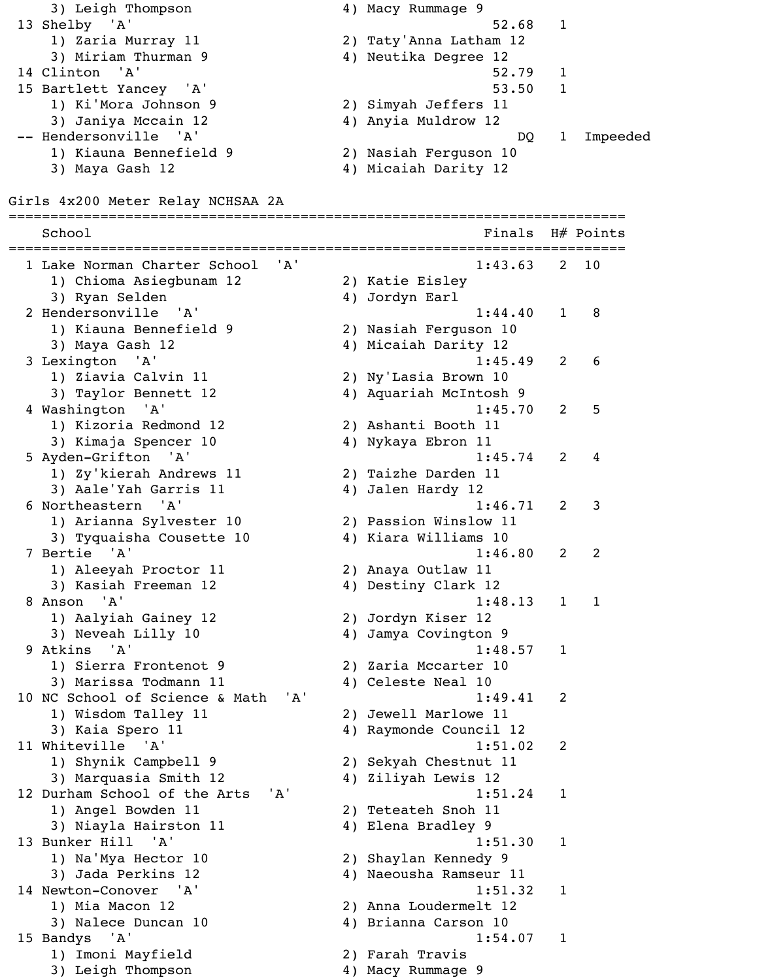13 Shelby 'A' 52.68 1 1) Zaria Murray 11 2) Taty'Anna Latham 12 3) Miriam Thurman 9 1 4) Neutika Degree 12 14 Clinton 'A' 52.79 1 15 Bartlett Yancey 'A' 53.50 1 1) Ki'Mora Johnson 9 2) Simyah Jeffers 11 3) Janiya Mccain 12 4) Anyia Muldrow 12 -- Hendersonville 'A' based and the set of the DQ 1 Impeeded 1) Kiauna Bennefield 9 2) Nasiah Ferguson 10 3) Maya Gash 12 4) Micaiah Darity 12 Girls 4x200 Meter Relay NCHSAA 2A ========================================================================== School Finals H# Points ========================================================================== 1 Lake Norman Charter School 'A' 1:43.63 2 10 1) Chioma Asiegbunam 12 2) Katie Eisley 3) Ryan Selden 1988 (4) Jordyn Earl 2 Hendersonville 'A' 1:44.40 1 8 1) Kiauna Bennefield 9 2) Nasiah Ferguson 10 3) Maya Gash 12 4) Micaiah Darity 12 3 Lexington 'A' 1:45.49 2 6 1) Ziavia Calvin 11 2) Ny'Lasia Brown 10 3) Taylor Bennett 12 4) Aquariah McIntosh 9 4 Washington 'A' 1:45.70 2 5 1) Kizoria Redmond 12 2) Ashanti Booth 11 3) Kimaja Spencer 10  $\hspace{1cm}$  4) Nykaya Ebron 11 5 Ayden-Grifton 'A' 1:45.74 2 4 1) Zy'kierah Andrews 11 2) Taizhe Darden 11 3) Aale'Yah Garris 11  $\qquad \qquad \qquad$  4) Jalen Hardy 12 6 Northeastern 'A' 1:46.71 2 3 1) Arianna Sylvester 10 2) Passion Winslow 11 3) Tyquaisha Cousette 10 4) Kiara Williams 10 7 Bertie 'A' 1:46.80 2 2 1) Aleeyah Proctor 11 2) Anaya Outlaw 11 3) Kasiah Freeman 12 4) Destiny Clark 12 8 Anson 'A' 1:48.13 1 1 1) Aalyiah Gainey 12 2) Jordyn Kiser 12 3) Neveah Lilly 10 4) Jamya Covington 9 9 Atkins 'A' 1:48.57 1 1) Sierra Frontenot 9 2) Zaria Mccarter 10 3) Marissa Todmann 11  $\hskip10mm 4$ ) Celeste Neal 10 10 NC School of Science & Math 'A' 1:49.41 2 1) Wisdom Talley 11 2) Jewell Marlowe 11 3) Kaia Spero 11 12 4) Raymonde Council 12 11 Whiteville 'A' 1:51.02 2 1) Shynik Campbell 9 2) Sekyah Chestnut 11 3) Marquasia Smith 12 4) Ziliyah Lewis 12 12 Durham School of the Arts 'A' 1:51.24 1 1) Angel Bowden 11 2) Teteateh Snoh 11 3) Niayla Hairston 11 (4) Elena Bradley 9 13 Bunker Hill 'A' 1:51.30 1 1) Na'Mya Hector 10 2) Shaylan Kennedy 9 3) Jada Perkins 12 4) Naeousha Ramseur 11 14 Newton-Conover 'A' 1:51.32 1 1) Mia Macon 12 2) Anna Loudermelt 12 3) Nalece Duncan 10 4) Brianna Carson 10 15 Bandys 'A' 1:54.07 1 1) Imoni Mayfield 2) Farah Travis 3) Leigh Thompson 4) Macy Rummage 9

3) Leigh Thompson 4) Macy Rummage 9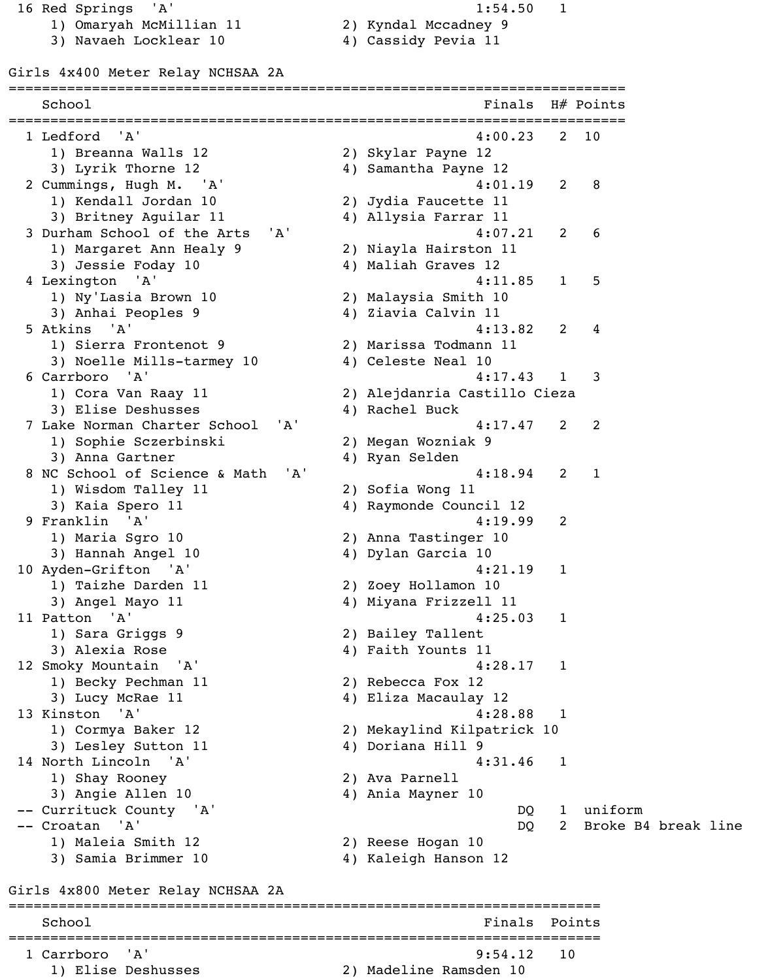16 Red Springs 'A' 1:54.50 1 1) Omaryah McMillian 11 2) Kyndal Mccadney 9

3) Navaeh Locklear 10  $\hskip1cm 4$ ) Cassidy Pevia 11

Girls 4x400 Meter Relay NCHSAA 2A ========================================================================== School Finals H# Points ========================================================================== 1 Ledford 'A' 4:00.23 2 10 1) Breanna Walls 12 2) Skylar Payne 12 3) Lyrik Thorne 12 4) Samantha Payne 12 2 Cummings, Hugh M. 'A' 4:01.19 2 8 1) Kendall Jordan 10 2) Jydia Faucette 11 3) Britney Aguilar 11 1 4) Allysia Farrar 11 3 Durham School of the Arts 'A' 4:07.21 2 6 1) Margaret Ann Healy 9 2) Niayla Hairston 11 3) Jessie Foday 10 4) Maliah Graves 12 4 Lexington 'A' 4:11.85 1 5 1) Ny'Lasia Brown 10 2) Malaysia Smith 10 3) Anhai Peoples 9 4) Ziavia Calvin 11 5 Atkins 'A' 4:13.82 2 4 1) Sierra Frontenot 9 2) Marissa Todmann 11 3) Noelle Mills-tarmey 10 4) Celeste Neal 10 6 Carrboro 'A' 4:17.43 1 3 1) Cora Van Raay 11 2) Alejdanria Castillo Cieza 3) Elise Deshusses (4) Rachel Buck 7 Lake Norman Charter School 'A' 4:17.47 2 2 1) Sophie Sczerbinski 2) Megan Wozniak 9 3) Anna Gartner 1988 and 4) Ryan Selden 8 NC School of Science & Math 'A' 4:18.94 2 1 1) Wisdom Talley 11 2) Sofia Wong 11 3) Kaia Spero 11 12 9 Franklin 'A' 4:19.99 2 1) Maria Sgro 10 2) Anna Tastinger 10 3) Hannah Angel 10 4) Dylan Garcia 10 10 Ayden-Grifton 'A' 4:21.19 1 1) Taizhe Darden 11 2) Zoey Hollamon 10 3) Angel Mayo 11 4) Miyana Frizzell 11 11 Patton 'A' 4:25.03 1 1) Sara Griggs 9 2) Bailey Tallent 3) Alexia Rose 4) Faith Younts 11 12 Smoky Mountain 'A' 4:28.17 1 1) Becky Pechman 11 2) Rebecca Fox 12 3) Lucy McRae 11 4) Eliza Macaulay 12 13 Kinston 'A' 4:28.88 1 1) Cormya Baker 12 2) Mekaylind Kilpatrick 10 3) Lesley Sutton 11 4) Doriana Hill 9 14 North Lincoln 'A' 4:31.46 1 1) Shay Rooney 2) Ava Parnell 3) Angie Allen 10 4) Ania Mayner 10 -- Currituck County 'A' and the set of the set of the DQ 1 uniform -- Croatan 'A' DQ 2 Broke B4 break line 1) Maleia Smith 12 2) Reese Hogan 10 3) Samia Brimmer 10 4) Kaleigh Hanson 12 Girls 4x800 Meter Relay NCHSAA 2A =======================================================================

School **Finals** Points **Points** ======================================================================= 1 Carrboro 'A' 9:54.12 10 1) Elise Deshusses 2) Madeline Ramsden 10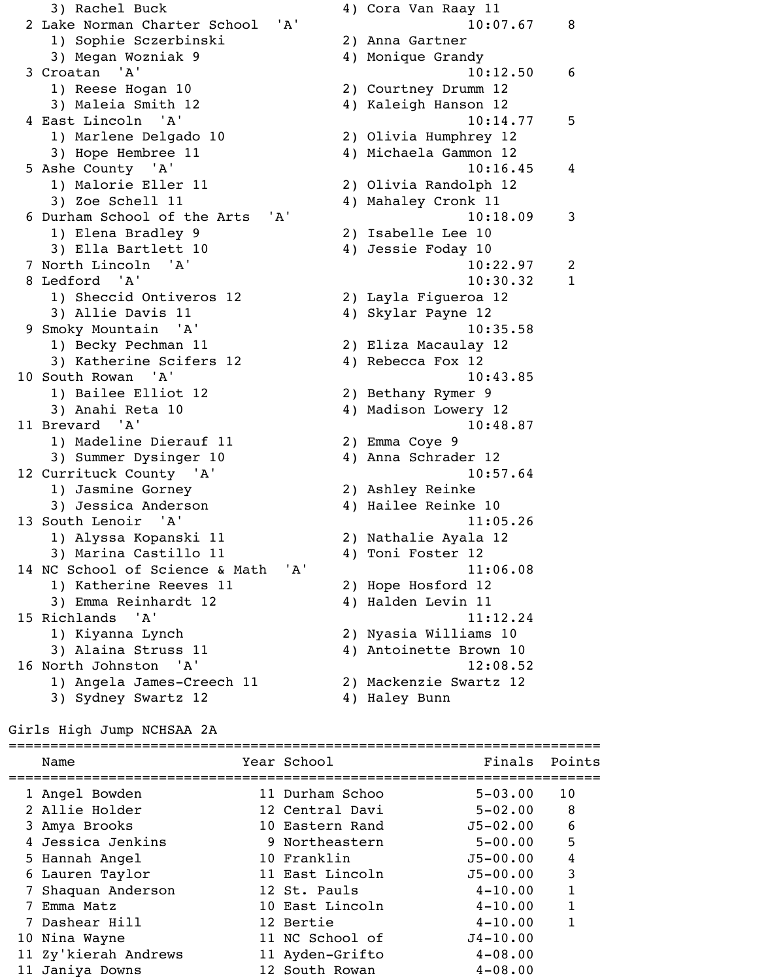3) Rachel Buck 4) Cora Van Raay 11 2 Lake Norman Charter School 'A' 10:07.67 8 1) Sophie Sczerbinski 2) Anna Gartner 3) Megan Wozniak 9 4) Monique Grandy 3 Croatan 'A' 10:12.50 6 1) Reese Hogan 10 2) Courtney Drumm 12 3) Maleia Smith 12 4) Kaleigh Hanson 12 4 East Lincoln 'A' 10:14.77 5 1) Marlene Delgado 10 2) Olivia Humphrey 12 3) Hope Hembree 11 4) Michaela Gammon 12 5 Ashe County 'A' 10:16.45 4 1) Malorie Eller 11 2) Olivia Randolph 12 3) Zoe Schell 11 4) Mahaley Cronk 11 6 Durham School of the Arts 'A' 10:18.09 3 1) Elena Bradley 9 2) Isabelle Lee 10 3) Ella Bartlett 10 (4) Jessie Foday 10 7 North Lincoln 'A' 10:22.97 2 8 Ledford 'A' 10:30.32 1 1) Sheccid Ontiveros 12 2) Layla Figueroa 12 3) Allie Davis 11 4) Skylar Payne 12 9 Smoky Mountain 'A' 10:35.58 1) Becky Pechman 11 2) Eliza Macaulay 12 3) Katherine Scifers 12 4) Rebecca Fox 12 10 South Rowan 'A' 10:43.85 1) Bailee Elliot 12 2) Bethany Rymer 9 3) Anahi Reta 10 4) Madison Lowery 12 11 Brevard 'A' 10:48.87 1) Madeline Dierauf 11 2) Emma Coye 9 3) Summer Dysinger 10 4) Anna Schrader 12 12 Currituck County 'A' 10:57.64 1) Jasmine Gorney 2) Ashley Reinke 3) Jessica Anderson (4) Hailee Reinke 10 13 South Lenoir 'A' 11:05.26 1) Alyssa Kopanski 11 2) Nathalie Ayala 12 3) Marina Castillo 11 4) Toni Foster 12 14 NC School of Science & Math 'A' 11:06.08 1) Katherine Reeves 11 2) Hope Hosford 12 3) Emma Reinhardt 12 (4) Halden Levin 11 15 Richlands 'A' 11:12.24 1) Kiyanna Lynch 2) Nyasia Williams 10 3) Alaina Struss 11 (4) Antoinette Brown 10 16 North Johnston 'A' 12:08.52 1) Angela James-Creech 11 2) Mackenzie Swartz 12

- 
- 3) Sydney Swartz 12 4) Haley Bunn

#### Girls High Jump NCHSAA 2A

| Name                 | Year School     | Finals       | Points       |
|----------------------|-----------------|--------------|--------------|
| 1 Angel Bowden       | 11 Durham Schoo | $5 - 03.00$  | 10           |
| 2 Allie Holder       | 12 Central Davi | $5 - 02.00$  | 8            |
| 3 Amya Brooks        | 10 Eastern Rand | $J5 - 02.00$ | 6            |
| 4 Jessica Jenkins    | 9 Northeastern  | $5 - 00.00$  | 5            |
| 5 Hannah Angel       | 10 Franklin     | $J5 - 00.00$ | 4            |
| 6 Lauren Taylor      | 11 East Lincoln | $J5 - 00.00$ | 3            |
| 7 Shaquan Anderson   | 12 St. Pauls    | $4 - 10.00$  | $\mathbf{1}$ |
| Emma Matz            | 10 East Lincoln | $4 - 10.00$  | 1            |
| 7 Dashear Hill       | 12 Bertie       | $4 - 10.00$  |              |
| 10 Nina Wayne        | 11 NC School of | $J4 - 10.00$ |              |
| 11 Zy'kierah Andrews | 11 Ayden-Grifto | $4 - 08.00$  |              |
| 11 Janiya Downs      | 12 South Rowan  | $4 - 08.00$  |              |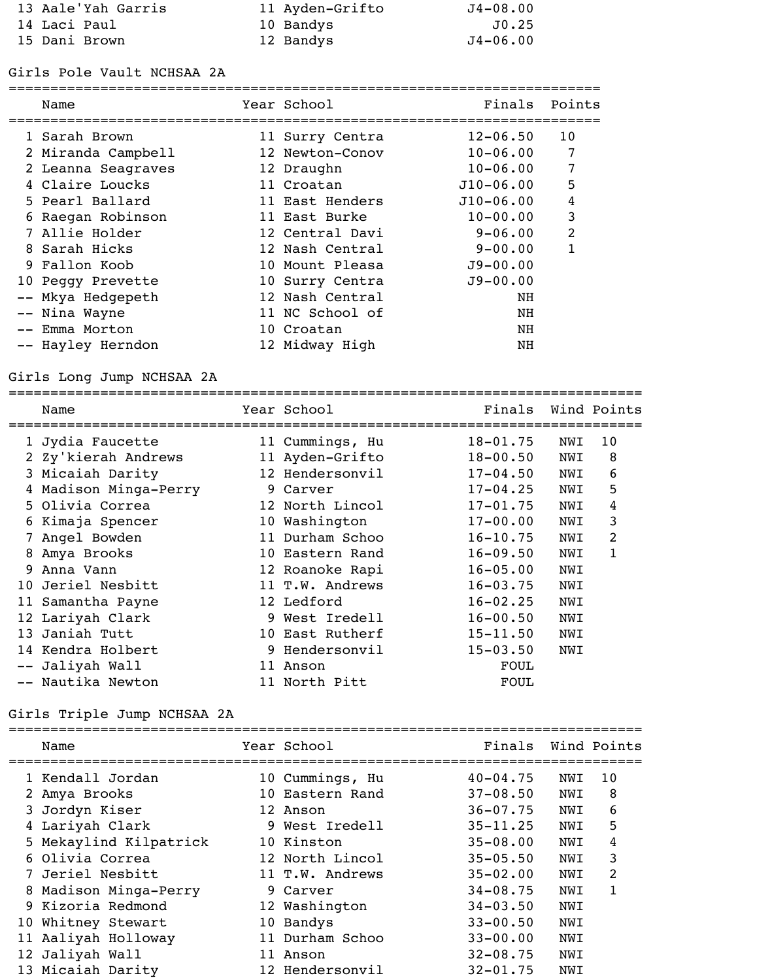| 13 Aale'Yah Garris | 11 Ayden-Grifto | $J4-08.00$   |
|--------------------|-----------------|--------------|
| 14 Laci Paul       | 10 Bandys       | J0.25        |
| 15 Dani Brown      | 12 Bandys       | $J4 - 06.00$ |

# Girls Pole Vault NCHSAA 2A

| Name               | Year School     | Finals       | Points         |
|--------------------|-----------------|--------------|----------------|
| 1 Sarah Brown      | 11 Surry Centra | $12 - 06.50$ | 10             |
| 2 Miranda Campbell | 12 Newton-Conov | $10 - 06.00$ | 7              |
| 2 Leanna Seagraves | 12 Draughn      | $10 - 06.00$ | 7              |
| 4 Claire Loucks    | 11 Croatan      | $J10-06.00$  | 5              |
| 5 Pearl Ballard    | 11 East Henders | $J10-06.00$  | 4              |
| 6 Raegan Robinson  | 11 East Burke   | $10 - 00.00$ | 3              |
| 7 Allie Holder     | 12 Central Davi | $9 - 06.00$  | $\overline{2}$ |
| 8 Sarah Hicks      | 12 Nash Central | $9 - 00.00$  |                |
| 9 Fallon Koob      | 10 Mount Pleasa | $J9 - 00.00$ |                |
| 10 Peggy Prevette  | 10 Surry Centra | $J9 - 00.00$ |                |
| Mkya Hedgepeth     | 12 Nash Central | NH           |                |
| Nina Wayne         | 11 NC School of | NH           |                |
| Emma Morton        | 10 Croatan      | NH           |                |
| -- Hayley Herndon  | 12 Midway High  | NH           |                |
|                    |                 |              |                |

# Girls Long Jump NCHSAA 2A

|   | Name                  |    | Year School     | Finals       |     | Wind Points |
|---|-----------------------|----|-----------------|--------------|-----|-------------|
|   | 1 Jydia Faucette      |    | 11 Cummings, Hu | $18 - 01.75$ | NWI | 10          |
|   | 2 Zy'kierah Andrews   |    | 11 Ayden-Grifto | $18 - 00.50$ | NWI | 8           |
|   | 3 Micaiah Darity      |    | 12 Hendersonvil | $17 - 04.50$ | NWI | 6           |
|   | 4 Madison Minga-Perry |    | 9 Carver        | $17 - 04.25$ | NWI | 5           |
|   | 5 Olivia Correa       |    | 12 North Lincol | $17 - 01.75$ | NWI | 4           |
|   | 6 Kimaja Spencer      |    | 10 Washington   | $17 - 00.00$ | NWI | 3           |
|   | Angel Bowden          |    | 11 Durham Schoo | $16 - 10.75$ | NWI | 2           |
| 8 | Amya Brooks           | 10 | Eastern Rand    | $16 - 09.50$ | NWI | 1           |
| 9 | Anna Vann             |    | 12 Roanoke Rapi | $16 - 05.00$ | NWI |             |
|   | 10 Jeriel Nesbitt     |    | 11 T.W. Andrews | $16 - 03.75$ | NWI |             |
|   | 11 Samantha Payne     |    | 12 Ledford      | $16 - 02.25$ | NWI |             |
|   | 12 Lariyah Clark      | 9  | West Iredell    | $16 - 00.50$ | NWI |             |
|   | 13 Janiah Tutt        |    | 10 East Rutherf | $15 - 11.50$ | NWI |             |
|   | 14 Kendra Holbert     |    | 9 Hendersonvil  | $15 - 03.50$ | NWI |             |
|   | -- Jaliyah Wall       | 11 | Anson           | <b>FOUL</b>  |     |             |
|   | -- Nautika Newton     |    | 11 North Pitt   | <b>FOUL</b>  |     |             |
|   |                       |    |                 |              |     |             |

# Girls Triple Jump NCHSAA 2A

| Name                   |                 | Year School     | Finals       |     | Wind Points |
|------------------------|-----------------|-----------------|--------------|-----|-------------|
| 1 Kendall Jordan       |                 | 10 Cummings, Hu | $40 - 04.75$ | NWI | 10          |
| 2 Amya Brooks          |                 | 10 Eastern Rand | $37 - 08.50$ | NWI | 8           |
| 3 Jordyn Kiser         |                 | 12 Anson        | $36 - 07.75$ | NWI | 6           |
| 4 Lariyah Clark        |                 | 9 West Iredell  | $35 - 11.25$ | NWI | 5           |
| 5 Mekaylind Kilpatrick |                 | 10 Kinston      | $35 - 08.00$ | NWI | 4           |
| 6 Olivia Correa        |                 | 12 North Lincol | $35 - 05.50$ | NWI | 3           |
| 7 Jeriel Nesbitt       |                 | 11 T.W. Andrews | $35 - 02.00$ | NWI | 2           |
| 8 Madison Minga-Perry  |                 | 9 Carver        | $34 - 08.75$ | NWI | 1           |
| 9 Kizoria Redmond      |                 | 12 Washington   | $34 - 03.50$ | NWI |             |
| 10 Whitney Stewart     | 10 <sup>°</sup> | Bandys          | $33 - 00.50$ | NWI |             |
| 11 Aaliyah Holloway    |                 | 11 Durham Schoo | $33 - 00.00$ | NWI |             |
| 12 Jaliyah Wall        | 11              | Anson           | $32 - 08.75$ | NWI |             |
| 13 Micaiah Darity      |                 | 12 Hendersonvil | $32 - 01.75$ | NWI |             |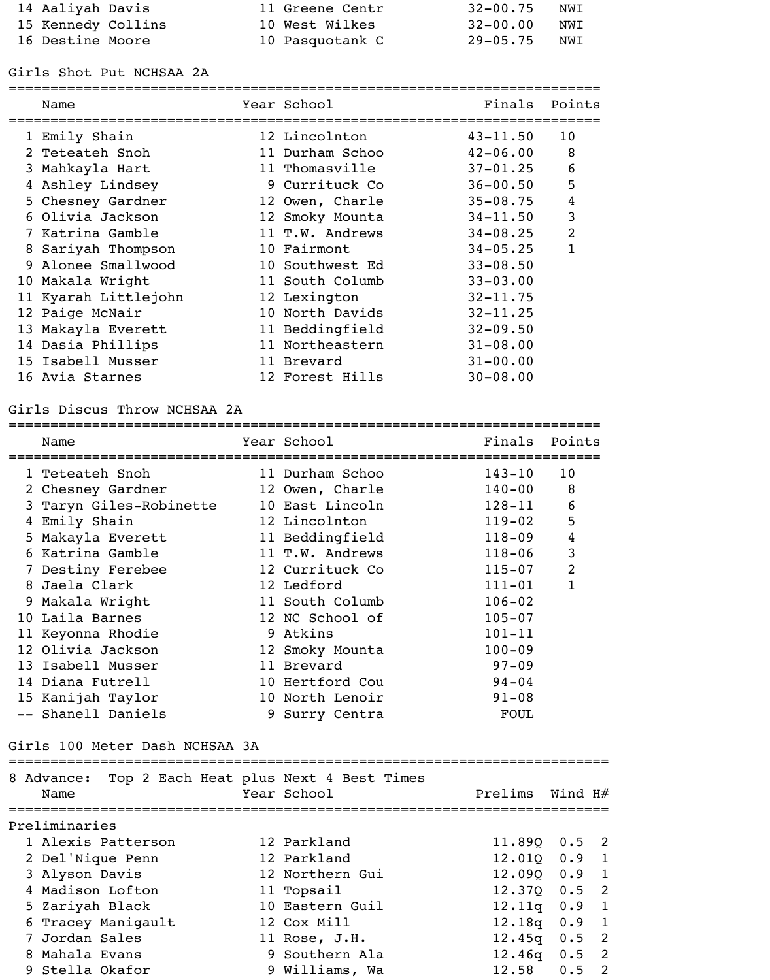| 14 Aaliyah Davis   | 11 Greene Centr | $32 - 00.75$ | NWI |
|--------------------|-----------------|--------------|-----|
| 15 Kennedy Collins | 10 West Wilkes  | 32-00.00     | NWI |
| 16 Destine Moore   | 10 Pasquotank C | 29-05.75 NWI |     |

### Girls Shot Put NCHSAA 2A

|   | Name                 | Year School     | Finals       | Points         |
|---|----------------------|-----------------|--------------|----------------|
|   | 1 Emily Shain        | 12 Lincolnton   | $43 - 11.50$ | 10             |
|   | 2 Teteateh Snoh      | 11 Durham Schoo | $42 - 06.00$ | 8              |
|   | 3 Mahkayla Hart      | 11 Thomasville  | $37 - 01.25$ | 6              |
| 4 | Ashley Lindsey       | 9 Currituck Co  | $36 - 00.50$ | 5              |
|   | 5 Chesney Gardner    | 12 Owen, Charle | $35 - 08.75$ | 4              |
|   | 6 Olivia Jackson     | 12 Smoky Mounta | $34 - 11.50$ | 3              |
|   | 7 Katrina Gamble     | 11 T.W. Andrews | $34 - 08.25$ | $\overline{2}$ |
| 8 | Sariyah Thompson     | 10 Fairmont     | $34 - 05.25$ |                |
|   | 9 Alonee Smallwood   | 10 Southwest Ed | $33 - 08.50$ |                |
|   | 10 Makala Wright     | 11 South Columb | $33 - 03.00$ |                |
|   | 11 Kyarah Littlejohn | 12 Lexington    | $32 - 11.75$ |                |
|   | 12 Paige McNair      | 10 North Davids | $32 - 11.25$ |                |
|   | 13 Makayla Everett   | 11 Beddingfield | $32 - 09.50$ |                |
|   | 14 Dasia Phillips    | 11 Northeastern | $31 - 08.00$ |                |
|   | 15 Isabell Musser    | 11 Brevard      | $31 - 00.00$ |                |
|   | 16 Avia Starnes      | 12 Forest Hills | $30 - 08.00$ |                |
|   |                      |                 |              |                |

# Girls Discus Throw NCHSAA 2A

| Name                           | Year School                            | Finals Points   |                |                            |
|--------------------------------|----------------------------------------|-----------------|----------------|----------------------------|
| 1 Teteateh Snoh                | 11 Durham Schoo                        | $143 - 10$      | 10             |                            |
| 2 Chesney Gardner              | 12 Owen, Charle                        | $140 - 00$      | 8              |                            |
| 3 Taryn Giles-Robinette        | 10 East Lincoln                        | $128 - 11$      | 6              |                            |
| 4 Emily Shain                  | 12 Lincolnton                          | $119 - 02$      | 5              |                            |
| 5 Makayla Everett              | 11 Beddingfield                        | $118 - 09$      | $\overline{4}$ |                            |
| 6 Katrina Gamble               | 11 T.W. Andrews                        | $118 - 06$      | $\mathbf{3}$   |                            |
| 7 Destiny Ferebee              | 12 Currituck Co                        | $115 - 07$      | $\overline{2}$ |                            |
| 8 Jaela Clark                  | 12 Ledford                             | $111 - 01$      | $\mathbf{1}$   |                            |
| 9 Makala Wright                | 11 South Columb                        | $106 - 02$      |                |                            |
| 10 Laila Barnes                | 12 NC School of                        | $105 - 07$      |                |                            |
| 11 Keyonna Rhodie              | 9 Atkins                               | $101 - 11$      |                |                            |
| 12 Olivia Jackson              | 12 Smoky Mounta                        | $100 - 09$      |                |                            |
| 13 Isabell Musser              | 11 Brevard                             | $97 - 09$       |                |                            |
| 14 Diana Futrell               | 10 Hertford Cou                        | $94 - 04$       |                |                            |
| 15 Kanijah Taylor              | 10 North Lenoir                        | $91 - 08$       |                |                            |
| -- Shanell Daniels             | 9 Surry Centra                         | <b>FOUL</b>     |                |                            |
| Girls 100 Meter Dash NCHSAA 3A |                                        |                 |                |                            |
| 8 Advance:                     | Top 2 Each Heat plus Next 4 Best Times |                 |                |                            |
| Name                           | Year School                            | Prelims Wind H# |                |                            |
| Preliminaries                  |                                        |                 |                |                            |
| 1 Alexis Patterson             | 12 Parkland                            | 11.89Q          | $0.5$ 2        |                            |
| 2 Del'Nique Penn               | 12 Parkland                            | 12.010          | $0.9$ 1        |                            |
| 3 Alyson Davis                 | 12 Northern Gui                        | 12.09Q          | $0.9$ 1        |                            |
| 4 Madison Lofton               | 11 Topsail                             | 12.37Q          | $0.5$ 2        |                            |
| 5 Zariyah Black                | 10 Eastern Guil                        | 12.11q          | 0.9 1          |                            |
| 6 Tracey Manigault             | 12 Cox Mill                            | 12.18q          | 0.9            | $\mathbf{1}$               |
| 7 Jordan Sales                 | 11 Rose, J.H.                          | 12.45q          | 0.5            | $\overline{\phantom{0}}$ 2 |
| 8 Mahala Evans                 | 9 Southern Ala                         | 12.46q          | 0.5            | $\overline{2}$             |

9 Stella Okafor 9 Williams, Wa 12.58 0.5 2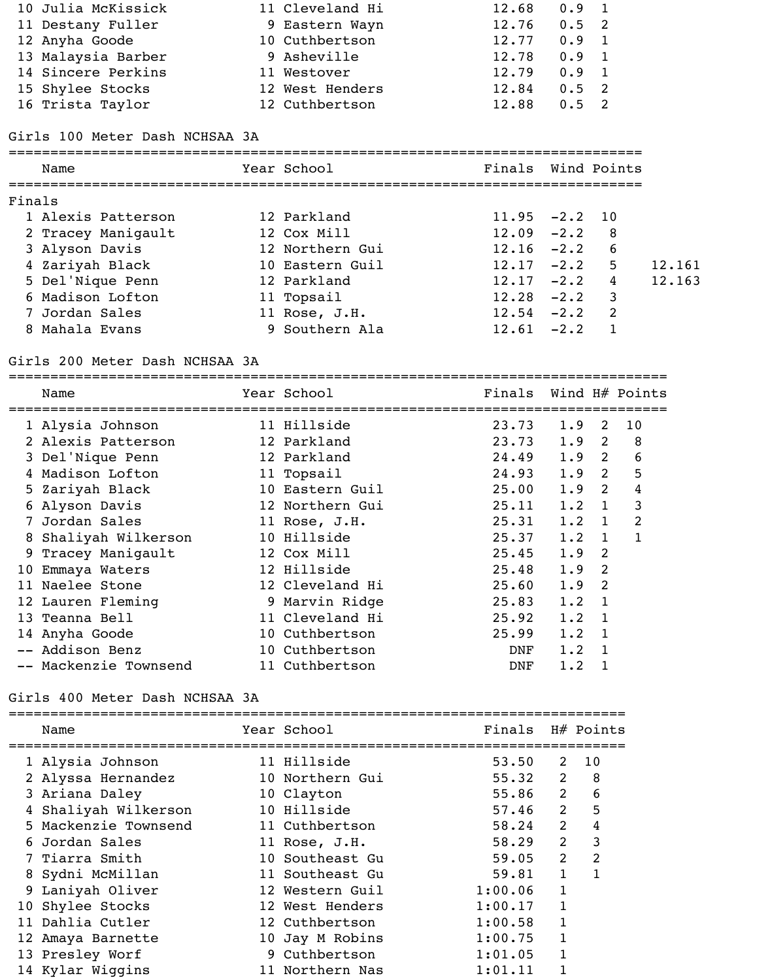| 10 Julia McKissick | 11 Cleveland Hi | 12.68 | $0.9 \quad 1$ |  |
|--------------------|-----------------|-------|---------------|--|
| 11 Destany Fuller  | 9 Eastern Wayn  | 12.76 | $0.5 \quad 2$ |  |
| 12 Anyha Goode     | 10 Cuthbertson  | 12.77 | $0.9 \quad 1$ |  |
| 13 Malaysia Barber | 9 Asheville     | 12.78 | $0.9 \quad 1$ |  |
| 14 Sincere Perkins | 11 Westover     | 12.79 | $0.9 \quad 1$ |  |
| 15 Shylee Stocks   | 12 West Henders | 12.84 | $0.5 \quad 2$ |  |
| 16 Trista Taylor   | 12 Cuthbertson  | 12.88 | $0.5 \quad 2$ |  |

### Girls 100 Meter Dash NCHSAA 3A

============================================================================ Name Year School Finals Wind Points ============================================================================ Finals 1 Alexis Patterson 12 Parkland 11.95 -2.2 10 2 Tracey Manigault 12 Cox Mill 12.09 -2.2 8 3 Alyson Davis 12 Northern Gui 12.16 -2.2 6 4 Zariyah Black 10 Eastern Guil 12.17 -2.2 5 12.161 5 Del'Nique Penn 12 Parkland 12.17 -2.2 4 12.163 6 Madison Lofton 11 Topsail 12.28 -2.2 3 7 Jordan Sales 11 Rose, J.H. 12.54 -2.2 2 8 Mahala Evans 9 Southern Ala 12.61 -2.2 1

### Girls 200 Meter Dash NCHSAA 3A

|    | Name                  | Year School     | Finals     |     |             | Wind $H#$ Points |
|----|-----------------------|-----------------|------------|-----|-------------|------------------|
|    | 1 Alysia Johnson      | 11 Hillside     | 23.73      | 1.9 | 2           | 10               |
|    | 2 Alexis Patterson    | 12 Parkland     | 23.73      | 1.9 | 2           | 8                |
|    | 3 Del'Nique Penn      | 12 Parkland     | 24.49      | 1.9 | 2           | 6                |
|    | Madison Lofton        | 11 Topsail      | 24.93      | 1.9 | 2           | 5                |
|    | 5 Zariyah Black       | 10 Eastern Guil | 25.00      | 1.9 | 2           | 4                |
| 6  | Alyson Davis          | 12 Northern Gui | 25.11      | 1.2 | $\mathbf 1$ | 3                |
|    | Jordan Sales          | 11 Rose, J.H.   | 25.31      | 1.2 | $\mathbf 1$ | 2                |
| 8  | Shaliyah Wilkerson    | 10 Hillside     | 25.37      | 1.2 |             |                  |
| 9. | Tracey Manigault      | 12 Cox Mill     | 25.45      | 1.9 | 2           |                  |
| 10 | Emmaya Waters         | 12 Hillside     | 25.48      | 1.9 | 2           |                  |
| 11 | Naelee Stone          | 12 Cleveland Hi | 25.60      | 1.9 | 2           |                  |
|    | 12 Lauren Fleming     | 9 Marvin Ridge  | 25.83      | 1.2 |             |                  |
|    | 13 Teanna Bell        | 11 Cleveland Hi | 25.92      | 1.2 |             |                  |
|    | 14 Anyha Goode        | 10 Cuthbertson  | 25.99      | 1.2 |             |                  |
|    | -- Addison Benz       | 10 Cuthbertson  | <b>DNF</b> | 1.2 |             |                  |
|    | -- Mackenzie Townsend | 11 Cuthbertson  | <b>DNF</b> | 1.2 |             |                  |

### Girls 400 Meter Dash NCHSAA 3A

| Name                 | Year School     | Finals  |                | H# Points |
|----------------------|-----------------|---------|----------------|-----------|
| 1 Alysia Johnson     | 11 Hillside     | 53.50   | 2              | 10        |
| 2 Alyssa Hernandez   | 10 Northern Gui | 55.32   | 2              | 8         |
| 3 Ariana Daley       | 10 Clayton      | 55.86   | 2              | 6         |
| 4 Shaliyah Wilkerson | 10 Hillside     | 57.46   | 2              | 5         |
| 5 Mackenzie Townsend | 11 Cuthbertson  | 58.24   | $\overline{2}$ | 4         |
| 6 Jordan Sales       | 11 Rose, J.H.   | 58.29   | 2              | 3         |
| 7 Tiarra Smith       | 10 Southeast Gu | 59.05   | 2              | 2         |
| 8 Sydni McMillan     | 11 Southeast Gu | 59.81   | 1              |           |
| 9 Laniyah Oliver     | 12 Western Guil | 1:00.06 |                |           |
| 10 Shylee Stocks     | 12 West Henders | 1:00.17 | $\mathbf{1}$   |           |
| 11 Dahlia Cutler     | 12 Cuthbertson  | 1:00.58 |                |           |
| 12 Amaya Barnette    | 10 Jay M Robins | 1:00.75 |                |           |
| 13 Presley Worf      | 9 Cuthbertson   | 1:01.05 |                |           |
| 14 Kylar Wiggins     | 11 Northern Nas | 1:01.11 |                |           |
|                      |                 |         |                |           |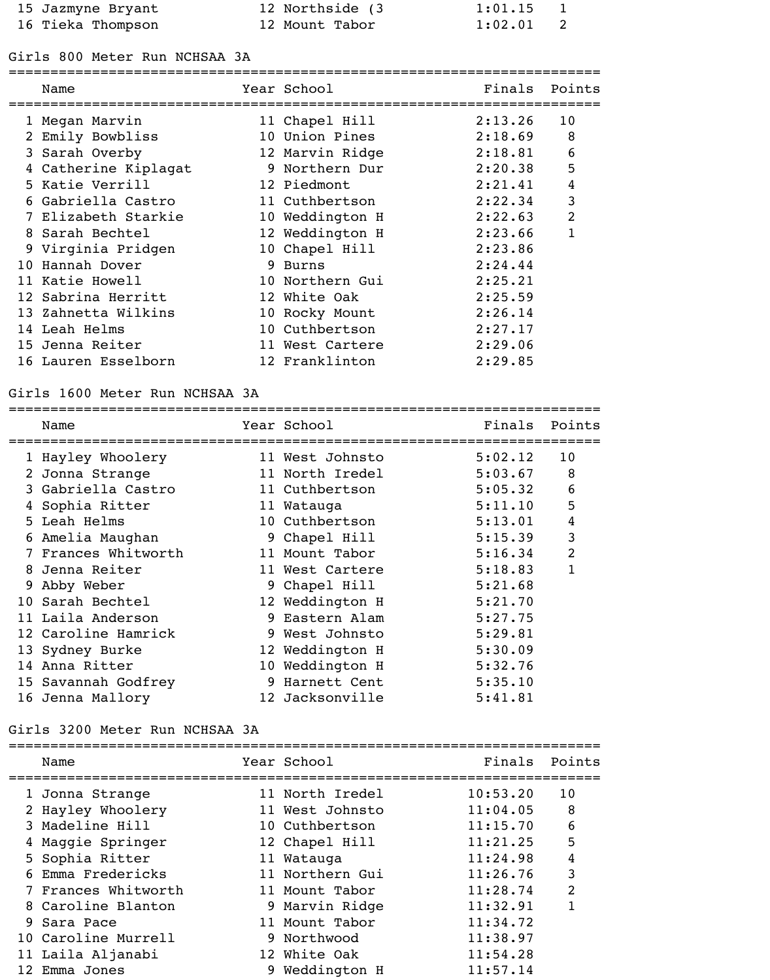| 15 Jazmyne Bryant | 12 Northside (3) | $1:01.15$ 1 |  |
|-------------------|------------------|-------------|--|
| 16 Tieka Thompson | 12 Mount Tabor   | $1:02.01$ 2 |  |

### Girls 800 Meter Run NCHSAA 3A

=======================================================================

|     | Name                 |                 | Year School     | Finals  | Points         |
|-----|----------------------|-----------------|-----------------|---------|----------------|
|     | 1 Megan Marvin       |                 | 11 Chapel Hill  | 2:13.26 | 10             |
|     | Emily Bowbliss       |                 | 10 Union Pines  | 2:18.69 | 8              |
|     | 3 Sarah Overby       |                 | 12 Marvin Ridge | 2:18.81 | 6              |
|     | 4 Catherine Kiplagat | 9               | Northern Dur    | 2:20.38 | 5              |
|     | 5 Katie Verrill      |                 | 12 Piedmont     | 2:21.41 | 4              |
|     | 6 Gabriella Castro   |                 | 11 Cuthbertson  | 2:22.34 | 3              |
|     | Elizabeth Starkie    |                 | 10 Weddington H | 2:22.63 | $\overline{2}$ |
|     | 8 Sarah Bechtel      |                 | 12 Weddington H | 2:23.66 | $\mathbf{1}$   |
|     | 9 Virginia Pridgen   |                 | 10 Chapel Hill  | 2:23.86 |                |
| 1 ດ | Hannah Dover         | 9               | <b>Burns</b>    | 2:24.44 |                |
| 11  | Katie Howell         | 10              | Northern Gui    | 2:25.21 |                |
|     | 12 Sabrina Herritt   | 12              | White Oak       | 2:25.59 |                |
|     | 13 Zahnetta Wilkins  | 10 <sup>°</sup> | Rocky Mount     | 2:26.14 |                |
|     | 14 Leah Helms        |                 | 10 Cuthbertson  | 2:27.17 |                |
|     | 15 Jenna Reiter      | 11              | West Cartere    | 2:29.06 |                |
|     | 16 Lauren Esselborn  |                 | 12 Franklinton  | 2:29.85 |                |

### Girls 1600 Meter Run NCHSAA 3A

|   | Name                |   | Year School     | Finals  | Points         |
|---|---------------------|---|-----------------|---------|----------------|
|   | 1 Hayley Whoolery   |   | 11 West Johnsto | 5:02.12 | 10             |
|   | 2 Jonna Strange     |   | 11 North Iredel | 5:03.67 | 8              |
|   | 3 Gabriella Castro  |   | 11 Cuthbertson  | 5:05.32 | 6              |
|   | 4 Sophia Ritter     |   | 11 Watauga      | 5:11.10 | 5              |
|   | 5 Leah Helms        |   | 10 Cuthbertson  | 5:13.01 | 4              |
|   | 6 Amelia Maughan    |   | 9 Chapel Hill   | 5:15.39 | 3              |
|   | 7 Frances Whitworth |   | 11 Mount Tabor  | 5:16.34 | $\overline{2}$ |
| 8 | Jenna Reiter        |   | 11 West Cartere | 5:18.83 |                |
|   | 9 Abby Weber        |   | 9 Chapel Hill   | 5:21.68 |                |
|   | 10 Sarah Bechtel    |   | 12 Weddington H | 5:21.70 |                |
|   | 11 Laila Anderson   |   | 9 Eastern Alam  | 5:27.75 |                |
|   | 12 Caroline Hamrick |   | 9 West Johnsto  | 5:29.81 |                |
|   | 13 Sydney Burke     |   | 12 Weddington H | 5:30.09 |                |
|   | 14 Anna Ritter      |   | 10 Weddington H | 5:32.76 |                |
|   | 15 Savannah Godfrey | 9 | Harnett Cent    | 5:35.10 |                |
|   | 16 Jenna Mallory    |   | 12 Jacksonville | 5:41.81 |                |

## Girls 3200 Meter Run NCHSAA 3A

|    | Name                | Year School     | Finals   | Points         |
|----|---------------------|-----------------|----------|----------------|
|    | 1 Jonna Strange     | 11 North Iredel | 10:53.20 | 10             |
|    | 2 Hayley Whoolery   | 11 West Johnsto | 11:04.05 | 8              |
|    | 3 Madeline Hill     | 10 Cuthbertson  | 11:15.70 | 6              |
|    | 4 Maggie Springer   | 12 Chapel Hill  | 11:21.25 | 5              |
|    | 5 Sophia Ritter     | 11 Watauga      | 11:24.98 | 4              |
| 6. | Emma Fredericks     | 11 Northern Gui | 11:26.76 | 3              |
|    | 7 Frances Whitworth | 11 Mount Tabor  | 11:28.74 | $\overline{2}$ |
|    | 8 Caroline Blanton  | 9 Marvin Ridge  | 11:32.91 | 1              |
|    | 9 Sara Pace         | 11 Mount Tabor  | 11:34.72 |                |
|    | 10 Caroline Murrell | 9 Northwood     | 11:38.97 |                |
|    | 11 Laila Aljanabi   | 12 White Oak    | 11:54.28 |                |
|    | 12 Emma Jones       | 9 Weddington H  | 11:57.14 |                |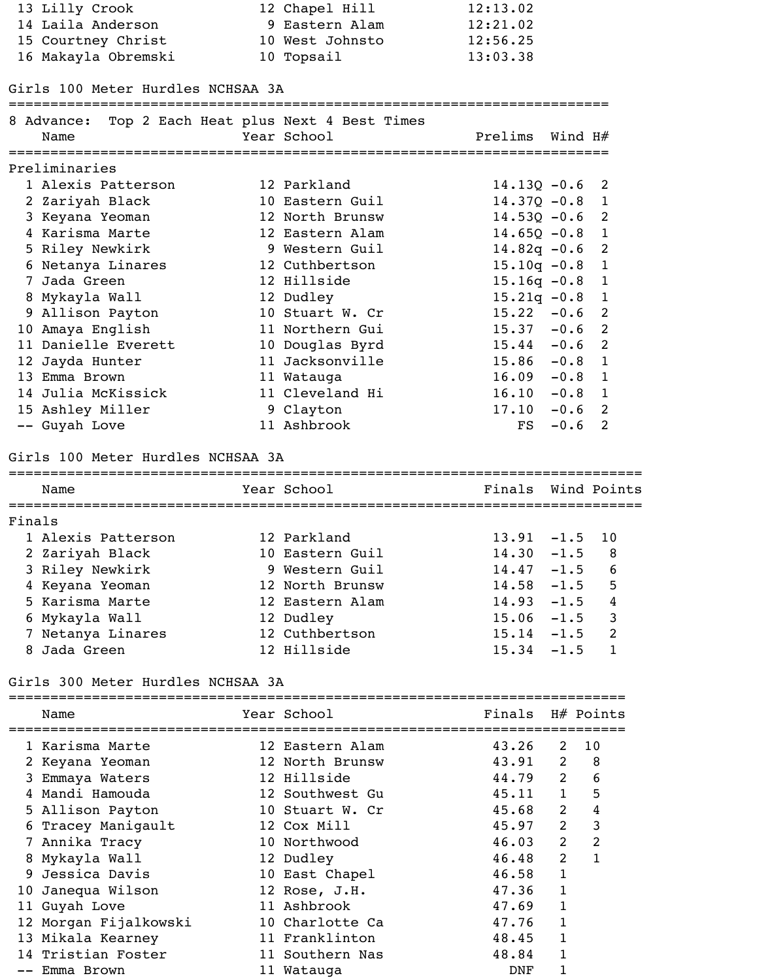| 13 Lilly Crook      | 12 Chapel Hill  | 12:13.02 |
|---------------------|-----------------|----------|
| 14 Laila Anderson   | 9 Eastern Alam  | 12:21.02 |
| 15 Courtney Christ  | 10 West Johnsto | 12:56.25 |
| 16 Makayla Obremski | 10 Topsail      | 13:03.38 |

### Girls 100 Meter Hurdles NCHSAA 3A

#### ========================================================================

| 8 Advance: Top 2 Each Heat plus Next 4 Best Times<br>Name | Year School     | Prelims Wind $H#$         |                |
|-----------------------------------------------------------|-----------------|---------------------------|----------------|
| Preliminaries                                             |                 |                           |                |
| 1 Alexis Patterson                                        | 12 Parkland     | $14.13Q - 0.6$ 2          |                |
| 2 Zariyah Black                                           | 10 Eastern Guil | $14.37Q - 0.8$            | 1              |
| 3 Keyana Yeoman                                           | 12 North Brunsw | $14.53Q - 0.6$ 2          |                |
| 4 Karisma Marte                                           | 12 Eastern Alam | $14.65Q - 0.8$ 1          |                |
| 5 Riley Newkirk                                           | 9 Western Guil  | $14.82q - 0.6$ 2          |                |
| 6 Netanya Linares                                         | 12 Cuthbertson  | $15.10q - 0.8$ 1          |                |
| 7 Jada Green                                              | 12 Hillside     | $15.16q - 0.8$ 1          |                |
| 8 Mykayla Wall                                            | 12 Dudley       | $15.21q - 0.8$ 1          |                |
| 9 Allison Payton                                          | 10 Stuart W. Cr | $15.22 -0.6$ 2            |                |
| 10 Amaya English                                          | 11 Northern Gui | $15.37 -0.6$ 2            |                |
| 11 Danielle Everett                                       | 10 Douglas Byrd | $15.44 - 0.6$ 2           |                |
| 12 Jayda Hunter                                           | 11 Jacksonville | $15.86 - 0.8$ 1           |                |
| 13 Emma Brown                                             | 11 Watauga      | $16.09 - 0.8 1$           |                |
| 14 Julia McKissick                                        | 11 Cleveland Hi | $16.10 - 0.8$             | $\overline{1}$ |
| 15 Ashley Miller                                          | 9 Clayton       | 17.10<br>$-0.6$ 2         |                |
| -- Guyah Love                                             | 11 Ashbrook     | $-0.6$ 2<br>$\mathbf{FS}$ |                |
|                                                           |                 |                           |                |

# Girls 100 Meter Hurdles NCHSAA 3A

| Name               | Year School     | Finals Wind Points |        |               |
|--------------------|-----------------|--------------------|--------|---------------|
| Finals             |                 |                    |        |               |
| 1 Alexis Patterson | 12 Parkland     | $13.91 - 1.5$ 10   |        |               |
| 2 Zariyah Black    | 10 Eastern Guil | $14.30 - 1.5$      |        | -8            |
| 3 Riley Newkirk    | 9 Western Guil  | $14.47 - 1.5$      |        | 6             |
| 4 Keyana Yeoman    | 12 North Brunsw | $14.58 - 1.5$      |        | 5             |
| 5 Karisma Marte    | 12 Eastern Alam | $14.93 - 1.5$      |        | 4             |
| 6 Mykayla Wall     | 12 Dudley       | $15.06 - 1.5$      |        | 3             |
| 7 Netanya Linares  | 12 Cuthbertson  | $15.14 - 1.5$      |        | $\mathcal{P}$ |
| 8 Jada Green       | 12 Hillside     | 15.34              | $-1.5$ |               |
|                    |                 |                    |        |               |

# Girls 300 Meter Hurdles NCHSAA 3A

| Name                  | Year School     | Finals H# Points |              |                |
|-----------------------|-----------------|------------------|--------------|----------------|
| 1 Karisma Marte       | 12 Eastern Alam | 43.26            | 2            | 10             |
| 2 Keyana Yeoman       | 12 North Brunsw | 43.91            | 2            | 8              |
| Emmaya Waters         | 12 Hillside     | 44.79            | 2            | 6              |
| 4 Mandi Hamouda       | 12 Southwest Gu | 45.11            | $\mathbf{1}$ | 5              |
| 5 Allison Payton      | 10 Stuart W. Cr | 45.68            | 2            | 4              |
| 6 Tracey Manigault    | 12 Cox Mill     | 45.97            | 2            | 3              |
| 7 Annika Tracy        | 10 Northwood    | 46.03            | 2            | $\overline{2}$ |
| 8 Mykayla Wall        | 12 Dudley       | 46.48            | 2            |                |
| 9 Jessica Davis       | 10 East Chapel  | 46.58            | $\mathbf{1}$ |                |
| 10 Janequa Wilson     | 12 Rose, J.H.   | 47.36            | 1            |                |
| 11 Guyah Love         | 11 Ashbrook     | 47.69            |              |                |
| 12 Morgan Fijalkowski | 10 Charlotte Ca | 47.76            | 1            |                |
| 13 Mikala Kearney     | 11 Franklinton  | 48.45            | 1            |                |
| 14 Tristian Foster    | 11 Southern Nas | 48.84            |              |                |
| Emma Brown            | 11 Watauga      | DNF              |              |                |
|                       |                 |                  |              |                |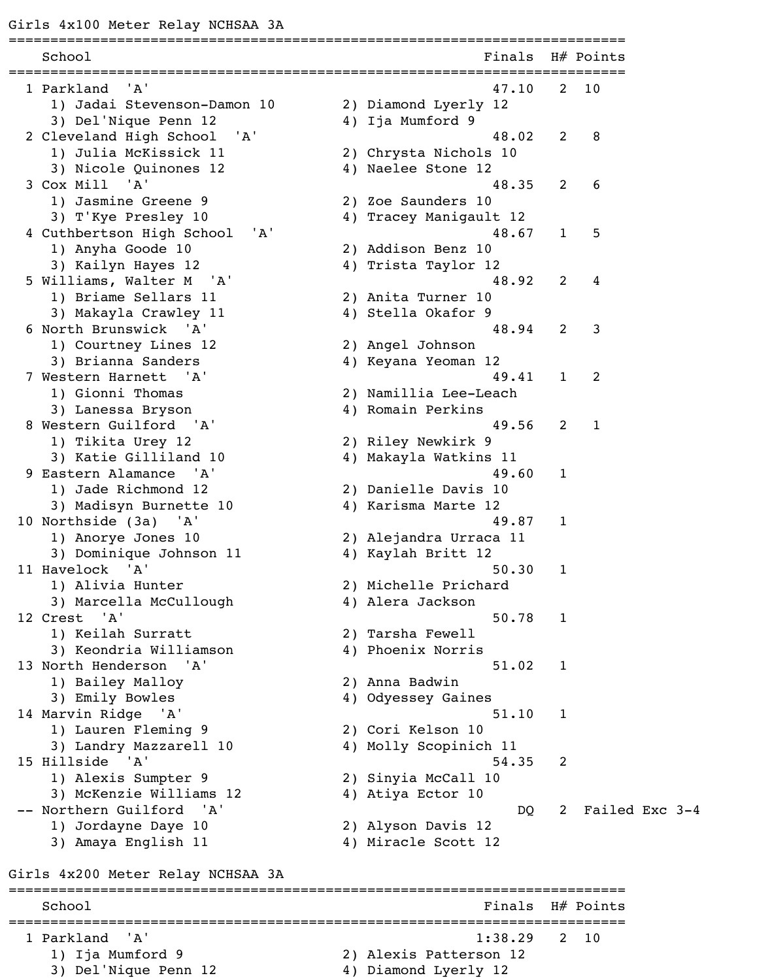| School                                        | Finals                 |                | H# Points      |
|-----------------------------------------------|------------------------|----------------|----------------|
| =============<br>'A'<br>1 Parkland            | 47.10                  | $\mathbf{2}$   | 10             |
| 1) Jadai Stevenson-Damon 10                   | 2) Diamond Lyerly 12   |                |                |
| 3) Del'Nique Penn 12                          | 4) Ija Mumford 9       |                |                |
| 2 Cleveland High School<br>' A '              | 48.02                  | $\overline{2}$ | 8              |
| 1) Julia McKissick 11                         | 2) Chrysta Nichols 10  |                |                |
| 3) Nicole Quinones 12                         | 4) Naelee Stone 12     |                |                |
| 3 Cox Mill 'A'                                | 48.35                  | 2              | 6              |
| 1) Jasmine Greene 9                           | 2) Zoe Saunders 10     |                |                |
| 3) T'Kye Presley 10                           | 4) Tracey Manigault 12 |                |                |
| ' A'<br>4 Cuthbertson High School             | 48.67                  | 1              | 5              |
| 1) Anyha Goode 10                             | 2) Addison Benz 10     |                |                |
| 3) Kailyn Hayes 12                            | 4) Trista Taylor 12    |                |                |
| 5 Williams, Walter M 'A'                      | 48.92                  | 2              | 4              |
| 1) Briame Sellars 11                          | 2) Anita Turner 10     |                |                |
| 3) Makayla Crawley 11                         | 4) Stella Okafor 9     |                |                |
| 6 North Brunswick 'A'                         | 48.94                  | 2              | 3              |
| 1) Courtney Lines 12                          | 2) Angel Johnson       |                |                |
| 3) Brianna Sanders                            | 4) Keyana Yeoman 12    |                |                |
| 7 Western Harnett 'A'                         | 49.41                  | $\mathbf{1}$   | 2              |
| 1) Gionni Thomas                              | 2) Namillia Lee-Leach  |                |                |
| 3) Lanessa Bryson                             | 4) Romain Perkins      |                |                |
| 8 Western Guilford 'A'                        | 49.56                  | 2              | $\mathbf{1}$   |
| 1) Tikita Urey 12                             | 2) Riley Newkirk 9     |                |                |
| 3) Katie Gilliland 10                         | 4) Makayla Watkins 11  |                |                |
| 9 Eastern Alamance<br>'A'                     | 49.60                  | 1              |                |
| 1) Jade Richmond 12                           | 2) Danielle Davis 10   |                |                |
| 3) Madisyn Burnette 10                        | 4) Karisma Marte 12    |                |                |
|                                               | 49.87                  | $\mathbf{1}$   |                |
| 10 Northside (3a) 'A'                         |                        |                |                |
| 1) Anorye Jones 10<br>3) Dominique Johnson 11 | 2) Alejandra Urraca 11 |                |                |
| 11 Havelock 'A'                               | 4) Kaylah Britt 12     |                |                |
|                                               | 50.30                  | 1              |                |
| 1) Alivia Hunter                              | 2) Michelle Prichard   |                |                |
| 3) Marcella McCullough                        | 4) Alera Jackson       |                |                |
| 12 Crest 'A'                                  | 50.78                  | $\mathbf{1}$   |                |
| 1) Keilah Surratt                             | 2) Tarsha Fewell       |                |                |
| 3) Keondria Williamson                        | 4) Phoenix Norris      |                |                |
| 13 North Henderson 'A'                        | 51.02                  | $\mathbf{1}$   |                |
| 1) Bailey Malloy                              | 2) Anna Badwin         |                |                |
| 3) Emily Bowles                               | 4) Odyessey Gaines     |                |                |
| 14 Marvin Ridge 'A'                           | 51.10                  | $\mathbf{1}$   |                |
| 1) Lauren Fleming 9                           | 2) Cori Kelson 10      |                |                |
| 3) Landry Mazzarell 10                        | 4) Molly Scopinich 11  |                |                |
| 15 Hillside 'A'                               | 54.35                  | 2              |                |
| 1) Alexis Sumpter 9                           | 2) Sinyia McCall 10    |                |                |
| 3) McKenzie Williams 12                       | 4) Atiya Ector 10      |                |                |
| -- Northern Guilford 'A'                      | DQ                     | 2              | Failed Exc 3-4 |
| 1) Jordayne Daye 10                           | 2) Alyson Davis 12     |                |                |
|                                               | 4) Miracle Scott 12    |                |                |

========================================================================== School Finals H# Points ========================================================================== 1 Parkland 'A' 1:38.29 2 10 1) Ija Mumford 9 2) Alexis Patterson 12 3) Del'Nique Penn 12 4) Diamond Lyerly 12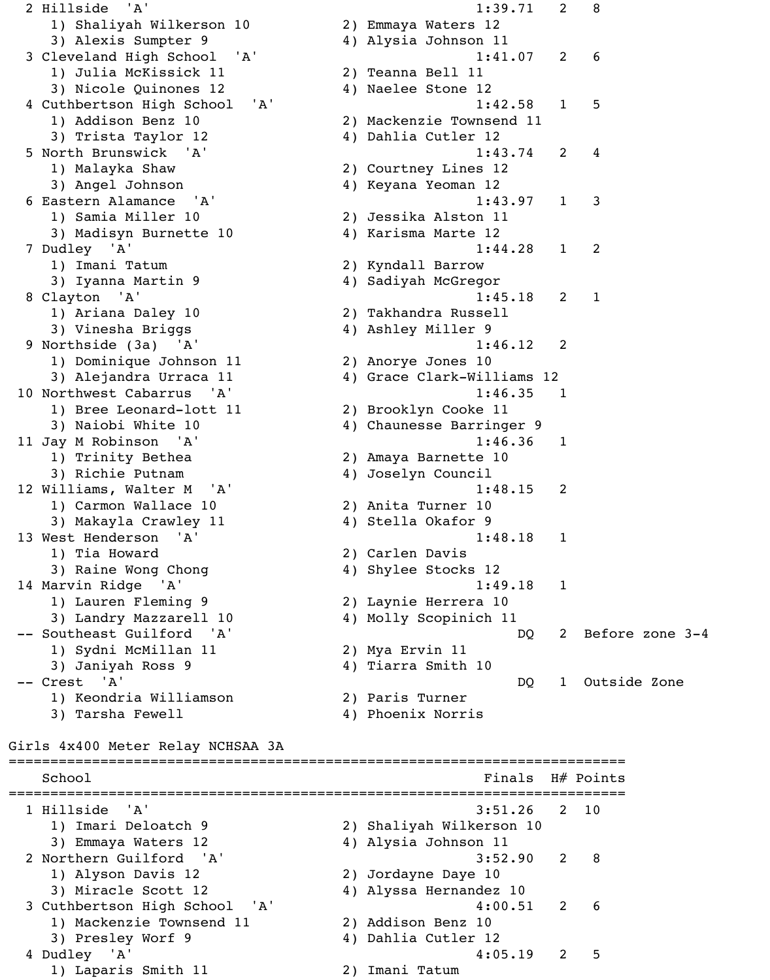2 Hillside 'A' 1:39.71 2 8 1) Shaliyah Wilkerson 10 2) Emmaya Waters 12 3) Alexis Sumpter 9 4) Alysia Johnson 11 3 Cleveland High School 'A' 1:41.07 2 6 1) Julia McKissick 11 2) Teanna Bell 11 3) Nicole Quinones 12 4) Naelee Stone 12 4 Cuthbertson High School 'A' 1:42.58 1 5 1) Addison Benz 10 2) Mackenzie Townsend 11 3) Trista Taylor 12 (4) Dahlia Cutler 12 5 North Brunswick 'A' 1:43.74 2 4 1) Malayka Shaw 2) Courtney Lines 12 3) Angel Johnson 4) Keyana Yeoman 12 6 Eastern Alamance 'A' 1:43.97 1 3 1) Samia Miller 10 2) Jessika Alston 11 3) Madisyn Burnette 10 4) Karisma Marte 12 7 Dudley 'A' 1:44.28 1 2 1) Imani Tatum 2) Kyndall Barrow 3) Iyanna Martin 9  $\begin{array}{ccc} 4) & S \end{array}$  Sadiyah McGregor 8 Clayton 'A' 1:45.18 2 1 1) Ariana Daley 10 2) Takhandra Russell 3) Vinesha Briggs 4) Ashley Miller 9 9 Northside (3a) 'A' 1:46.12 2 1) Dominique Johnson 11 2) Anorye Jones 10 3) Alejandra Urraca 11 (4) Grace Clark-Williams 12 10 Northwest Cabarrus 'A' 1:46.35 1 1) Bree Leonard-lott 11 2) Brooklyn Cooke 11 3) Naiobi White 10 4) Chaunesse Barringer 9 11 Jay M Robinson 'A' 1:46.36 1 1) Trinity Bethea 2) Amaya Barnette 10 3) Richie Putnam 4) Joselyn Council 12 Williams, Walter M 'A' 1:48.15 2 1) Carmon Wallace 10 2) Anita Turner 10 3) Makayla Crawley 11 (4) Stella Okafor 9 13 West Henderson 'A' 1:48.18 1 1) Tia Howard 2) Carlen Davis 3) Raine Wong Chong 19 (2008) 4) Shylee Stocks 12 14 Marvin Ridge 'A' 1:49.18 1 1) Lauren Fleming 9 2) Laynie Herrera 10 3) Landry Mazzarell 10 4) Molly Scopinich 11 -- Southeast Guilford 'A' DQ 2 Before zone 3-4 1) Sydni McMillan 11 2) Mya Ervin 11 3) Janiyah Ross 9 4) Tiarra Smith 10 -- Crest 'A' DQ 1 Outside Zone 1) Keondria Williamson 2) Paris Turner 3) Tarsha Fewell 4) Phoenix Norris Girls 4x400 Meter Relay NCHSAA 3A ========================================================================== School Finals H# Points ========================================================================== 1 Hillside 'A' 3:51.26 2 10 1) Imari Deloatch 9 2) Shaliyah Wilkerson 10 3) Emmaya Waters 12 4) Alysia Johnson 11 2 Northern Guilford 'A' 3:52.90 2 8 1) Alyson Davis 12 2) Jordayne Daye 10 3) Miracle Scott 12 (4) Alyssa Hernandez 10 3 Cuthbertson High School 'A' 4:00.51 2 6 1) Mackenzie Townsend 11 2) Addison Benz 10 3) Presley Worf 9 4) Dahlia Cutler 12 4 Dudley 'A' 4:05.19 2 5

1) Laparis Smith 11 2) Imani Tatum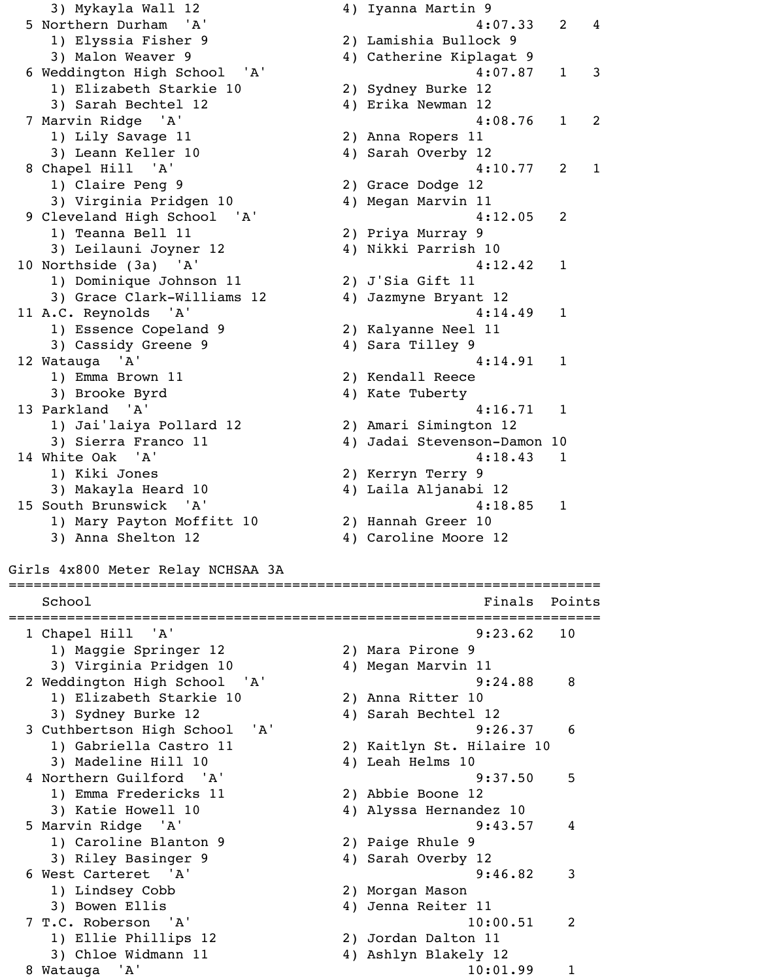3) Mykayla Wall 12 4) Iyanna Martin 9 5 Northern Durham 'A' 4:07.33 2 4 1) Elyssia Fisher 9 2) Lamishia Bullock 9 3) Malon Weaver 9 1 1 2 4) Catherine Kiplagat 9 6 Weddington High School 'A' 4:07.87 1 3 1) Elizabeth Starkie 10 2) Sydney Burke 12 3) Sarah Bechtel 12 4) Erika Newman 12 7 Marvin Ridge 'A' 4:08.76 1 2 1) Lily Savage 11 2) Anna Ropers 11 3) Leann Keller 10 4) Sarah Overby 12 8 Chapel Hill 'A' 4:10.77 2 1 1) Claire Peng 9 2) Grace Dodge 12 3) Virginia Pridgen 10 4) Megan Marvin 11 9 Cleveland High School 'A' 4:12.05 2 1) Teanna Bell 11 2) Priya Murray 9 3) Leilauni Joyner 12 1988 (4) Nikki Parrish 10 10 Northside (3a) 'A' 4:12.42 1 1) Dominique Johnson 11 2) J'Sia Gift 11 3) Grace Clark-Williams 12 4) Jazmyne Bryant 12 11 A.C. Reynolds 'A' 4:14.49 1 1) Essence Copeland 9 2) Kalyanne Neel 11 3) Cassidy Greene 9 4) Sara Tilley 9 12 Watauga 'A' 4:14.91 1 1) Emma Brown 11 2) Kendall Reece 3) Brooke Byrd 4) Kate Tuberty 13 Parkland 'A' 4:16.71 1 1) Jai'laiya Pollard 12 2) Amari Simington 12 3) Sierra Franco 11 (4) Jadai Stevenson-Damon 10 14 White Oak 'A' 318.43 1 1) Kiki Jones 2) Kerryn Terry 9 3) Makayla Heard 10 4) Laila Aljanabi 12 15 South Brunswick 'A' 4:18.85 1 1) Mary Payton Moffitt 10 2) Hannah Greer 10 3) Anna Shelton 12 4) Caroline Moore 12 Girls 4x800 Meter Relay NCHSAA 3A ======================================================================= School and School Finals Points Points Points Points Points Points Points Points Points Points Points Points Points Points Points Points Points Points Points Points Points Points Points Points Points Points Points Points P ======================================================================= 1 Chapel Hill 'A' 9:23.62 10 1) Maggie Springer 12 2) Mara Pirone 9 3) Virginia Pridgen 10 4) Megan Marvin 11 2 Weddington High School 'A' 3:24.88 8 1) Elizabeth Starkie 10 2) Anna Ritter 10 3) Sydney Burke 12 4) Sarah Bechtel 12 3 Cuthbertson High School 'A' 9:26.37 6 1) Gabriella Castro 11 2) Kaitlyn St. Hilaire 10 3) Madeline Hill 10 4) Leah Helms 10 4 Northern Guilford 'A' 9:37.50 5 1) Emma Fredericks 11 2) Abbie Boone 12 3) Katie Howell 10 4) Alyssa Hernandez 10 5 Marvin Ridge 'A' 9:43.57 4 1) Caroline Blanton 9 2) Paige Rhule 9 3) Riley Basinger 9 4) Sarah Overby 12 6 West Carteret 'A' 9:46.82 3 1) Lindsey Cobb 2) Morgan Mason 3) Bowen Ellis (4) Jenna Reiter 11 7 T.C. Roberson 'A' 10:00.51 2 1) Ellie Phillips 12 2) Jordan Dalton 11 3) Chloe Widmann 11 4) Ashlyn Blakely 12 8 Watauga 'A' 10:01.99 1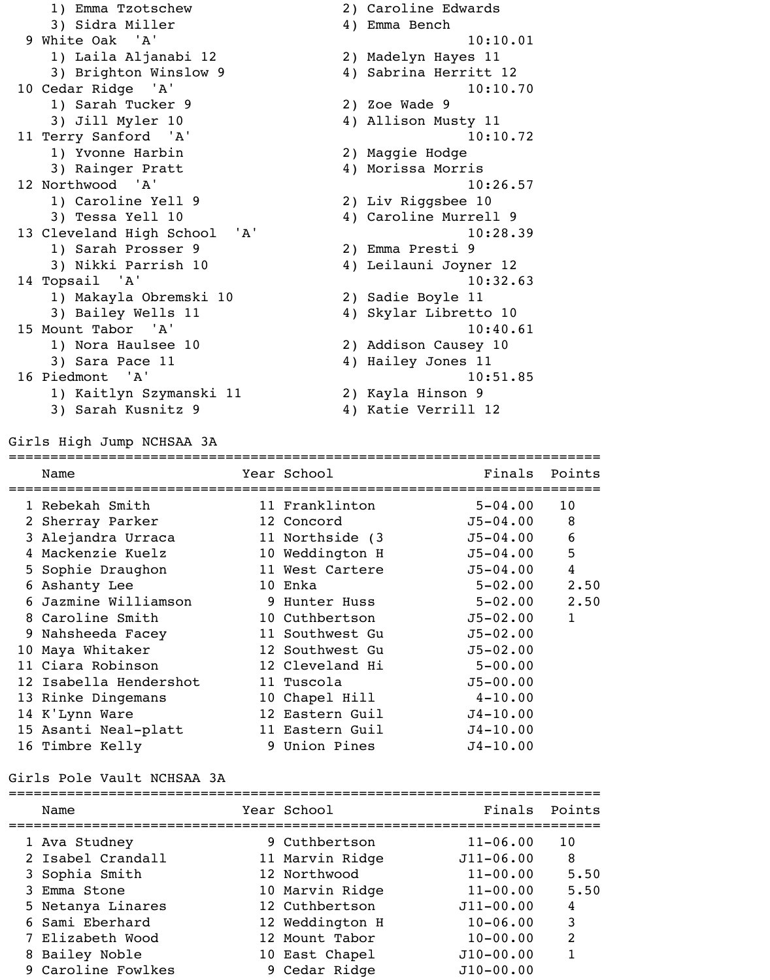| 1) Emma Tzotschew            | 2) Caroline Edwards   |
|------------------------------|-----------------------|
| 3) Sidra Miller              | 4) Emma Bench         |
| 9 White Oak 'A'              | 10:10.01              |
| 1) Laila Aljanabi 12         | 2) Madelyn Hayes 11   |
| 3) Brighton Winslow 9        | 4) Sabrina Herritt 12 |
| 10 Cedar Ridge 'A'           | 10:10.70              |
| 1) Sarah Tucker 9            | 2) Zoe Wade 9         |
| 3) Jill Myler 10             | 4) Allison Musty 11   |
| 11 Terry Sanford 'A'         | 10:10.72              |
| 1) Yvonne Harbin             | 2) Maggie Hodge       |
| 3) Rainger Pratt             | 4) Morissa Morris     |
| 12 Northwood 'A'             | 10:26.57              |
| 1) Caroline Yell 9           | 2) Liv Riggsbee 10    |
| 3) Tessa Yell 10             | 4) Caroline Murrell 9 |
| 13 Cleveland High School 'A' | 10:28.39              |
| 1) Sarah Prosser 9           | 2) Emma Presti 9      |
| 3) Nikki Parrish 10          | 4) Leilauni Joyner 12 |
| 14 Topsail 'A'               | 10:32.63              |
| 1) Makayla Obremski 10       | 2) Sadie Boyle 11     |
| 3) Bailey Wells 11           | 4) Skylar Libretto 10 |
| 15 Mount Tabor 'A'           | 10:40.61              |
| 1) Nora Haulsee 10           | 2) Addison Causey 10  |
| 3) Sara Pace 11              | 4) Hailey Jones 11    |
| 16 Piedmont 'A'              | 10:51.85              |
| 1) Kaitlyn Szymanski 11      | 2) Kayla Hinson 9     |
| 3) Sarah Kusnitz 9           | 4) Katie Verrill 12   |

Girls High Jump NCHSAA 3A

| ====================== |                  |              |                |
|------------------------|------------------|--------------|----------------|
| Name                   | Year School      | Finals       | Points         |
| 1 Rebekah Smith        | 11 Franklinton   | $5 - 04.00$  | 10             |
| 2 Sherray Parker       | 12 Concord       | $J5 - 04.00$ | 8              |
| 3 Alejandra Urraca     | 11 Northside (3) | $J5 - 04.00$ | 6              |
| 4 Mackenzie Kuelz      | 10 Weddington H  | $J5 - 04.00$ | 5              |
| 5 Sophie Draughon      | 11 West Cartere  | $J5 - 04.00$ | $\overline{4}$ |
| 6 Ashanty Lee          | 10 Enka          | $5 - 02.00$  | 2.50           |
| 6 Jazmine Williamson   | 9 Hunter Huss    | $5 - 02.00$  | 2.50           |
| 8 Caroline Smith       | 10 Cuthbertson   | $J5 - 02.00$ | $\mathbf{1}$   |
| 9 Nahsheeda Facey      | 11 Southwest Gu  | $J5 - 02.00$ |                |
| 10 Maya Whitaker       | 12 Southwest Gu  | $J5 - 02.00$ |                |
| 11 Ciara Robinson      | 12 Cleveland Hi  | $5 - 00.00$  |                |
| 12 Isabella Hendershot | 11 Tuscola       | $J5 - 00.00$ |                |
| 13 Rinke Dingemans     | 10 Chapel Hill   | $4 - 10.00$  |                |
| 14 K'Lynn Ware         | 12 Eastern Guil  | $J4 - 10.00$ |                |
| 15 Asanti Neal-platt   | 11 Eastern Guil  | $J4 - 10.00$ |                |
| 16 Timbre Kelly        | 9 Union Pines    | $J4 - 10.00$ |                |
|                        |                  |              |                |

# Girls Pole Vault NCHSAA 3A

| Name               | Year School     | Finals        | Points |
|--------------------|-----------------|---------------|--------|
| 1 Ava Studney      | 9 Cuthbertson   | $11 - 06.00$  | 10     |
| 2 Isabel Crandall  | 11 Marvin Ridge | $J11 - 06.00$ | 8      |
| 3 Sophia Smith     | 12 Northwood    | $11 - 00.00$  | 5.50   |
| 3 Emma Stone       | 10 Marvin Ridge | $11 - 00.00$  | 5.50   |
| 5 Netanya Linares  | 12 Cuthbertson  | $J11 - 00.00$ | 4      |
| 6 Sami Eberhard    | 12 Weddington H | $10 - 06.00$  | 3      |
| 7 Elizabeth Wood   | 12 Mount Tabor  | $10 - 00.00$  | 2      |
| 8 Bailey Noble     | 10 East Chapel  | $J10-00.00$   |        |
| 9 Caroline Fowlkes | 9 Cedar Ridge   | $J10-00.00$   |        |
|                    |                 |               |        |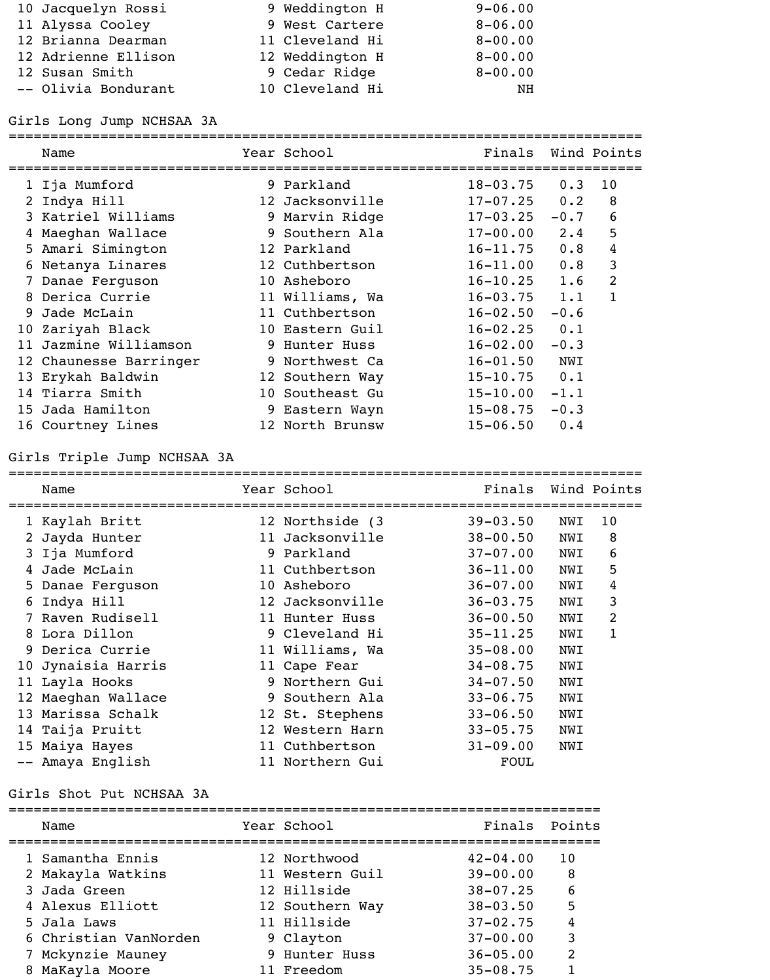| 10 Jacquelyn Rossi  | 9 Weddington H  | $9 - 06.00$ |
|---------------------|-----------------|-------------|
| 11 Alyssa Cooley    | 9 West Cartere  | $8 - 06.00$ |
| 12 Brianna Dearman  | 11 Cleveland Hi | $8 - 00.00$ |
| 12 Adrienne Ellison | 12 Weddington H | $8 - 00.00$ |
| 12 Susan Smith      | 9 Cedar Ridge   | $8 - 00.00$ |
| -- Olivia Bondurant | 10 Cleveland Hi | NH          |

### Girls Long Jump NCHSAA 3A

============================================================================ Name Year School Finals Wind Points ============================================================================ 1 Ija Mumford 9 Parkland 18-03.75 0.3 10 2 Indya Hill 12 Jacksonville 17-07.25 0.2 8 3 Katriel Williams 9 Marvin Ridge 17-03.25 -0.7 6 4 Maeghan Wallace 9 Southern Ala 17-00.00 2.4 5 5 Amari Simington 12 Parkland 16-11.75 0.8 4 6 Netanya Linares 12 Cuthbertson 16-11.00 0.8 3 7 Danae Ferguson 10 Asheboro 16-10.25 1.6 2 8 Derica Currie 11 Williams, Wa 16-03.75 1.1 1 9 Jade McLain 11 Cuthbertson 16-02.50 -0.6 10 Zariyah Black 10 Eastern Guil 16-02.25 0.1 11 Jazmine Williamson 9 Hunter Huss 16-02.00 -0.3 12 Chaunesse Barringer 9 Northwest Ca 16-01.50 NWI 13 Erykah Baldwin 12 Southern Way 15-10.75 0.1 14 Tiarra Smith 10 Southeast Gu 15-10.00 -1.1 15 Jada Hamilton 9 Eastern Wayn 15-08.75 -0.3 16 Courtney Lines 12 North Brunsw 15-06.50 0.4

### Girls Triple Jump NCHSAA 3A

|   | Name |                                                                                                                                                                                                                                                                                                        |              | Finals                                                                                                                                                                                                                                                                     |     | Wind Points |
|---|------|--------------------------------------------------------------------------------------------------------------------------------------------------------------------------------------------------------------------------------------------------------------------------------------------------------|--------------|----------------------------------------------------------------------------------------------------------------------------------------------------------------------------------------------------------------------------------------------------------------------------|-----|-------------|
|   |      |                                                                                                                                                                                                                                                                                                        |              | $39 - 03.50$                                                                                                                                                                                                                                                               | NWI | 10          |
|   |      |                                                                                                                                                                                                                                                                                                        |              | $38 - 00.50$                                                                                                                                                                                                                                                               | NWI | 8           |
|   |      |                                                                                                                                                                                                                                                                                                        |              | $37 - 07.00$                                                                                                                                                                                                                                                               | NWI | 6           |
|   |      |                                                                                                                                                                                                                                                                                                        |              | $36 - 11.00$                                                                                                                                                                                                                                                               | NWI | 5           |
|   |      |                                                                                                                                                                                                                                                                                                        |              | $36 - 07.00$                                                                                                                                                                                                                                                               | NWI | 4           |
| 6 |      |                                                                                                                                                                                                                                                                                                        |              | $36 - 03.75$                                                                                                                                                                                                                                                               | NWI | 3           |
|   |      |                                                                                                                                                                                                                                                                                                        |              | $36 - 00.50$                                                                                                                                                                                                                                                               | NWI | 2           |
|   |      |                                                                                                                                                                                                                                                                                                        |              | $35 - 11.25$                                                                                                                                                                                                                                                               | NWI | $\mathbf 1$ |
|   |      |                                                                                                                                                                                                                                                                                                        |              | $35 - 08.00$                                                                                                                                                                                                                                                               | NWI |             |
|   |      |                                                                                                                                                                                                                                                                                                        |              | $34 - 08.75$                                                                                                                                                                                                                                                               | NWI |             |
|   |      |                                                                                                                                                                                                                                                                                                        |              | $34 - 07.50$                                                                                                                                                                                                                                                               | NWI |             |
|   |      |                                                                                                                                                                                                                                                                                                        | Southern Ala | $33 - 06.75$                                                                                                                                                                                                                                                               | NWI |             |
|   |      |                                                                                                                                                                                                                                                                                                        |              | $33 - 06.50$                                                                                                                                                                                                                                                               | NWI |             |
|   |      | 12                                                                                                                                                                                                                                                                                                     | Western Harn | $33 - 05.75$                                                                                                                                                                                                                                                               | NWI |             |
|   |      |                                                                                                                                                                                                                                                                                                        |              | $31 - 09.00$                                                                                                                                                                                                                                                               | NWI |             |
|   |      |                                                                                                                                                                                                                                                                                                        |              | FOUL                                                                                                                                                                                                                                                                       |     |             |
|   |      | 1 Kaylah Britt<br>2 Jayda Hunter<br>3 Ija Mumford<br>4 Jade McLain<br>5 Danae Ferguson<br>Indya Hill<br>Raven Rudisell<br>8 Lora Dillon<br>9 Derica Currie<br>10 Jynaisia Harris<br>11 Layla Hooks<br>12 Maeghan Wallace<br>13 Marissa Schalk<br>14 Taija Pruitt<br>15 Maiya Hayes<br>-- Amaya English |              | Year School<br>12 Northside (3)<br>11 Jacksonville<br>9 Parkland<br>11 Cuthbertson<br>10 Asheboro<br>12 Jacksonville<br>11 Hunter Huss<br>9 Cleveland Hi<br>11 Williams, Wa<br>11 Cape Fear<br>9 Northern Gui<br>9<br>12 St. Stephens<br>11 Cuthbertson<br>11 Northern Gui |     |             |

### Girls Shot Put NCHSAA 3A

|   | Name                  | Year School     | Finals Points |    |
|---|-----------------------|-----------------|---------------|----|
|   | 1 Samantha Ennis      | 12 Northwood    | $42 - 04.00$  | 10 |
|   | 2 Makayla Watkins     | 11 Western Guil | $39 - 00.00$  | 8  |
|   | 3 Jada Green          | 12 Hillside     | $38 - 07.25$  | 6  |
|   | 4 Alexus Elliott      | 12 Southern Way | $38 - 03.50$  | 5  |
|   | 5 Jala Laws           | 11 Hillside     | $37 - 02.75$  |    |
|   | 6 Christian VanNorden | 9 Clayton       | $37 - 00.00$  | 3  |
|   | 7 Mckynzie Mauney     | 9 Hunter Huss   | $36 - 05.00$  | 2  |
| 8 | MaKayla Moore         | 11 Freedom      | $35 - 08.75$  |    |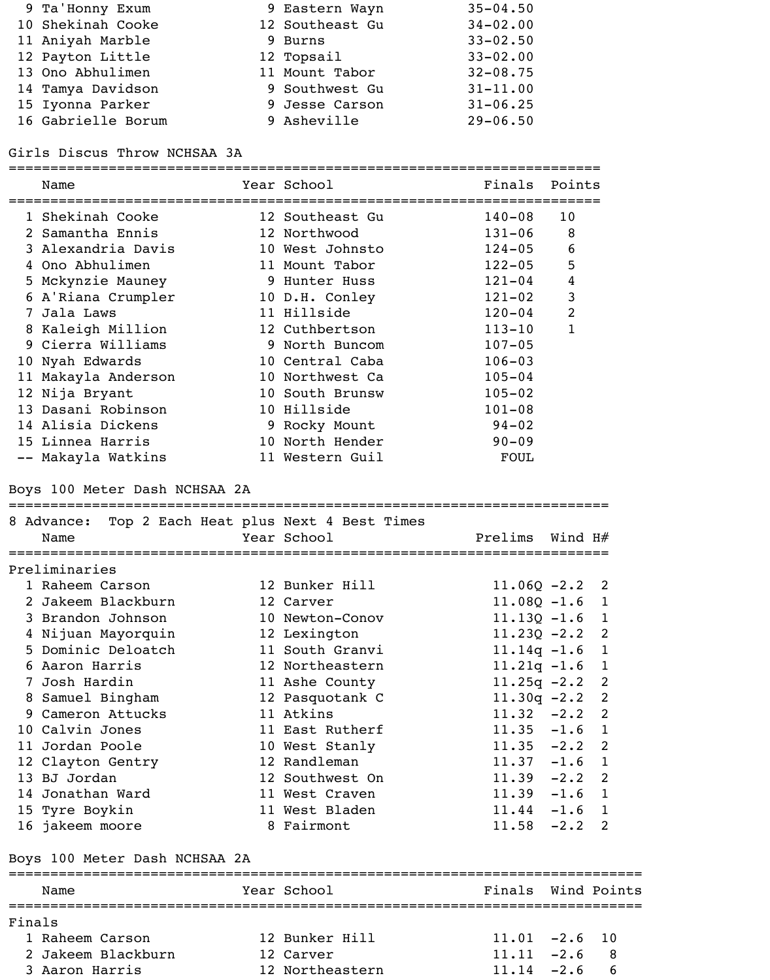| 9 Ta'Honny Exum    | 9 Eastern Wayn  | $35 - 04.50$ |
|--------------------|-----------------|--------------|
| 10 Shekinah Cooke  | 12 Southeast Gu | $34 - 02.00$ |
| 11 Aniyah Marble   | 9 Burns         | $33 - 02.50$ |
| 12 Payton Little   | 12 Topsail      | $33 - 02.00$ |
| 13 Ono Abhulimen   | 11 Mount Tabor  | $32 - 08.75$ |
| 14 Tamya Davidson  | 9 Southwest Gu  | $31 - 11.00$ |
| 15 Iyonna Parker   | 9 Jesse Carson  | $31 - 06.25$ |
| 16 Gabrielle Borum | 9 Asheville     | $29 - 06.50$ |

Girls Discus Throw NCHSAA 3A

|        | Name                                                                               | Year School     | Finals Points    |                |                |
|--------|------------------------------------------------------------------------------------|-----------------|------------------|----------------|----------------|
|        | 1 Shekinah Cooke                                                                   | 12 Southeast Gu | $140 - 08$       | 10             |                |
|        | 2 Samantha Ennis                                                                   | 12 Northwood    | $131 - 06$       | 8              |                |
|        | 3 Alexandria Davis                                                                 | 10 West Johnsto | $124 - 05$       | 6              |                |
|        | 4 Ono Abhulimen                                                                    | 11 Mount Tabor  | $122 - 05$       | 5              |                |
|        | 5 Mckynzie Mauney                                                                  | 9 Hunter Huss   | $121 - 04$       | 4              |                |
|        | 6 A'Riana Crumpler 10 D.H. Conley                                                  |                 | $121 - 02$       | $\mathfrak{Z}$ |                |
|        | 7 Jala Laws                                                                        | 11 Hillside     | $120 - 04$       | $\overline{2}$ |                |
|        | 8 Kaleigh Million                                                                  | 12 Cuthbertson  | $113 - 10$       | $\mathbf{1}$   |                |
|        | 9 Cierra Williams                                                                  | 9 North Buncom  | $107 - 05$       |                |                |
|        | 10 Nyah Edwards                                                                    | 10 Central Caba | $106 - 03$       |                |                |
|        | 11 Makayla Anderson                                                                | 10 Northwest Ca | $105 - 04$       |                |                |
|        | 12 Nija Bryant                                                                     | 10 South Brunsw | $105 - 02$       |                |                |
|        | 13 Dasani Robinson                                                                 | 10 Hillside     | $101 - 08$       |                |                |
|        | 14 Alisia Dickens                                                                  | 9 Rocky Mount   | $94 - 02$        |                |                |
|        | 15 Linnea Harris                                                                   | 10 North Hender | $90 - 09$        |                |                |
|        | -- Makayla Watkins                                                                 | 11 Western Guil | FOUL             |                |                |
|        | Boys 100 Meter Dash NCHSAA 2A<br>8 Advance: Top 2 Each Heat plus Next 4 Best Times |                 |                  |                |                |
|        | Name                                                                               | Year School     | Prelims          | Wind H#        |                |
|        | Preliminaries                                                                      |                 |                  |                |                |
|        | 1 Raheem Carson                                                                    | 12 Bunker Hill  | $11.06Q - 2.2$ 2 |                |                |
|        | 2 Jakeem Blackburn                                                                 | 12 Carver       | $11.08Q - 1.6$ 1 |                |                |
|        | 3 Brandon Johnson                                                                  | 10 Newton-Conov | $11.13Q - 1.6$ 1 |                |                |
|        | 4 Nijuan Mayorquin                                                                 | 12 Lexington    | $11.230 - 2.2$   |                | $\overline{2}$ |
|        | 5 Dominic Deloatch                                                                 | 11 South Granvi | $11.14q - 1.6$   |                | $\mathbf 1$    |
|        | 6 Aaron Harris                                                                     | 12 Northeastern | $11.21q - 1.6$   |                | $\mathbf{1}$   |
|        | 7 Josh Hardin                                                                      | 11 Ashe County  | $11.25q -2.2$    |                | 2              |
|        | 8 Samuel Bingham                                                                   | 12 Pasquotank C | $11.30q -2.2$ 2  |                |                |
|        | 9 Cameron Attucks                                                                  | 11 Atkins       | $11.32 -2.2$ 2   |                |                |
|        | 10 Calvin Jones                                                                    | 11 East Rutherf | $11.35 -1.6$ 1   |                |                |
|        | 11 Jordan Poole                                                                    | 10 West Stanly  | $11.35 -2.2$     |                | 2              |
|        | 12 Clayton Gentry                                                                  | 12 Randleman    | $11.37 - 1.6$    |                | $\mathbf{1}$   |
|        | 13 BJ Jordan                                                                       | 12 Southwest On | $11.39 -2.2$ 2   |                |                |
|        | 14 Jonathan Ward                                                                   | 11 West Craven  | $11.39 - 1.6$ 1  |                |                |
|        | 15 Tyre Boykin                                                                     | 11 West Bladen  | $11.44 - 1.6$ 1  |                |                |
|        | 16 jakeem moore                                                                    | 8 Fairmont      | $11.58 - 2.2$ 2  |                |                |
|        | Boys 100 Meter Dash NCHSAA 2A                                                      |                 |                  |                |                |
|        | Name                                                                               | Year School     | Finals           |                | Wind Points    |
| Finals |                                                                                    |                 |                  |                |                |
|        | 1 Raheem Carson                                                                    | 12 Bunker Hill  | $11.01 -2.6$     |                | 10             |
|        | 2 Jakeem Blackburn                                                                 | 12 Carver       | $11.11 - 2.6$    |                | 8              |

3 Aaron Harris 12 Northeastern 11.14 -2.6 6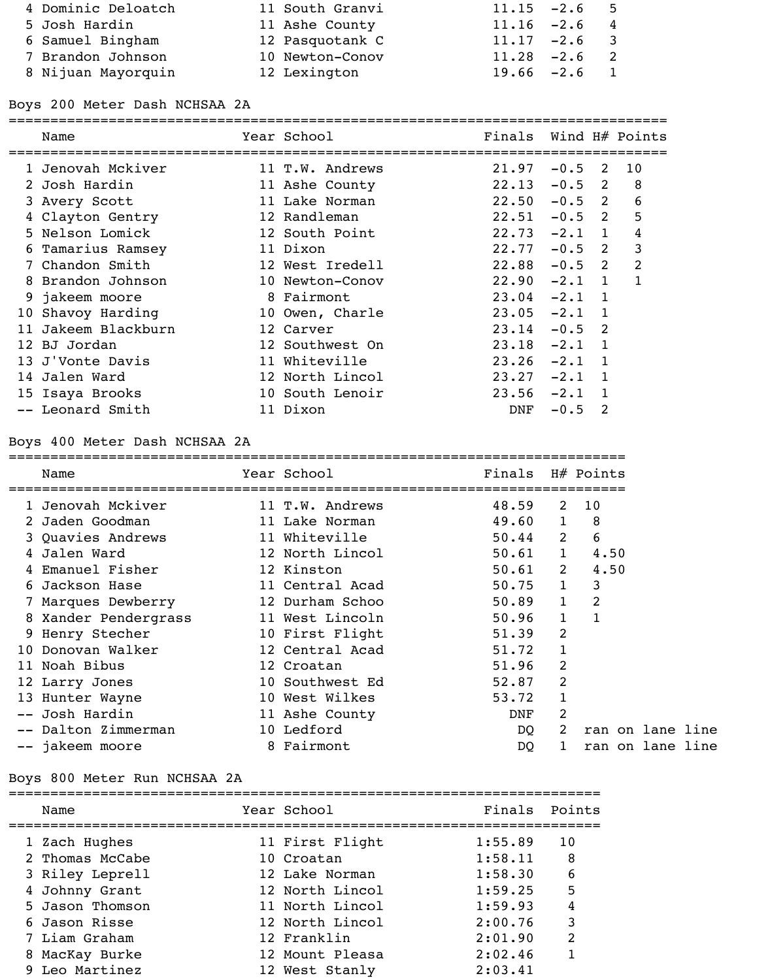| 4 Dominic Deloatch | 11 South Granvi | $11.15 -2.6$ 5                  |
|--------------------|-----------------|---------------------------------|
| 5 Josh Hardin      | 11 Ashe County  | $11.16 -2.6 4$                  |
| 6 Samuel Bingham   | 12 Pasquotank C | $11.17 -2.6$ 3                  |
| 7 Brandon Johnson  | 10 Newton-Conov | $11.28 - 2.6$<br>$\overline{2}$ |
| 8 Nijuan Mayorquin | 12 Lexington    | $19.66 - 2.6$ 1                 |

## Boys 200 Meter Dash NCHSAA 2A

| Name              | Year School     | Finals Wind H# Points |          |              |                |
|-------------------|-----------------|-----------------------|----------|--------------|----------------|
| 1 Jenovah Mckiver | 11 T.W. Andrews | 21.97                 | $-0.5$ 2 |              | 10             |
| 2 Josh Hardin     | 11 Ashe County  | 22.13                 | $-0.5$ 2 |              | 8              |
| 3 Avery Scott     | 11 Lake Norman  | 22.50                 | $-0.5$ 2 |              | 6              |
| 4 Clayton Gentry  | 12 Randleman    | 22.51                 | $-0.5$ 2 |              | 5              |
| 5 Nelson Lomick   | 12 South Point  | $22.73 - 2.1$ 1       |          |              | 4              |
| 6 Tamarius Ramsey | 11 Dixon        | 22.77                 | $-0.5$ 2 |              | 3              |
| 7 Chandon Smith   | 12 West Iredell | 22.88                 | $-0.5$ 2 |              | $\overline{2}$ |
| 8 Brandon Johnson | 10 Newton-Conov | 22.90                 | $-2.1$ 1 |              |                |
| 9 jakeem moore    | 8 Fairmont      | 23.04                 | $-2.1$ 1 |              |                |
| 10 Shavoy Harding | 10 Owen, Charle | 23.05                 | $-2.1$   | $\mathbf{1}$ |                |
| Jakeem Blackburn  | 12 Carver       | 23.14                 | $-0.5$   | -2           |                |
| 12 BJ Jordan      | 12 Southwest On | 23.18                 | $-2.1$   |              |                |
| 13 J'Vonte Davis  | 11 Whiteville   | 23.26                 | $-2.1$   | $\mathbf{1}$ |                |
| 14 Jalen Ward     | 12 North Lincol | 23.27                 | $-2.1$   | 1            |                |
| 15 Isaya Brooks   | 10 South Lenoir | $23.56 - 2.1$         |          | $\mathbf{1}$ |                |
| -- Leonard Smith  | 11 Dixon        | DNF                   | $-0.5$   | 2            |                |
|                   |                 |                       |          |              |                |

## Boys 400 Meter Dash NCHSAA 2A

| Name                 | Year School     | Finals |              | $H#$ Points      |
|----------------------|-----------------|--------|--------------|------------------|
| 1 Jenovah Mckiver    | 11 T.W. Andrews | 48.59  | 2            | 10               |
| 2 Jaden Goodman      | 11 Lake Norman  | 49.60  |              | 8                |
| 3 Quavies Andrews    | 11 Whiteville   | 50.44  | 2            | 6                |
| 4 Jalen Ward         | 12 North Lincol | 50.61  |              | 4.50             |
| 4 Emanuel Fisher     | 12 Kinston      | 50.61  | 2            | 4.50             |
| 6 Jackson Hase       | 11 Central Acad | 50.75  | $\mathbf{1}$ | 3                |
| 7 Marques Dewberry   | 12 Durham Schoo | 50.89  | $\mathbf{1}$ | 2                |
| 8 Xander Pendergrass | 11 West Lincoln | 50.96  |              | $\mathbf{1}$     |
| 9 Henry Stecher      | 10 First Flight | 51.39  | 2            |                  |
| 10 Donovan Walker    | 12 Central Acad | 51.72  | 1            |                  |
| 11 Noah Bibus        | 12 Croatan      | 51.96  | 2            |                  |
| 12 Larry Jones       | 10 Southwest Ed | 52.87  | 2            |                  |
| 13 Hunter Wayne      | 10 West Wilkes  | 53.72  |              |                  |
| -- Josh Hardin       | 11 Ashe County  | DNF    | 2            |                  |
| -- Dalton Zimmerman  | 10 Ledford      | DQ     | 2            | ran on lane line |
| -- jakeem moore      | 8 Fairmont      | DQ     |              | ran on lane line |

## Boys 800 Meter Run NCHSAA 2A

| Name            | Year School     | Finals Points |    |
|-----------------|-----------------|---------------|----|
| 1 Zach Hughes   | 11 First Flight | 1:55.89       | 10 |
| 2 Thomas McCabe | 10 Croatan      | 1:58.11       | 8  |
| 3 Riley Leprell | 12 Lake Norman  | 1:58.30       | 6  |
| 4 Johnny Grant  | 12 North Lincol | 1:59.25       | 5  |
| 5 Jason Thomson | 11 North Lincol | 1:59.93       | 4  |
| 6 Jason Risse   | 12 North Lincol | 2:00.76       | 3  |
| 7 Liam Graham   | 12 Franklin     | 2:01.90       | 2  |
| 8 MacKay Burke  | 12 Mount Pleasa | 2:02.46       |    |
| 9 Leo Martinez  | 12 West Stanly  | 2:03.41       |    |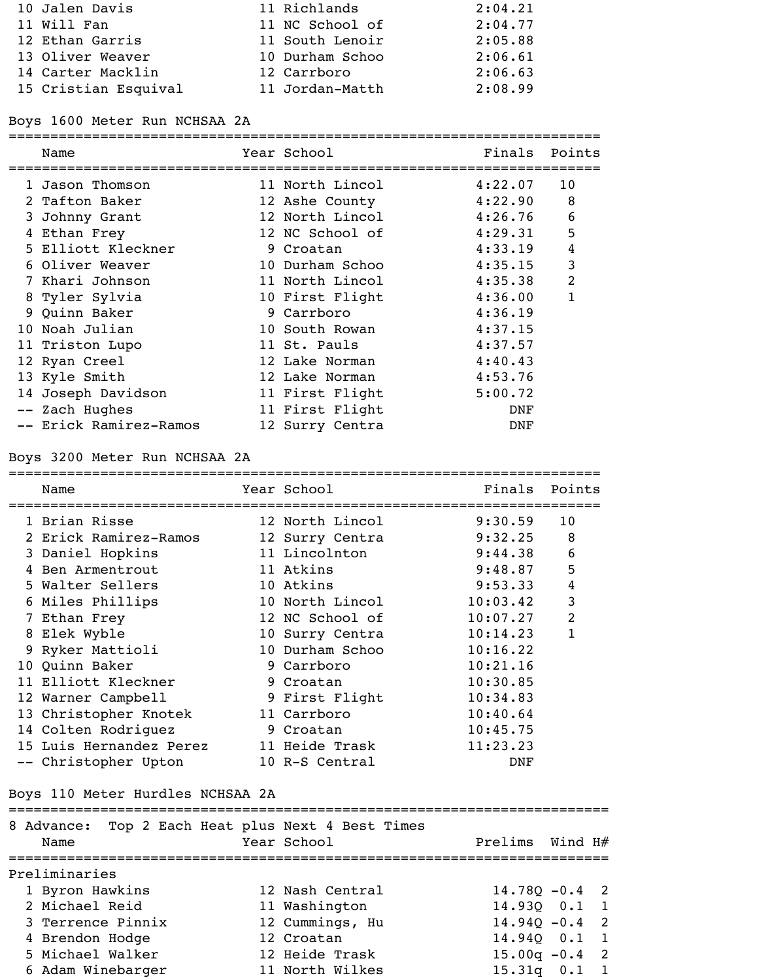| 10 Jalen Davis       | 11 Richlands    | 2:04.21 |
|----------------------|-----------------|---------|
| 11 Will Fan          | 11 NC School of | 2:04.77 |
| 12 Ethan Garris      | 11 South Lenoir | 2:05.88 |
| 13 Oliver Weaver     | 10 Durham Schoo | 2:06.61 |
| 14 Carter Macklin    | 12 Carrboro     | 2:06.63 |
| 15 Cristian Esquival | 11 Jordan-Matth | 2:08.99 |

# Boys 1600 Meter Run NCHSAA 2A

=======================================================================

| Name                   | Year School     | Finals  | Points         |
|------------------------|-----------------|---------|----------------|
| 1 Jason Thomson        | 11 North Lincol | 4:22.07 | 10             |
| 2 Tafton Baker         | 12 Ashe County  | 4:22.90 | 8              |
| 3 Johnny Grant         | 12 North Lincol | 4:26.76 | 6              |
| 4 Ethan Frey           | 12 NC School of | 4:29.31 | 5              |
| 5 Elliott Kleckner     | 9 Croatan       | 4:33.19 | $\overline{4}$ |
| 6 Oliver Weaver        | 10 Durham Schoo | 4:35.15 | $\overline{3}$ |
| 7 Khari Johnson        | 11 North Lincol | 4:35.38 | $\overline{2}$ |
| 8 Tyler Sylvia         | 10 First Flight | 4:36.00 | 1              |
| 9 Quinn Baker          | 9 Carrboro      | 4:36.19 |                |
| 10 Noah Julian         | 10 South Rowan  | 4:37.15 |                |
| 11 Triston Lupo        | 11 St. Pauls    | 4:37.57 |                |
| 12 Ryan Creel          | 12 Lake Norman  | 4:40.43 |                |
| 13 Kyle Smith          | 12 Lake Norman  | 4:53.76 |                |
| 14 Joseph Davidson     | 11 First Flight | 5:00.72 |                |
| -- Zach Hughes         | 11 First Flight | DNF     |                |
| -- Erick Ramirez-Ramos | 12 Surry Centra | DNF     |                |

# Boys 3200 Meter Run NCHSAA 2A

|   | Name                    | Year School     | Finals   | Points         |
|---|-------------------------|-----------------|----------|----------------|
|   | 1 Brian Risse           | 12 North Lincol | 9:30.59  | 10             |
|   | 2 Erick Ramirez-Ramos   | 12 Surry Centra | 9:32.25  | 8              |
|   | 3 Daniel Hopkins        | 11 Lincolnton   | 9:44.38  | 6              |
| 4 | Ben Armentrout          | 11 Atkins       | 9:48.87  | 5              |
|   | 5 Walter Sellers        | 10 Atkins       | 9:53.33  | 4              |
|   | 6 Miles Phillips        | 10 North Lincol | 10:03.42 | 3              |
|   | 7 Ethan Frey            | 12 NC School of | 10:07.27 | $\overline{2}$ |
|   | 8 Elek Wyble            | 10 Surry Centra | 10:14.23 | $\mathbf{1}$   |
|   | 9 Ryker Mattioli        | 10 Durham Schoo | 10:16.22 |                |
|   | 10 Quinn Baker          | 9 Carrboro      | 10:21.16 |                |
|   | 11 Elliott Kleckner     | 9 Croatan       | 10:30.85 |                |
|   | 12 Warner Campbell      | 9 First Flight  | 10:34.83 |                |
|   | 13 Christopher Knotek   | 11 Carrboro     | 10:40.64 |                |
|   | 14 Colten Rodriguez     | 9 Croatan       | 10:45.75 |                |
|   | 15 Luis Hernandez Perez | 11 Heide Trask  | 11:23.23 |                |
|   | -- Christopher Upton    | 10 R-S Central  | DNF      |                |
|   |                         |                 |          |                |

# Boys 110 Meter Hurdles NCHSAA 2A

| 8 Advance:<br>Name |  |  | Top 2 Each Heat plus Next 4 Best Times<br>Year School | Prelims Wind H#  |  |
|--------------------|--|--|-------------------------------------------------------|------------------|--|
| Preliminaries      |  |  |                                                       |                  |  |
| 1 Byron Hawkins    |  |  | 12 Nash Central                                       | $14.780 - 0.4$ 2 |  |
| 2 Michael Reid     |  |  | 11 Washington                                         | 14.930  0.1  1   |  |
| 3 Terrence Pinnix  |  |  | 12 Cummings, Hu                                       | $14.940 - 0.4$ 2 |  |
| 4 Brendon Hodge    |  |  | 12 Croatan                                            | $14.940$ 0.1     |  |
| 5 Michael Walker   |  |  | 12 Heide Trask                                        | $15.00q - 0.4$ 2 |  |
| 6 Adam Winebarger  |  |  | 11 North Wilkes                                       | 15.31q 0.1       |  |
|                    |  |  |                                                       |                  |  |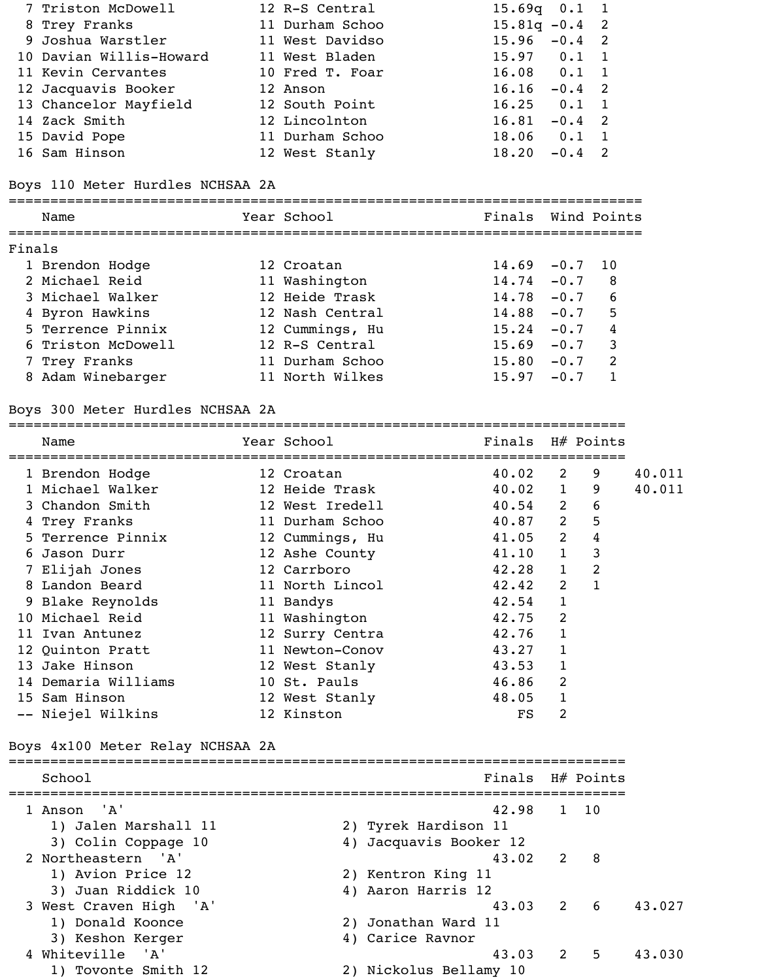|                                                                                                                                                                                                              | 16.16                                                                                                                                                                         | $-0.4$ 2 |                                                                                                                               |
|--------------------------------------------------------------------------------------------------------------------------------------------------------------------------------------------------------------|-------------------------------------------------------------------------------------------------------------------------------------------------------------------------------|----------|-------------------------------------------------------------------------------------------------------------------------------|
|                                                                                                                                                                                                              |                                                                                                                                                                               |          |                                                                                                                               |
|                                                                                                                                                                                                              | 16.81                                                                                                                                                                         | $-0.4$ 2 |                                                                                                                               |
|                                                                                                                                                                                                              |                                                                                                                                                                               |          |                                                                                                                               |
|                                                                                                                                                                                                              | 18.20                                                                                                                                                                         | $-0.4$ 2 |                                                                                                                               |
| 7 Triston McDowell<br>8 Trey Franks<br>9 Joshua Warstler<br>10 Davian Willis-Howard<br>11 Kevin Cervantes<br>12 Jacquavis Booker<br>13 Chancelor Mayfield<br>14 Zack Smith<br>15 David Pope<br>16 Sam Hinson | 12 R-S Central<br>11 Durham Schoo<br>11 West Davidso<br>11 West Bladen<br>10 Fred T. Foar<br>12 Anson<br>12 South Point<br>12 Lincolnton<br>11 Durham Schoo<br>12 West Stanly |          | $15.69q$ 0.1 1<br>$15.81q - 0.4$ 2<br>$15.96 - 0.4$ 2<br>$15.97$ $0.1$ 1<br>$16.08$ $0.1$ 1<br>$16.25$ $0.1$ 1<br>$18.06$ 0.1 |

## Boys 110 Meter Hurdles NCHSAA 2A

|        | Name               | Year School     | Finals Wind Points |        |    |
|--------|--------------------|-----------------|--------------------|--------|----|
| Finals |                    |                 |                    |        |    |
|        | 1 Brendon Hodge    | 12 Croatan      | $14.69 - 0.7$      |        | 10 |
|        | 2 Michael Reid     | 11 Washington   | $14.74 - 0.7$      |        | 8  |
|        | 3 Michael Walker   | 12 Heide Trask  | $14.78 - 0.7$      |        | 6  |
|        | 4 Byron Hawkins    | 12 Nash Central | 14.88              | $-0.7$ | 5  |
|        | 5 Terrence Pinnix  | 12 Cummings, Hu | 15.24              | $-0.7$ | 4  |
|        | 6 Triston McDowell | 12 R-S Central  | 15.69              | $-0.7$ | 3  |
|        | 7 Trey Franks      | 11 Durham Schoo | 15.80              | $-0.7$ | 2  |
|        | 8 Adam Winebarger  | 11 North Wilkes | 15.97              | $-0.7$ |    |

## Boys 300 Meter Hurdles NCHSAA 2A

========================================================================== Name Year School Finals H# Points

| 1 Brendon Hodge     | 12 Croatan      | 40.02 | $\overline{2}$ | 9 | 40.011 |
|---------------------|-----------------|-------|----------------|---|--------|
| 1 Michael Walker    | 12 Heide Trask  | 40.02 | $\mathbf{1}$   | 9 | 40.011 |
| 3 Chandon Smith     | 12 West Iredell | 40.54 | 2              | 6 |        |
| 4 Trey Franks       | 11 Durham Schoo | 40.87 | $\overline{2}$ | 5 |        |
| 5 Terrence Pinnix   | 12 Cummings, Hu | 41.05 | $\overline{2}$ | 4 |        |
| 6 Jason Durr        | 12 Ashe County  | 41.10 | $\mathbf{1}$   | 3 |        |
| 7 Elijah Jones      | 12 Carrboro     | 42.28 | $\mathbf{1}$   | 2 |        |
| 8 Landon Beard      | 11 North Lincol | 42.42 | 2              |   |        |
| 9 Blake Reynolds    | 11 Bandys       | 42.54 | 1              |   |        |
| 10 Michael Reid     | 11 Washington   | 42.75 | 2              |   |        |
| 11 Ivan Antunez     | 12 Surry Centra | 42.76 |                |   |        |
| 12 Quinton Pratt    | 11 Newton-Conov | 43.27 |                |   |        |
| 13 Jake Hinson      | 12 West Stanly  | 43.53 | 1              |   |        |
| 14 Demaria Williams | 10 St. Pauls    | 46.86 | 2              |   |        |
| 15 Sam Hinson       | 12 West Stanly  | 48.05 |                |   |        |
| -- Niejel Wilkins   | 12 Kinston      | FS    | 2              |   |        |

## Boys 4x100 Meter Relay NCHSAA 2A

| 42.98                  |                        |         |                                                        |
|------------------------|------------------------|---------|--------------------------------------------------------|
| 2) Tyrek Hardison 11   |                        |         |                                                        |
|                        |                        |         |                                                        |
|                        |                        | - 8     |                                                        |
| 2) Kentron King 11     |                        |         |                                                        |
| 4) Aaron Harris 12     |                        |         |                                                        |
|                        |                        |         | 43.027                                                 |
| 2) Jonathan Ward 11    |                        |         |                                                        |
| 4) Carice Ravnor       |                        |         |                                                        |
| 43.03                  | 2                      | -5      | 43.030                                                 |
| 2) Nickolus Bellamy 10 |                        |         |                                                        |
|                        | 4) Jacquavis Booker 12 | 43.02 2 | Finals H# Points<br>1 10<br>43.03 2<br>$6\overline{6}$ |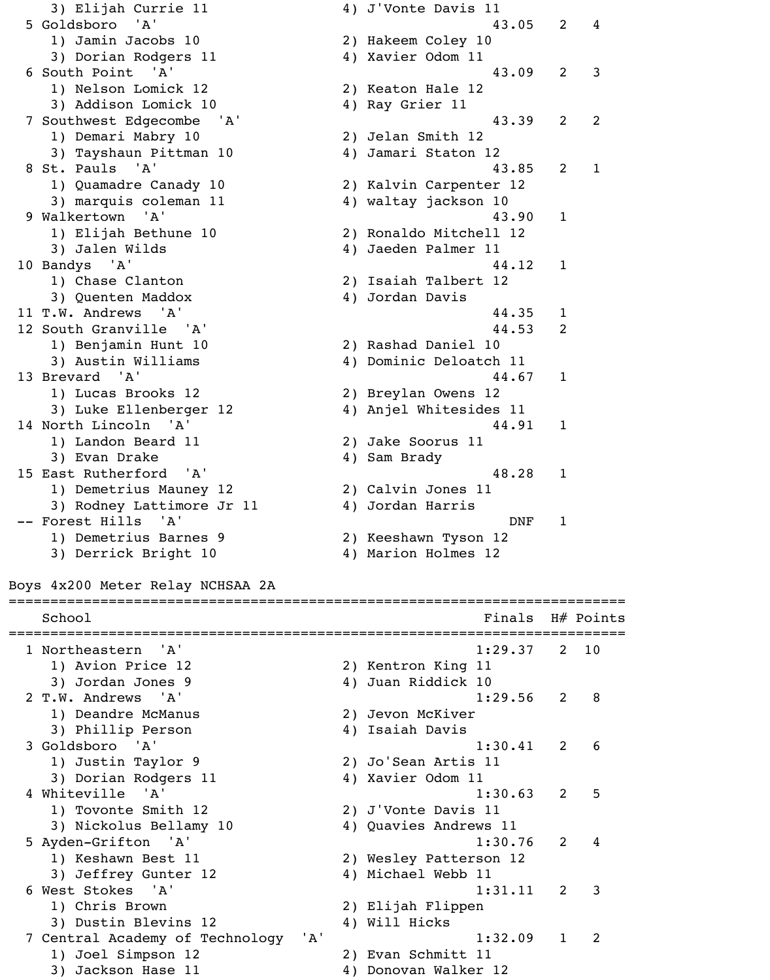3) Elijah Currie 11 4) J'Vonte Davis 11 5 Goldsboro 'A' 43.05 2 4 1) Jamin Jacobs 10 2) Hakeem Coley 10 3) Dorian Rodgers 11 4) Xavier Odom 11 6 South Point 'A' 43.09 2 3 1) Nelson Lomick 12 2) Keaton Hale 12 3) Addison Lomick 10 4) Ray Grier 11 7 Southwest Edgecombe 'A' 43.39 2 2 1) Demari Mabry 10 2) Jelan Smith 12 3) Tayshaun Pittman 10 4) Jamari Staton 12 8 St. Pauls 'A' 13.85 2 1 1) Quamadre Canady 10 2) Kalvin Carpenter 12 3) marquis coleman 11 4) waltay jackson 10 9 Walkertown 'A' 43.90 1 1) Elijah Bethune 10 2) Ronaldo Mitchell 12 3) Jalen Wilds (4) Jaeden Palmer 11 10 Bandys 'A' 44.12 1 1) Chase Clanton 2) Isaiah Talbert 12 3) Quenten Maddox 4) Jordan Davis 11 T.W. Andrews 'A' 44.35 1 12 South Granville 'A' 44.53 2 1) Benjamin Hunt 10 2) Rashad Daniel 10 3) Austin Williams 4) Dominic Deloatch 11 13 Brevard 'A' 44.67 1 1) Lucas Brooks 12 2) Breylan Owens 12 3) Luke Ellenberger 12 (4) Anjel Whitesides 11 14 North Lincoln 'A' 44.91 1 1) Landon Beard 11 2) Jake Soorus 11 3) Evan Drake 1988 (4) Sam Brady 15 East Rutherford 'A' 15 28 1 1) Demetrius Mauney 12 (2) Calvin Jones 11 3) Rodney Lattimore Jr 11 4) Jordan Harris -- Forest Hills 'A' DNF 1 1) Demetrius Barnes 9 2) Keeshawn Tyson 12 3) Derrick Bright 10 4) Marion Holmes 12

Boys 4x200 Meter Relay NCHSAA 2A

| School                                 |    | Finals                 |                | H# Points      |
|----------------------------------------|----|------------------------|----------------|----------------|
| 1 Northeastern 'A'                     |    | 1:29.37                | $\overline{2}$ | 10             |
| 1) Avion Price 12                      |    | 2) Kentron King 11     |                |                |
| 3) Jordan Jones 9                      |    | 4) Juan Riddick 10     |                |                |
| 2 T.W. Andrews 'A'                     |    | 1:29.56                | 2              | 8              |
| 1) Deandre McManus                     |    | 2) Jevon McKiver       |                |                |
| 3) Phillip Person                      |    | 4) Isaiah Davis        |                |                |
| 3 Goldsboro 'A'                        |    | 1:30.41                | 2              | 6              |
| 1) Justin Taylor 9                     |    | 2) Jo'Sean Artis 11    |                |                |
| 3) Dorian Rodgers 11                   |    | 4) Xavier Odom 11      |                |                |
| 4 Whiteville 'A'                       |    | 1:30.63                | 2              | 5              |
| 1) Tovonte Smith 12                    |    | 2) J'Vonte Davis 11    |                |                |
| 3) Nickolus Bellamy 10                 |    | 4) Quavies Andrews 11  |                |                |
| 5 Ayden-Grifton 'A'                    |    | 1:30.76                | 2              | 4              |
| 1) Keshawn Best 11                     |    | 2) Wesley Patterson 12 |                |                |
| 3) Jeffrey Gunter 12                   |    | 4) Michael Webb 11     |                |                |
| 6 West Stokes 'A'                      |    | 1:31.11                | $\overline{2}$ | 3              |
| 1) Chris Brown                         |    | 2) Elijah Flippen      |                |                |
| 3) Dustin Blevins 12                   |    | 4) Will Hicks          |                |                |
| 'A'<br>7 Central Academy of Technology |    | 1:32.09                |                | $\overline{2}$ |
| 1) Joel Simpson 12                     |    | 2) Evan Schmitt 11     |                |                |
| Jackson Hase 11<br>3)                  | 4) | Donovan Walker 12      |                |                |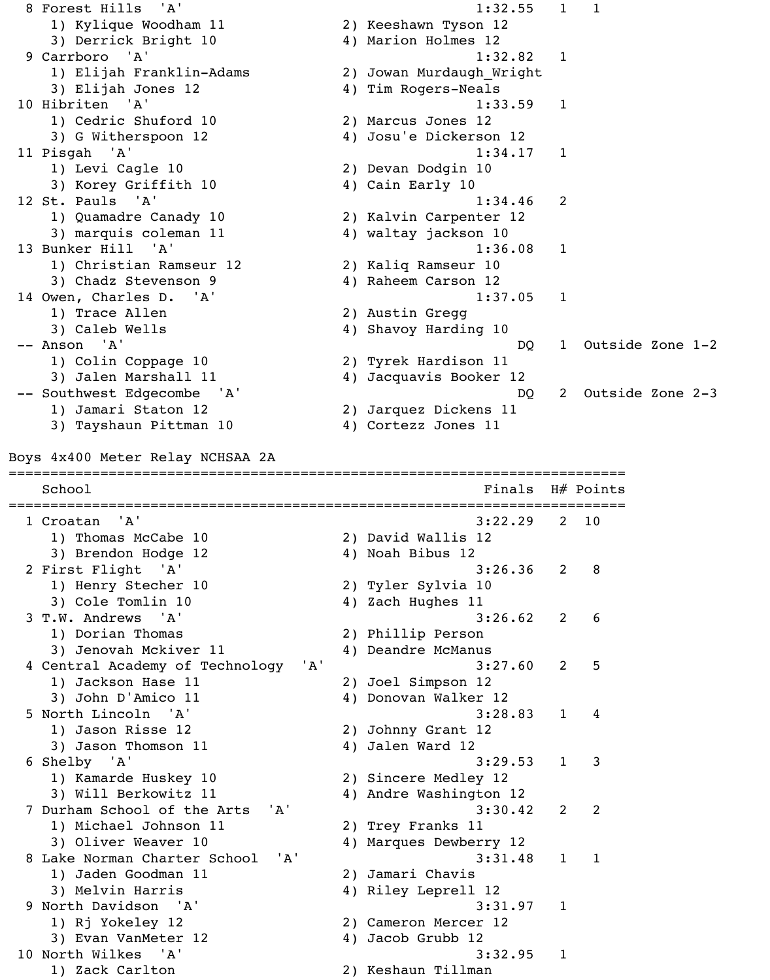8 Forest Hills 'A' 1:32.55 1 1 1) Kylique Woodham 11 2) Keeshawn Tyson 12 3) Derrick Bright 10  $\hskip1cm \hskip1cm 4$ ) Marion Holmes 12 9 Carrboro 'A' 1:32.82 1 1) Elijah Franklin-Adams 2) Jowan Murdaugh\_Wright 3) Elijah Jones 12 4) Tim Rogers-Neals 10 Hibriten 'A' 1:33.59 1 1) Cedric Shuford 10 2) Marcus Jones 12 3) G Witherspoon 12 4) Josu'e Dickerson 12 11 Pisgah 'A' 1:34.17 1 1) Levi Cagle 10 2) Devan Dodgin 10 3) Korey Griffith 10 4) Cain Early 10 12 St. Pauls 'A' 1:34.46 2 1) Quamadre Canady 10 2) Kalvin Carpenter 12 3) marquis coleman 11 4) waltay jackson 10 13 Bunker Hill 'A' 1:36.08 1 1) Christian Ramseur 12 2) Kaliq Ramseur 10 3) Chadz Stevenson 9 4) Raheem Carson 12 14 Owen, Charles D. 'A' 1:37.05 1 1) Trace Allen 2) Austin Gregg 3) Caleb Wells 4) Shavoy Harding 10 -- Anson 'A' DQ 1 Outside Zone 1-2 1) Colin Coppage 10 2) Tyrek Hardison 11 3) Jalen Marshall 11 4) Jacquavis Booker 12 -- Southwest Edgecombe 'A' based on the DQ 2 Outside Zone 2-3 1) Jamari Staton 12 2) Jarquez Dickens 11 3) Tayshaun Pittman 10 4) Cortezz Jones 11 Boys 4x400 Meter Relay NCHSAA 2A ========================================================================== School **Finals** H# Points ========================================================================== 1 Croatan 'A' 3:22.29 2 10 1) Thomas McCabe 10 2) David Wallis 12 3) Brendon Hodge 12 4) Noah Bibus 12 2 First Flight 'A' 3:26.36 2 8 1) Henry Stecher 10 2) Tyler Sylvia 10 3) Cole Tomlin 10 4) Zach Hughes 11 3 T.W. Andrews 'A' 3:26.62 2 6 1) Dorian Thomas 2) Phillip Person 3) Jenovah Mckiver 11 (4) Deandre McManus 4 Central Academy of Technology 'A' 3:27.60 2 5 1) Jackson Hase 11 2) Joel Simpson 12 3) John D'Amico 11 4) Donovan Walker 12 5 North Lincoln 'A' 3:28.83 1 4 1) Jason Risse 12 2) Johnny Grant 12 3) Jason Thomson 11 4) Jalen Ward 12 6 Shelby 'A' 3:29.53 1 3 1) Kamarde Huskey 10 2) Sincere Medley 12 3) Will Berkowitz 11 4) Andre Washington 12 7 Durham School of the Arts 'A' 3:30.42 2 2 1) Michael Johnson 11 2) Trey Franks 11 3) Oliver Weaver 10 4) Marques Dewberry 12 8 Lake Norman Charter School 'A' 3:31.48 1 1 1) Jaden Goodman 11 2) Jamari Chavis 3) Melvin Harris 4) Riley Leprell 12 9 North Davidson 'A' 3:31.97 1 1) Rj Yokeley 12 2) Cameron Mercer 12 3) Evan VanMeter 12 4) Jacob Grubb 12 10 North Wilkes 'A' 3:32.95 1 1) Zack Carlton 2) Keshaun Tillman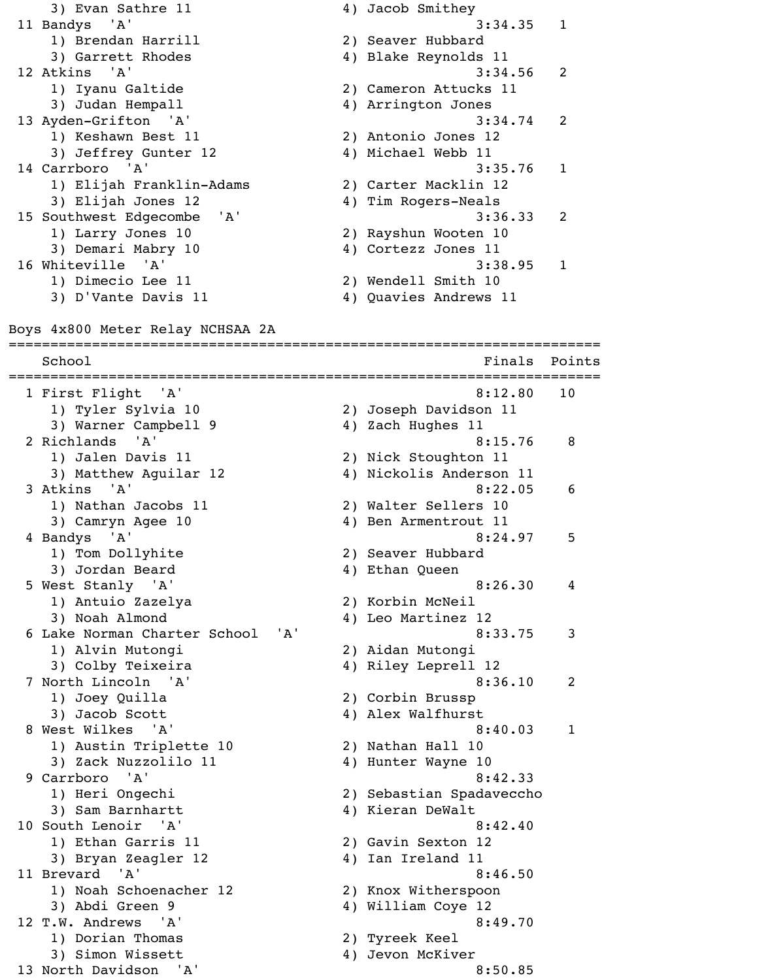3) Evan Sathre 11 4) Jacob Smithey 11 Bandys 'A' 3:34.35 1 1) Brendan Harrill 2) Seaver Hubbard 3) Garrett Rhodes (4) Blake Reynolds 11 12 Atkins 'A' 3:34.56 2 1) Iyanu Galtide 2) Cameron Attucks 11 3) Judan Hempall 4) Arrington Jones 13 Ayden-Grifton 'A' 3:34.74 2 1) Keshawn Best 11 2) Antonio Jones 12 3) Jeffrey Gunter 12 4) Michael Webb 11 14 Carrboro 'A' 3:35.76 1 1) Elijah Franklin-Adams 2) Carter Macklin 12 3) Elijah Jones 12 4) Tim Rogers-Neals 15 Southwest Edgecombe 'A' 3:36.33 2 1) Larry Jones 10 2) Rayshun Wooten 10 3) Demari Mabry 10 4) Cortezz Jones 11 16 Whiteville 'A' 3:38.95 1 1) Dimecio Lee 11 2) Wendell Smith 10 3) D'Vante Davis 11 (4) Quavies Andrews 11 Boys 4x800 Meter Relay NCHSAA 2A ======================================================================= School **Finals** Points Points Points Points Points Points Points Points Points Points Points Points Points Points Points Points Points Points Points Points Points Points Points Points Points Points Points Points Points Poi ======================================================================= 1 First Flight 'A' 8:12.80 10 1) Tyler Sylvia 10 2) Joseph Davidson 11 3) Warner Campbell 9 4) Zach Hughes 11 2 Richlands 'A' 8:15.76 8 1) Jalen Davis 11 2) Nick Stoughton 11 3) Matthew Aguilar 12 4) Nickolis Anderson 11 3 Atkins 'A' 8:22.05 6 1) Nathan Jacobs 11 2) Walter Sellers 10 3) Camryn Agee 10 4) Ben Armentrout 11 4 Bandys 'A' 8:24.97 5 1) Tom Dollyhite 2) Seaver Hubbard 3) Jordan Beard 4) Ethan Queen 5 West Stanly 'A' 8:26.30 4 1) Antuio Zazelya 2) Korbin McNeil 3) Noah Almond 4) Leo Martinez 12 6 Lake Norman Charter School 'A' 8:33.75 3 1) Alvin Mutongi 2) Aidan Mutongi 3) Colby Teixeira 4) Riley Leprell 12 7 North Lincoln 'A' 8:36.10 2 1) Joey Quilla 2) Corbin Brussp 3) Jacob Scott 4) Alex Walfhurst 8 West Wilkes 'A' 3:40.03 1 1) Austin Triplette 10 2) Nathan Hall 10 3) Zack Nuzzolilo 11 4) Hunter Wayne 10 9 Carrboro 'A' 8:42.33 1) Heri Ongechi 2) Sebastian Spadaveccho 3) Sam Barnhartt 4) Kieran DeWalt 10 South Lenoir 'A' 8:42.40 1) Ethan Garris 11 2) Gavin Sexton 12 3) Bryan Zeagler 12 (4) Ian Ireland 11 11 Brevard 'A' 8:46.50 1) Noah Schoenacher 12 2) Knox Witherspoon 3) Abdi Green 9 4) William Coye 12 12 T.W. Andrews 'A' 8:49.70 1) Dorian Thomas 2) Tyreek Keel 3) Simon Wissett 4) Jevon McKiver 13 North Davidson 'A' 8:50.85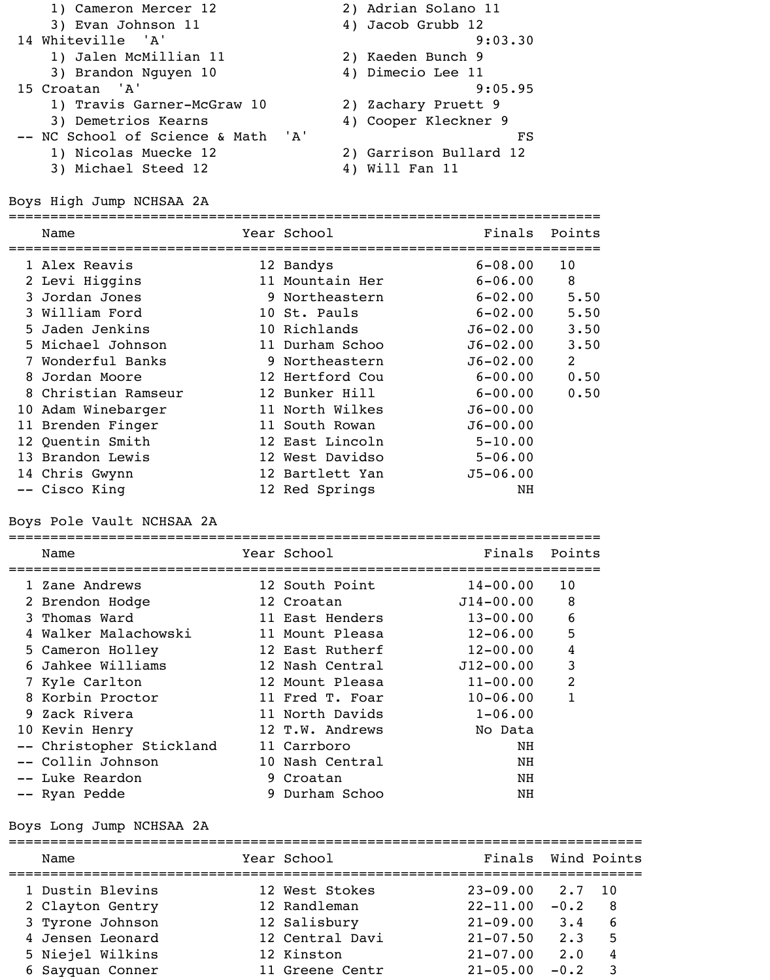| 1) Cameron Mercer 12               | 2) Adrian Solano 11    |
|------------------------------------|------------------------|
| 3) Evan Johnson 11                 | 4) Jacob Grubb 12      |
| 14 Whiteville 'A'                  | 9:03.30                |
| 1) Jalen McMillian 11              | 2) Kaeden Bunch 9      |
| 3) Brandon Nguyen 10               | 4) Dimecio Lee 11      |
| 15 Croatan 'A'                     | 9:05.95                |
| 1) Travis Garner-McGraw 10         | 2) Zachary Pruett 9    |
| 3) Demetrios Kearns                | 4) Cooper Kleckner 9   |
| -- NC School of Science & Math 'A' | FS                     |
| 1) Nicolas Muecke 12               | 2) Garrison Bullard 12 |
| 3) Michael Steed 12                | Will Fan 11<br>4)      |

Boys High Jump NCHSAA 2A

|  | Name                | Year School     | Finals       | Points          |
|--|---------------------|-----------------|--------------|-----------------|
|  | 1 Alex Reavis       | 12 Bandys       | $6 - 08.00$  | 10 <sub>o</sub> |
|  | 2 Levi Higgins      | 11 Mountain Her | $6 - 06.00$  | 8               |
|  | 3 Jordan Jones      | 9 Northeastern  | $6 - 02.00$  | 5.50            |
|  | 3 William Ford      | 10 St. Pauls    | $6 - 02.00$  | 5.50            |
|  | 5 Jaden Jenkins     | 10 Richlands    | $J6 - 02.00$ | 3.50            |
|  | 5 Michael Johnson   | 11 Durham Schoo | $J6 - 02.00$ | 3.50            |
|  | 7 Wonderful Banks   | 9 Northeastern  | $J6 - 02.00$ | $\overline{2}$  |
|  | 8 Jordan Moore      | 12 Hertford Cou | $6 - 00.00$  | 0.50            |
|  | 8 Christian Ramseur | 12 Bunker Hill  | $6 - 00.00$  | 0.50            |
|  | 10 Adam Winebarger  | 11 North Wilkes | $J6 - 00.00$ |                 |
|  | 11 Brenden Finger   | 11 South Rowan  | $J6 - 00.00$ |                 |
|  | 12 Quentin Smith    | 12 East Lincoln | $5 - 10.00$  |                 |
|  | 13 Brandon Lewis    | 12 West Davidso | $5 - 06.00$  |                 |
|  | 14 Chris Gwynn      | 12 Bartlett Yan | $J5 - 06.00$ |                 |
|  | -- Cisco King       | 12 Red Springs  | NH           |                 |
|  |                     |                 |              |                 |

Boys Pole Vault NCHSAA 2A

| Name                     | Year School     | Finals        | Points         |
|--------------------------|-----------------|---------------|----------------|
| 1 Zane Andrews           | 12 South Point  | $14 - 00.00$  | 10             |
| 2 Brendon Hodge          | 12 Croatan      | $J14 - 00.00$ | 8              |
| 3 Thomas Ward            | 11 East Henders | $13 - 00.00$  | 6              |
| 4 Walker Malachowski     | 11 Mount Pleasa | $12 - 06.00$  | 5              |
| 5 Cameron Holley         | 12 East Rutherf | $12 - 00.00$  | 4              |
| 6 Jahkee Williams        | 12 Nash Central | $J12 - 00.00$ | 3              |
| 7 Kyle Carlton           | 12 Mount Pleasa | $11 - 00.00$  | $\overline{2}$ |
| 8 Korbin Proctor         | 11 Fred T. Foar | $10 - 06.00$  | 1              |
| 9 Zack Rivera            | 11 North Davids | $1 - 06.00$   |                |
| 10 Kevin Henry           | 12 T.W. Andrews | No Data       |                |
| -- Christopher Stickland | 11 Carrboro     | NH            |                |
| -- Collin Johnson        | 10 Nash Central | NH            |                |
| -- Luke Reardon          | 9 Croatan       | NH            |                |
| -- Ryan Pedde            | 9 Durham Schoo  | NH            |                |

Boys Long Jump NCHSAA 2A

| Name             | Year School     | Finals Wind Points |        |    |
|------------------|-----------------|--------------------|--------|----|
| 1 Dustin Blevins | 12 West Stokes  | $23 - 09.00$       | 2.7 10 |    |
| 2 Clayton Gentry | 12 Randleman    | $22 - 11.00$       | $-0.2$ | -8 |
| 3 Tyrone Johnson | 12 Salisbury    | $21 - 09.00$       | 3.4    | 6  |
| 4 Jensen Leonard | 12 Central Davi | $21 - 07.50$       | 2.3    | 5  |
| 5 Niejel Wilkins | 12 Kinston      | $21 - 07.00$       | 2.0    | 4  |
| 6 Sayquan Conner | 11 Greene Centr | $21 - 05.00$       | $-0.2$ |    |
|                  |                 |                    |        |    |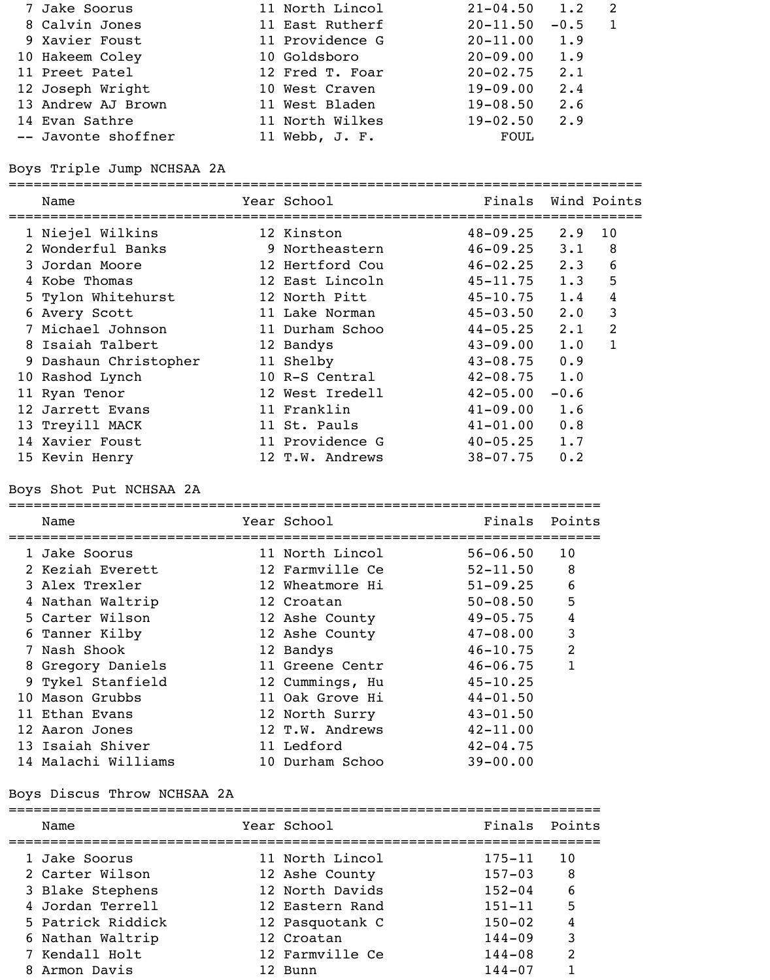| 7 Jake Soorus       | 11 North Lincol | $21 - 04.50$ 1.2 |             |  |
|---------------------|-----------------|------------------|-------------|--|
| 8 Calvin Jones      | 11 East Rutherf | $20 - 11.50$     | $-0.5$      |  |
| 9 Xavier Foust      | 11 Providence G | $20 - 11.00$     | 1.9         |  |
| 10 Hakeem Coley     | 10 Goldsboro    | $20 - 09.00$     | 1.9         |  |
| 11 Preet Patel      | 12 Fred T. Foar | $20 - 02.75$     | $2 \cdot 1$ |  |
| 12 Joseph Wright    | 10 West Craven  | $19 - 09.00$     | 2.4         |  |
| 13 Andrew AJ Brown  | 11 West Bladen  | $19 - 08.50$     | 2.6         |  |
| 14 Evan Sathre      | 11 North Wilkes | $19 - 02.50$     | 2.9         |  |
| -- Javonte shoffner | 11 Webb, J. F.  | FOUL             |             |  |

Boys Triple Jump NCHSAA 2A

|   | Name                    | Year School     | Finals           |             | Wind Points    |
|---|-------------------------|-----------------|------------------|-------------|----------------|
|   | 1 Niejel Wilkins        | 12 Kinston      | $48 - 09.25$     | 2.9         | 10             |
|   | 2 Wonderful Banks       | 9 Northeastern  | $46 - 09.25$     | $3 \cdot 1$ | 8              |
|   | 3 Jordan Moore          | 12 Hertford Cou | $46 - 02.25$ 2.3 |             | 6              |
|   | Kobe Thomas             | 12 East Lincoln | $45 - 11.75$ 1.3 |             | 5              |
|   | 5 Tylon Whitehurst      | 12 North Pitt   | $45 - 10.75$ 1.4 |             | $\overline{4}$ |
| 6 | Avery Scott             | 11 Lake Norman  | $45 - 03.50$     | $2 \cdot 0$ | 3              |
|   | 7 Michael Johnson       | 11 Durham Schoo | $44 - 05.25$     | $2 \cdot 1$ | 2              |
|   | 8 Isaiah Talbert        | 12 Bandys       | $43 - 09.00$     | 1.0         | $\mathbf{1}$   |
|   | 9 Dashaun Christopher   | 11 Shelby       | $43 - 08.75$     | 0.9         |                |
|   | 10 Rashod Lynch         | 10 R-S Central  | $42 - 08.75$     | 1.0         |                |
|   | 11 Ryan Tenor           | 12 West Iredell | $42 - 05.00$     | $-0.6$      |                |
|   | 12 Jarrett Evans        | 11 Franklin     | $41 - 09.00$     | 1.6         |                |
|   | 13 Treyill MACK         | 11 St. Pauls    | $41 - 01.00$     | 0.8         |                |
|   | 14 Xavier Foust         | 11 Providence G | $40 - 05.25$     | 1.7         |                |
|   | 15 Kevin Henry          | 12 T.W. Andrews | $38 - 07.75$     | 0.2         |                |
|   | Boys Shot Put NCHSAA 2A |                 |                  |             |                |

|  | Name                | Year School     | Finals       | Points         |
|--|---------------------|-----------------|--------------|----------------|
|  | 1 Jake Soorus       | 11 North Lincol | $56 - 06.50$ | 10             |
|  | 2 Keziah Everett    | 12 Farmville Ce | $52 - 11.50$ | 8              |
|  | 3 Alex Trexler      | 12 Wheatmore Hi | $51 - 09.25$ | 6              |
|  | 4 Nathan Waltrip    | 12 Croatan      | $50 - 08.50$ | 5              |
|  | 5 Carter Wilson     | 12 Ashe County  | $49 - 05.75$ | 4              |
|  | 6 Tanner Kilby      | 12 Ashe County  | $47 - 08.00$ | 3              |
|  | 7 Nash Shook        | 12 Bandys       | $46 - 10.75$ | $\overline{2}$ |
|  | 8 Gregory Daniels   | 11 Greene Centr | $46 - 06.75$ |                |
|  | 9 Tykel Stanfield   | 12 Cummings, Hu | $45 - 10.25$ |                |
|  | 10 Mason Grubbs     | 11 Oak Grove Hi | $44 - 01.50$ |                |
|  | 11 Ethan Evans      | 12 North Surry  | $43 - 01.50$ |                |
|  | 12 Aaron Jones      | 12 T.W. Andrews | $42 - 11.00$ |                |
|  | 13 Isaiah Shiver    | 11 Ledford      | $42 - 04.75$ |                |
|  | 14 Malachi Williams | 10 Durham Schoo | $39 - 00.00$ |                |
|  |                     |                 |              |                |

# Boys Discus Throw NCHSAA 2A

| Name |                                                                                                                                                      | Finals                                                                                                                                                | Points |
|------|------------------------------------------------------------------------------------------------------------------------------------------------------|-------------------------------------------------------------------------------------------------------------------------------------------------------|--------|
|      |                                                                                                                                                      | $175 - 11$                                                                                                                                            | 10     |
|      |                                                                                                                                                      | $157 - 03$                                                                                                                                            | 8      |
|      |                                                                                                                                                      | $152 - 04$                                                                                                                                            | 6      |
|      |                                                                                                                                                      | $151 - 11$                                                                                                                                            | 5      |
|      |                                                                                                                                                      | $150 - 02$                                                                                                                                            | 4      |
|      |                                                                                                                                                      | $144 - 09$                                                                                                                                            | 3      |
|      |                                                                                                                                                      | $144 - 08$                                                                                                                                            | 2      |
|      |                                                                                                                                                      | $144 - 07$                                                                                                                                            |        |
|      | 1 Jake Soorus<br>2 Carter Wilson<br>3 Blake Stephens<br>4 Jordan Terrell<br>5 Patrick Riddick<br>6 Nathan Waltrip<br>7 Kendall Holt<br>8 Armon Davis | Year School<br>11 North Lincol<br>12 Ashe County<br>12 North Davids<br>12 Eastern Rand<br>12 Pasquotank C<br>12 Croatan<br>12 Farmville Ce<br>12 Bunn |        |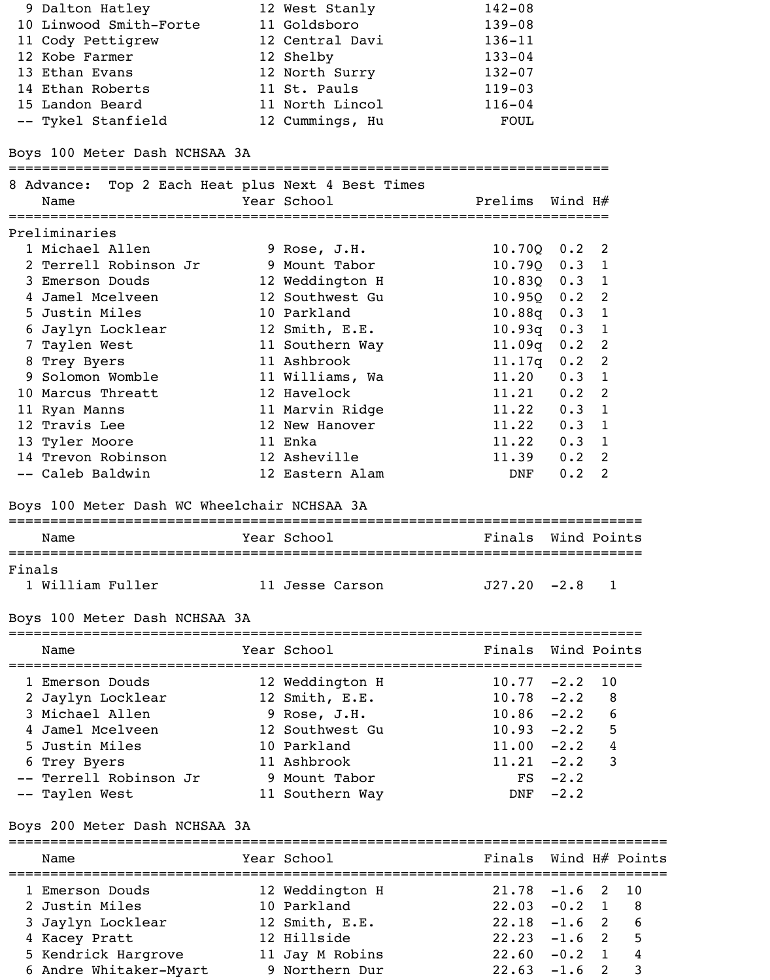| 9 Dalton Hatley                                                                    |  | 12 West Stanly  | $142 - 08$       |               |  |
|------------------------------------------------------------------------------------|--|-----------------|------------------|---------------|--|
| 10 Linwood Smith-Forte 11 Goldsboro                                                |  |                 | $139 - 08$       |               |  |
| 11 Cody Pettigrew                                                                  |  | 12 Central Davi | $136 - 11$       |               |  |
| 12 Kobe Farmer                                                                     |  | 12 Shelby       | $133 - 04$       |               |  |
| 13 Ethan Evans                                                                     |  | 12 North Surry  | $132 - 07$       |               |  |
| 14 Ethan Roberts                                                                   |  | 11 St. Pauls    | $119 - 03$       |               |  |
| 15 Landon Beard                                                                    |  | 11 North Lincol | $116 - 04$       |               |  |
| -- Tykel Stanfield                                                                 |  | 12 Cummings, Hu | FOUL             |               |  |
| Boys 100 Meter Dash NCHSAA 3A<br>8 Advance: Top 2 Each Heat plus Next 4 Best Times |  |                 |                  |               |  |
|                                                                                    |  |                 |                  |               |  |
| Name                                                                               |  | Year School     | Prelims Wind H#  |               |  |
| Preliminaries                                                                      |  |                 |                  |               |  |
| 1 Michael Allen                                                                    |  | 9 Rose, J.H.    | $10.70Q$ $0.2$ 2 |               |  |
| 2 Terrell Robinson Jr                                                              |  | 9 Mount Tabor   | $10.790$ $0.3$ 1 |               |  |
| 3 Emerson Douds                                                                    |  | 12 Weddington H | 10.83Q           | $0.3 \quad 1$ |  |
| 4 Jamel Mcelveen                                                                   |  | 12 Southwest Gu | $10.95Q$ $0.2$ 2 |               |  |
| 5 Justin Miles                                                                     |  | 10 Parkland     | $10.88q$ $0.3$ 1 |               |  |

 7 Taylen West 11 Southern Way 11.09q 0.2 2 8 Trey Byers 11 Ashbrook 11.17q 0.2 2 9 Solomon Womble 11 Williams, Wa 11.20 0.3 1 10 Marcus Threatt 12 Havelock 11.21 0.2 2 11 Ryan Manns 11 Marvin Ridge 11.22 0.3 1 12 Travis Lee 12 New Hanover 11.22 0.3 1 13 Tyler Moore 11 Enka 11.22 0.3 1 14 Trevon Robinson 12 Asheville 11.39 0.2 2 -- Caleb Baldwin 12 Eastern Alam DNF 0.2 2

### Boys 100 Meter Dash WC Wheelchair NCHSAA 3A

|        | Name                          | Year School     | Finals Wind Points |           |                |
|--------|-------------------------------|-----------------|--------------------|-----------|----------------|
| Finals |                               |                 |                    |           |                |
|        | 1 William Fuller              | 11 Jesse Carson | $J27.20 -2.8 1$    |           |                |
|        | Boys 100 Meter Dash NCHSAA 3A |                 |                    |           |                |
|        | Name                          | Year School     | Finals Wind Points |           |                |
|        | 1 Emerson Douds               | 12 Weddington H | $10.77 - 2.2$      |           | 10             |
|        | 2 Jaylyn Locklear             | 12 Smith, E.E.  | $10.78 - 2.2$ 8    |           |                |
|        | 3 Michael Allen               | 9 Rose, J.H.    | $10.86 - 2.2$      |           | 6              |
|        | 4 Jamel Mcelveen              | 12 Southwest Gu | $10.93 -2.2$       |           | 5              |
|        | 5 Justin Miles                | 10 Parkland     | $11.00 -2.2$       |           | $\overline{4}$ |
|        | 6 Trey Byers                  | 11 Ashbrook     | $11.21 -2.2$       |           | $\overline{3}$ |
|        | -- Terrell Robinson Jr        | 9 Mount Tabor   |                    | $FS -2.2$ |                |
|        | -- Taylen West                | 11 Southern Way | DNF                | $-2.2$    |                |

## Boys 200 Meter Dash NCHSAA 3A

| Name                   | Year School     | Finals Wind H# Points |  |                |
|------------------------|-----------------|-----------------------|--|----------------|
| 1 Emerson Douds        | 12 Weddington H | $21.78 - 1.6$ 2 10    |  |                |
| 2 Justin Miles         | 10 Parkland     | $22.03 - 0.2 1 8$     |  |                |
| 3 Jaylyn Locklear      | 12 Smith, E.E.  | $22.18 - 1.6$ 2       |  | 6              |
| 4 Kacey Pratt          | 12 Hillside     | $22.23 -1.6$ 2        |  | -5             |
| 5 Kendrick Hargrove    | 11 Jay M Robins | $22.60 - 0.2 1$       |  | $\overline{4}$ |
| 6 Andre Whitaker-Myart | 9 Northern Dur  | $22.63 - 1.6$ 2       |  | 3              |
|                        |                 |                       |  |                |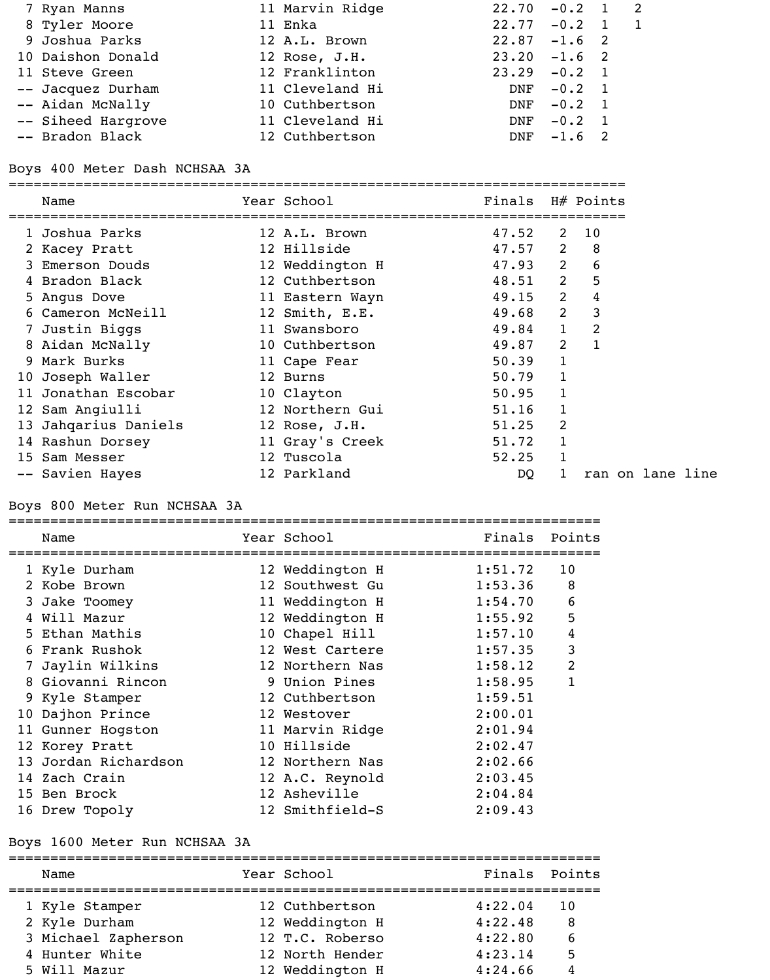| 7 Ryan Manns       | 11 Marvin Ridge | $22.70 - 0.2 1 2$ |               |  |
|--------------------|-----------------|-------------------|---------------|--|
| 8 Tyler Moore      | 11 Enka         | $22.77 - 0.2$ 1 1 |               |  |
| 9 Joshua Parks     | 12 A.L. Brown   | $22.87 - 1.6$ 2   |               |  |
| 10 Daishon Donald  | 12 Rose, J.H.   | $23.20 -1.6$ 2    |               |  |
| 11 Steve Green     | 12 Franklinton  | $23.29 - 0.2$ 1   |               |  |
| -- Jacquez Durham  | 11 Cleveland Hi |                   | $DNF - 0.2 1$ |  |
| -- Aidan McNally   | 10 Cuthbertson  | DNF               | $-0.2$ 1      |  |
| -- Siheed Hargrove | 11 Cleveland Hi |                   | $DNF - 0.2 1$ |  |
| -- Bradon Black    | 12 Cuthbertson  |                   | $DNF -1.6 2$  |  |

Boys 400 Meter Dash NCHSAA 3A

|    | Name                 | Year School     | Finals |   | H# Points        |  |
|----|----------------------|-----------------|--------|---|------------------|--|
|    | 1 Joshua Parks       | 12 A.L. Brown   | 47.52  | 2 | 10               |  |
|    | 2 Kacey Pratt        | 12 Hillside     | 47.57  | 2 | 8                |  |
|    | 3 Emerson Douds      | 12 Weddington H | 47.93  | 2 | 6                |  |
|    | 4 Bradon Black       | 12 Cuthbertson  | 48.51  | 2 | 5                |  |
|    | 5 Angus Dove         | 11 Eastern Wayn | 49.15  | 2 | 4                |  |
|    | 6 Cameron McNeill    | 12 Smith, E.E.  | 49.68  | 2 | 3                |  |
|    | 7 Justin Biggs       | 11 Swansboro    | 49.84  |   | 2                |  |
|    | 8 Aidan McNally      | 10 Cuthbertson  | 49.87  | 2 | $\mathbf{1}$     |  |
|    | 9 Mark Burks         | 11 Cape Fear    | 50.39  | 1 |                  |  |
|    | 10 Joseph Waller     | 12 Burns        | 50.79  |   |                  |  |
| 11 | Jonathan Escobar     | 10 Clayton      | 50.95  |   |                  |  |
|    | 12 Sam Angiulli      | 12 Northern Gui | 51.16  |   |                  |  |
|    | 13 Jahqarius Daniels | 12 Rose, J.H.   | 51.25  | 2 |                  |  |
|    | 14 Rashun Dorsey     | 11 Gray's Creek | 51.72  |   |                  |  |
|    | 15 Sam Messer        | 12 Tuscola      | 52.25  |   |                  |  |
|    | -- Savien Hayes      | 12 Parkland     | DQ     |   | ran on lane line |  |

### Boys 800 Meter Run NCHSAA 3A

|    | Name                 | Year School     | Finals  | Points         |
|----|----------------------|-----------------|---------|----------------|
|    | 1 Kyle Durham        | 12 Weddington H | 1:51.72 | 10             |
|    | 2 Kobe Brown         | 12 Southwest Gu | 1:53.36 | 8              |
|    | 3 Jake Toomey        | 11 Weddington H | 1:54.70 | 6              |
| 4  | Will Mazur           | 12 Weddington H | 1:55.92 | 5              |
| 5. | Ethan Mathis         | 10 Chapel Hill  | 1:57.10 | 4              |
| 6  | Frank Rushok         | 12 West Cartere | 1:57.35 | 3              |
|    | Jaylin Wilkins       | 12 Northern Nas | 1:58.12 | $\overline{2}$ |
| 8  | Giovanni Rincon      | 9 Union Pines   | 1:58.95 | $\mathbf{1}$   |
|    | 9 Kyle Stamper       | 12 Cuthbertson  | 1:59.51 |                |
|    | 10 Dajhon Prince     | 12 Westover     | 2:00.01 |                |
|    | 11 Gunner Hogston    | 11 Marvin Ridge | 2:01.94 |                |
|    | 12 Korey Pratt       | 10 Hillside     | 2:02.47 |                |
|    | 13 Jordan Richardson | 12 Northern Nas | 2:02.66 |                |
|    | 14 Zach Crain        | 12 A.C. Reynold | 2:03.45 |                |
|    | 15 Ben Brock         | 12 Asheville    | 2:04.84 |                |
|    | 16 Drew Topoly       | 12 Smithfield-S | 2:09.43 |                |

### Boys 1600 Meter Run NCHSAA 3A

======================================================================= Name Year School Finals Points ======================================================================= 1 Kyle Stamper 12 Cuthbertson 4:22.04 10 2 Kyle Durham 12 Weddington H 4:22.48 8 3 Michael Zapherson 12 T.C. Roberso 4:22.80 6 4 Hunter White **12 North Hender** 4:23.14 5 5 Will Mazur **12 Weddington H** 4:24.66 4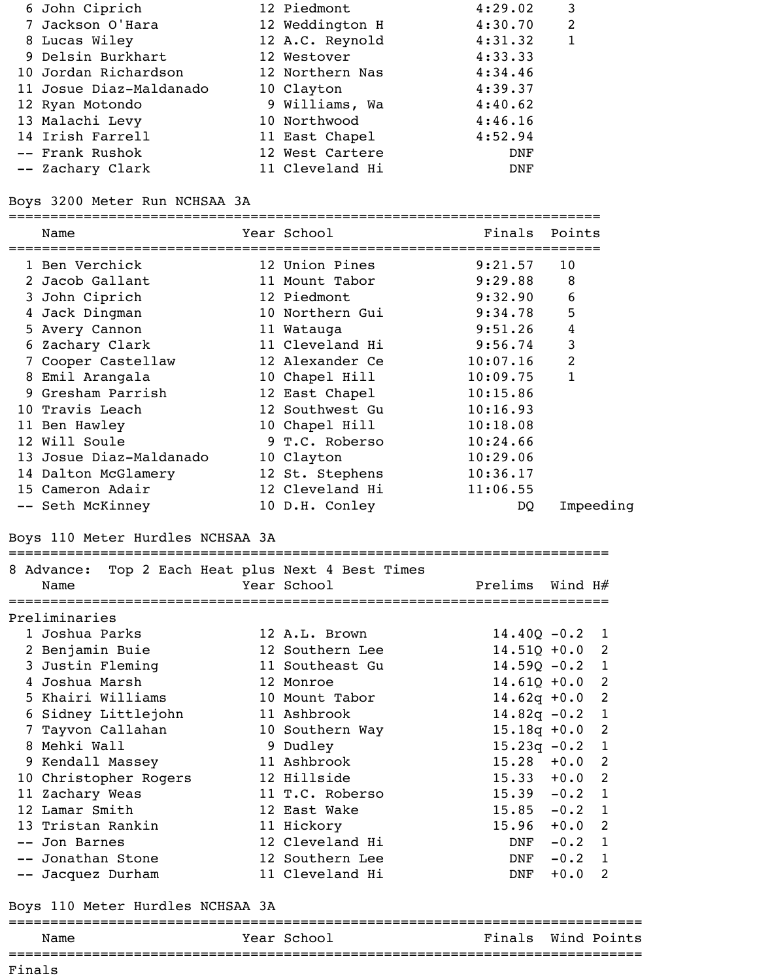| 6 John Ciprich          | 12 Piedmont     | 4:29.02    | 3 |
|-------------------------|-----------------|------------|---|
| 7 Jackson O'Hara        | 12 Weddington H | 4:30.70    | 2 |
| 8 Lucas Wiley           | 12 A.C. Reynold | 4:31.32    |   |
| 9 Delsin Burkhart       | 12 Westover     | 4:33.33    |   |
| 10 Jordan Richardson    | 12 Northern Nas | 4:34.46    |   |
| 11 Josue Diaz-Maldanado | 10 Clayton      | 4:39.37    |   |
| 12 Ryan Motondo         | 9 Williams, Wa  | 4:40.62    |   |
| 13 Malachi Levy         | 10 Northwood    | 4:46.16    |   |
| 14 Irish Farrell        | 11 East Chapel  | 4:52.94    |   |
| -- Frank Rushok         | 12 West Cartere | DNF        |   |
| -- Zachary Clark        | 11 Cleveland Hi | <b>DNF</b> |   |

### Boys 3200 Meter Run NCHSAA 3A

======================================================================= Name Tear School Finals Points ======================================================================= 1 Ben Verchick 12 Union Pines 9:21.57 10 2 Jacob Gallant 11 Mount Tabor 9:29.88 8 3 John Ciprich 12 Piedmont 9:32.90 6 4 Jack Dingman 10 Northern Gui 9:34.78 5 5 Avery Cannon 11 Watauga 9:51.26 4 6 Zachary Clark 11 Cleveland Hi 9:56.74 3 7 Cooper Castellaw 12 Alexander Ce 10:07.16 2 8 Emil Arangala 10 Chapel Hill 10:09.75 1 9 Gresham Parrish 12 East Chapel 10:15.86 10 Travis Leach 12 Southwest Gu 10:16.93 11 Ben Hawley 10 Chapel Hill 10:18.08 12 Will Soule 9 T.C. Roberso 10:24.66 13 Josue Diaz-Maldanado 10 Clayton 10:29.06 14 Dalton McGlamery 12 St. Stephens 10:36.17 15 Cameron Adair 12 Cleveland Hi 11:06.55 -- Seth McKinney 10 D.H. Conley DQ Impeeding

### Boys 110 Meter Hurdles NCHSAA 3A

| Name                  |  |  | 8 Advance: Top 2 Each Heat plus Next 4 Best Times<br>Year School | Prelims Wind H#  |          |                |
|-----------------------|--|--|------------------------------------------------------------------|------------------|----------|----------------|
| Preliminaries         |  |  |                                                                  |                  |          |                |
| 1 Joshua Parks        |  |  | 12 A.L. Brown                                                    | $14.40Q - 0.2$ 1 |          |                |
| 2 Benjamin Buie       |  |  | 12 Southern Lee                                                  | $14.51Q + 0.0$ 2 |          |                |
| 3 Justin Fleming      |  |  | 11 Southeast Gu                                                  | $14.59Q - 0.2$   |          | $\mathbf{1}$   |
| 4 Joshua Marsh        |  |  | 12 Monroe                                                        | $14.61Q + 0.0$ 2 |          |                |
| 5 Khairi Williams     |  |  | 10 Mount Tabor                                                   | $14.62q + 0.0$ 2 |          |                |
| 6 Sidney Littlejohn   |  |  | 11 Ashbrook                                                      | $14.82q - 0.2$ 1 |          |                |
| 7 Tayvon Callahan     |  |  | 10 Southern Way                                                  | $15.18q + 0.0$ 2 |          |                |
| 8 Mehki Wall          |  |  | 9 Dudley                                                         | $15.23q -0.2$ 1  |          |                |
| 9 Kendall Massey      |  |  | 11 Ashbrook                                                      | $15.28 + 0.0$ 2  |          |                |
| 10 Christopher Rogers |  |  | 12 Hillside                                                      | $15.33 + 0.0$ 2  |          |                |
| 11 Zachary Weas       |  |  | 11 T.C. Roberso                                                  | $15.39 - 0.2$    |          | $\blacksquare$ |
| 12 Lamar Smith        |  |  | 12 East Wake                                                     | $15.85 -0.2$ 1   |          |                |
| 13 Tristan Rankin     |  |  | 11 Hickory                                                       | $15.96 + 0.0$ 2  |          |                |
| -- Jon Barnes         |  |  | 12 Cleveland Hi                                                  | DNF              | $-0.2$ 1 |                |
| -- Jonathan Stone     |  |  | 12 Southern Lee                                                  | DNF              | $-0.2$ 1 |                |
| -- Jacquez Durham     |  |  | 11 Cleveland Hi                                                  | <b>DNF</b>       | $+0.0$   | 2              |
|                       |  |  |                                                                  |                  |          |                |

========================================================================

### Boys 110 Meter Hurdles NCHSAA 3A

| Name | Year School | Finals Wind Points |  |
|------|-------------|--------------------|--|
|      |             |                    |  |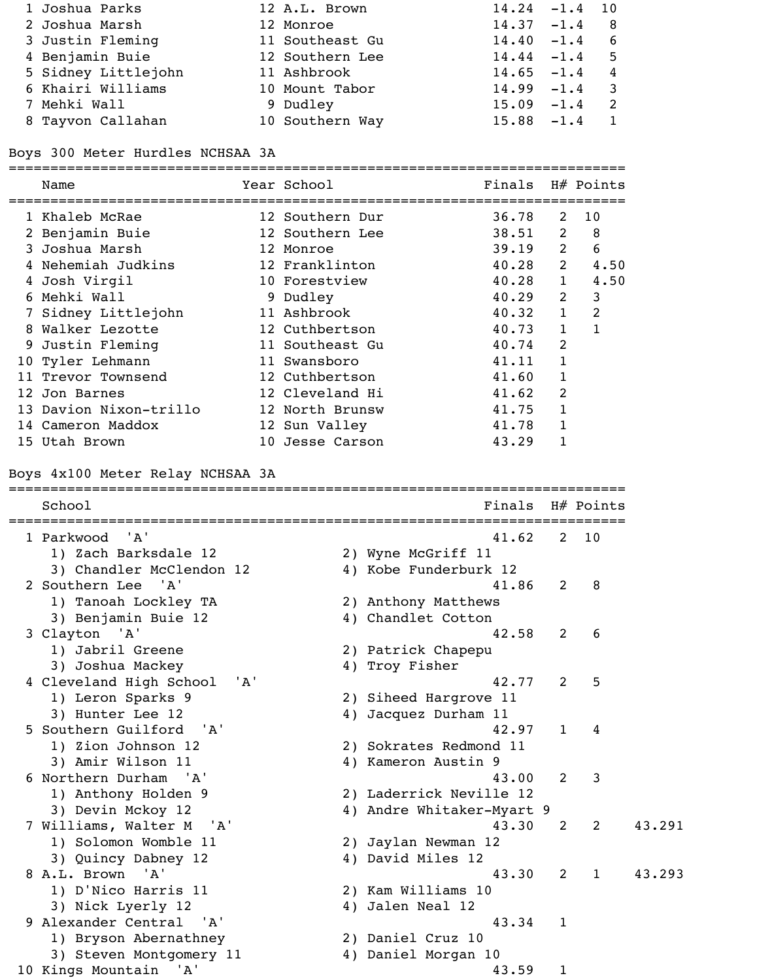| 1 Joshua Parks      | 12 A.L. Brown   | $14.24 - 1.4$ 10 |                |
|---------------------|-----------------|------------------|----------------|
| 2 Joshua Marsh      | 12 Monroe       | $14.37 - 1.4$ 8  |                |
| 3 Justin Fleming    | 11 Southeast Gu | $14.40 - 1.4$ 6  |                |
| 4 Benjamin Buie     | 12 Southern Lee | $14.44 - 1.4$ 5  |                |
| 5 Sidney Littlejohn | 11 Ashbrook     | $14.65 - 1.4$    | $\overline{4}$ |
| 6 Khairi Williams   | 10 Mount Tabor  | $14.99 - 1.4$    |                |
| 7 Mehki Wall        | 9 Dudley        | $15.09 - 1.4$    |                |
| 8 Tayvon Callahan   | 10 Southern Way | $15.88 - 1.4$    |                |

Boys 300 Meter Hurdles NCHSAA 3A

| 12 Southern Dur<br>36.78<br>10<br>1 Khaleb McRae<br>2<br>2 Benjamin Buie<br>$\overline{\phantom{1}}$ 8<br>12 Southern Lee<br>38.51<br>2<br>3 Joshua Marsh<br>6<br>$39.19$ 2<br>12 Monroe<br>4 Nehemiah Judkins<br>12 Franklinton<br>$40.28$ 2<br>4.50<br>10 Forestview<br>$40.28$ 1<br>4 Josh Virgil<br>4.50<br>6 Mehki Wall<br>$40.29$ 2<br>3<br>9 Dudley<br>11 Ashbrook<br>2<br>7 Sidney Littlejohn<br>40.32 1<br>$\mathbf{1}$<br>8 Walker Lezotte<br>12 Cuthbertson<br>$\mathbf{1}$<br>40.73<br>9 Justin Fleming<br>11 Southeast Gu<br>2<br>40.74<br>10 Tyler Lehmann<br>$\mathbf 1$<br>11 Swansboro<br>41.11<br>11 Trevor Townsend<br>12 Cuthbertson<br>$\mathbf 1$<br>41.60<br>12 Cleveland Hi<br>2<br>12 Jon Barnes<br>41.62<br>13 Davion Nixon-trillo<br>1<br>12 North Brunsw<br>41.75<br>14 Cameron Maddox<br>12 Sun Valley<br>41.78<br>1<br>10 Jesse Carson<br>15 Utah Brown<br>43.29<br>1<br>$H#$ Points<br>School<br>Finals<br>'A'<br>1 Parkwood<br>10<br>41.62<br>2<br>1) Zach Barksdale 12<br>2) Wyne McGriff 11<br>3) Chandler McClendon 12<br>4) Kobe Funderburk 12<br>2 Southern Lee 'A'<br>41.86<br>2<br>8<br>1) Tanoah Lockley TA<br>2) Anthony Matthews<br>3) Benjamin Buie 12<br>4) Chandlet Cotton<br>3 Clayton 'A'<br>42.58<br>2<br>6<br>1) Jabril Greene<br>2) Patrick Chapepu<br>3) Joshua Mackey<br>4) Troy Fisher<br>4 Cleveland High School<br>'A'<br>5<br>42.77<br>2<br>1) Leron Sparks 9<br>2) Siheed Hargrove 11<br>3) Hunter Lee 12<br>4) Jacquez Durham 11<br>5 Southern Guilford 'A'<br>42.97<br>$\mathbf{1}$<br>4<br>1) Zion Johnson 12<br>2) Sokrates Redmond 11<br>3) Amir Wilson 11<br>4) Kameron Austin 9<br>6 Northern Durham 'A'<br>3<br>2<br>43.00<br>1) Anthony Holden 9<br>2) Laderrick Neville 12<br>3) Devin Mckoy 12<br>4) Andre Whitaker-Myart 9<br>43.291<br>7 Williams, Walter M 'A'<br>2<br>43.30<br>2<br>1) Solomon Womble 11<br>2) Jaylan Newman 12<br>3) Quincy Dabney 12<br>4) David Miles 12<br>8 A.L. Brown 'A'<br>$\overline{1}$<br>43.293<br>2<br>43.30<br>1) D'Nico Harris 11<br>2) Kam Williams 10<br>3) Nick Lyerly 12<br>4) Jalen Neal 12<br>9 Alexander Central 'A'<br>43.34<br>1<br>1) Bryson Abernathney<br>2) Daniel Cruz 10<br>4) Daniel Morgan 10<br>3) Steven Montgomery 11<br>10 Kings Mountain 'A' | Name | Year School | Finals |             | $H#$ Points |  |
|---------------------------------------------------------------------------------------------------------------------------------------------------------------------------------------------------------------------------------------------------------------------------------------------------------------------------------------------------------------------------------------------------------------------------------------------------------------------------------------------------------------------------------------------------------------------------------------------------------------------------------------------------------------------------------------------------------------------------------------------------------------------------------------------------------------------------------------------------------------------------------------------------------------------------------------------------------------------------------------------------------------------------------------------------------------------------------------------------------------------------------------------------------------------------------------------------------------------------------------------------------------------------------------------------------------------------------------------------------------------------------------------------------------------------------------------------------------------------------------------------------------------------------------------------------------------------------------------------------------------------------------------------------------------------------------------------------------------------------------------------------------------------------------------------------------------------------------------------------------------------------------------------------------------------------------------------------------------------------------------------------------------------------------------------------------------------------------------------------------------------------------------------------------------------------------------------------------------------------------------------------------------------|------|-------------|--------|-------------|-------------|--|
|                                                                                                                                                                                                                                                                                                                                                                                                                                                                                                                                                                                                                                                                                                                                                                                                                                                                                                                                                                                                                                                                                                                                                                                                                                                                                                                                                                                                                                                                                                                                                                                                                                                                                                                                                                                                                                                                                                                                                                                                                                                                                                                                                                                                                                                                           |      |             |        |             |             |  |
| Boys 4x100 Meter Relay NCHSAA 3A                                                                                                                                                                                                                                                                                                                                                                                                                                                                                                                                                                                                                                                                                                                                                                                                                                                                                                                                                                                                                                                                                                                                                                                                                                                                                                                                                                                                                                                                                                                                                                                                                                                                                                                                                                                                                                                                                                                                                                                                                                                                                                                                                                                                                                          |      |             |        |             |             |  |
|                                                                                                                                                                                                                                                                                                                                                                                                                                                                                                                                                                                                                                                                                                                                                                                                                                                                                                                                                                                                                                                                                                                                                                                                                                                                                                                                                                                                                                                                                                                                                                                                                                                                                                                                                                                                                                                                                                                                                                                                                                                                                                                                                                                                                                                                           |      |             |        |             |             |  |
|                                                                                                                                                                                                                                                                                                                                                                                                                                                                                                                                                                                                                                                                                                                                                                                                                                                                                                                                                                                                                                                                                                                                                                                                                                                                                                                                                                                                                                                                                                                                                                                                                                                                                                                                                                                                                                                                                                                                                                                                                                                                                                                                                                                                                                                                           |      |             |        |             |             |  |
|                                                                                                                                                                                                                                                                                                                                                                                                                                                                                                                                                                                                                                                                                                                                                                                                                                                                                                                                                                                                                                                                                                                                                                                                                                                                                                                                                                                                                                                                                                                                                                                                                                                                                                                                                                                                                                                                                                                                                                                                                                                                                                                                                                                                                                                                           |      |             |        |             |             |  |
|                                                                                                                                                                                                                                                                                                                                                                                                                                                                                                                                                                                                                                                                                                                                                                                                                                                                                                                                                                                                                                                                                                                                                                                                                                                                                                                                                                                                                                                                                                                                                                                                                                                                                                                                                                                                                                                                                                                                                                                                                                                                                                                                                                                                                                                                           |      |             |        |             |             |  |
|                                                                                                                                                                                                                                                                                                                                                                                                                                                                                                                                                                                                                                                                                                                                                                                                                                                                                                                                                                                                                                                                                                                                                                                                                                                                                                                                                                                                                                                                                                                                                                                                                                                                                                                                                                                                                                                                                                                                                                                                                                                                                                                                                                                                                                                                           |      |             |        |             |             |  |
|                                                                                                                                                                                                                                                                                                                                                                                                                                                                                                                                                                                                                                                                                                                                                                                                                                                                                                                                                                                                                                                                                                                                                                                                                                                                                                                                                                                                                                                                                                                                                                                                                                                                                                                                                                                                                                                                                                                                                                                                                                                                                                                                                                                                                                                                           |      |             |        |             |             |  |
|                                                                                                                                                                                                                                                                                                                                                                                                                                                                                                                                                                                                                                                                                                                                                                                                                                                                                                                                                                                                                                                                                                                                                                                                                                                                                                                                                                                                                                                                                                                                                                                                                                                                                                                                                                                                                                                                                                                                                                                                                                                                                                                                                                                                                                                                           |      |             |        |             |             |  |
|                                                                                                                                                                                                                                                                                                                                                                                                                                                                                                                                                                                                                                                                                                                                                                                                                                                                                                                                                                                                                                                                                                                                                                                                                                                                                                                                                                                                                                                                                                                                                                                                                                                                                                                                                                                                                                                                                                                                                                                                                                                                                                                                                                                                                                                                           |      |             |        |             |             |  |
|                                                                                                                                                                                                                                                                                                                                                                                                                                                                                                                                                                                                                                                                                                                                                                                                                                                                                                                                                                                                                                                                                                                                                                                                                                                                                                                                                                                                                                                                                                                                                                                                                                                                                                                                                                                                                                                                                                                                                                                                                                                                                                                                                                                                                                                                           |      |             |        |             |             |  |
|                                                                                                                                                                                                                                                                                                                                                                                                                                                                                                                                                                                                                                                                                                                                                                                                                                                                                                                                                                                                                                                                                                                                                                                                                                                                                                                                                                                                                                                                                                                                                                                                                                                                                                                                                                                                                                                                                                                                                                                                                                                                                                                                                                                                                                                                           |      |             |        |             |             |  |
|                                                                                                                                                                                                                                                                                                                                                                                                                                                                                                                                                                                                                                                                                                                                                                                                                                                                                                                                                                                                                                                                                                                                                                                                                                                                                                                                                                                                                                                                                                                                                                                                                                                                                                                                                                                                                                                                                                                                                                                                                                                                                                                                                                                                                                                                           |      |             |        |             |             |  |
|                                                                                                                                                                                                                                                                                                                                                                                                                                                                                                                                                                                                                                                                                                                                                                                                                                                                                                                                                                                                                                                                                                                                                                                                                                                                                                                                                                                                                                                                                                                                                                                                                                                                                                                                                                                                                                                                                                                                                                                                                                                                                                                                                                                                                                                                           |      |             |        |             |             |  |
|                                                                                                                                                                                                                                                                                                                                                                                                                                                                                                                                                                                                                                                                                                                                                                                                                                                                                                                                                                                                                                                                                                                                                                                                                                                                                                                                                                                                                                                                                                                                                                                                                                                                                                                                                                                                                                                                                                                                                                                                                                                                                                                                                                                                                                                                           |      |             |        |             |             |  |
|                                                                                                                                                                                                                                                                                                                                                                                                                                                                                                                                                                                                                                                                                                                                                                                                                                                                                                                                                                                                                                                                                                                                                                                                                                                                                                                                                                                                                                                                                                                                                                                                                                                                                                                                                                                                                                                                                                                                                                                                                                                                                                                                                                                                                                                                           |      |             |        |             |             |  |
|                                                                                                                                                                                                                                                                                                                                                                                                                                                                                                                                                                                                                                                                                                                                                                                                                                                                                                                                                                                                                                                                                                                                                                                                                                                                                                                                                                                                                                                                                                                                                                                                                                                                                                                                                                                                                                                                                                                                                                                                                                                                                                                                                                                                                                                                           |      |             |        |             |             |  |
|                                                                                                                                                                                                                                                                                                                                                                                                                                                                                                                                                                                                                                                                                                                                                                                                                                                                                                                                                                                                                                                                                                                                                                                                                                                                                                                                                                                                                                                                                                                                                                                                                                                                                                                                                                                                                                                                                                                                                                                                                                                                                                                                                                                                                                                                           |      |             |        |             |             |  |
|                                                                                                                                                                                                                                                                                                                                                                                                                                                                                                                                                                                                                                                                                                                                                                                                                                                                                                                                                                                                                                                                                                                                                                                                                                                                                                                                                                                                                                                                                                                                                                                                                                                                                                                                                                                                                                                                                                                                                                                                                                                                                                                                                                                                                                                                           |      |             |        |             |             |  |
|                                                                                                                                                                                                                                                                                                                                                                                                                                                                                                                                                                                                                                                                                                                                                                                                                                                                                                                                                                                                                                                                                                                                                                                                                                                                                                                                                                                                                                                                                                                                                                                                                                                                                                                                                                                                                                                                                                                                                                                                                                                                                                                                                                                                                                                                           |      |             |        |             |             |  |
|                                                                                                                                                                                                                                                                                                                                                                                                                                                                                                                                                                                                                                                                                                                                                                                                                                                                                                                                                                                                                                                                                                                                                                                                                                                                                                                                                                                                                                                                                                                                                                                                                                                                                                                                                                                                                                                                                                                                                                                                                                                                                                                                                                                                                                                                           |      |             |        |             |             |  |
|                                                                                                                                                                                                                                                                                                                                                                                                                                                                                                                                                                                                                                                                                                                                                                                                                                                                                                                                                                                                                                                                                                                                                                                                                                                                                                                                                                                                                                                                                                                                                                                                                                                                                                                                                                                                                                                                                                                                                                                                                                                                                                                                                                                                                                                                           |      |             |        |             |             |  |
|                                                                                                                                                                                                                                                                                                                                                                                                                                                                                                                                                                                                                                                                                                                                                                                                                                                                                                                                                                                                                                                                                                                                                                                                                                                                                                                                                                                                                                                                                                                                                                                                                                                                                                                                                                                                                                                                                                                                                                                                                                                                                                                                                                                                                                                                           |      |             |        |             |             |  |
|                                                                                                                                                                                                                                                                                                                                                                                                                                                                                                                                                                                                                                                                                                                                                                                                                                                                                                                                                                                                                                                                                                                                                                                                                                                                                                                                                                                                                                                                                                                                                                                                                                                                                                                                                                                                                                                                                                                                                                                                                                                                                                                                                                                                                                                                           |      |             |        |             |             |  |
|                                                                                                                                                                                                                                                                                                                                                                                                                                                                                                                                                                                                                                                                                                                                                                                                                                                                                                                                                                                                                                                                                                                                                                                                                                                                                                                                                                                                                                                                                                                                                                                                                                                                                                                                                                                                                                                                                                                                                                                                                                                                                                                                                                                                                                                                           |      |             |        |             |             |  |
|                                                                                                                                                                                                                                                                                                                                                                                                                                                                                                                                                                                                                                                                                                                                                                                                                                                                                                                                                                                                                                                                                                                                                                                                                                                                                                                                                                                                                                                                                                                                                                                                                                                                                                                                                                                                                                                                                                                                                                                                                                                                                                                                                                                                                                                                           |      |             |        |             |             |  |
|                                                                                                                                                                                                                                                                                                                                                                                                                                                                                                                                                                                                                                                                                                                                                                                                                                                                                                                                                                                                                                                                                                                                                                                                                                                                                                                                                                                                                                                                                                                                                                                                                                                                                                                                                                                                                                                                                                                                                                                                                                                                                                                                                                                                                                                                           |      |             |        |             |             |  |
|                                                                                                                                                                                                                                                                                                                                                                                                                                                                                                                                                                                                                                                                                                                                                                                                                                                                                                                                                                                                                                                                                                                                                                                                                                                                                                                                                                                                                                                                                                                                                                                                                                                                                                                                                                                                                                                                                                                                                                                                                                                                                                                                                                                                                                                                           |      |             |        |             |             |  |
|                                                                                                                                                                                                                                                                                                                                                                                                                                                                                                                                                                                                                                                                                                                                                                                                                                                                                                                                                                                                                                                                                                                                                                                                                                                                                                                                                                                                                                                                                                                                                                                                                                                                                                                                                                                                                                                                                                                                                                                                                                                                                                                                                                                                                                                                           |      |             |        |             |             |  |
|                                                                                                                                                                                                                                                                                                                                                                                                                                                                                                                                                                                                                                                                                                                                                                                                                                                                                                                                                                                                                                                                                                                                                                                                                                                                                                                                                                                                                                                                                                                                                                                                                                                                                                                                                                                                                                                                                                                                                                                                                                                                                                                                                                                                                                                                           |      |             |        |             |             |  |
|                                                                                                                                                                                                                                                                                                                                                                                                                                                                                                                                                                                                                                                                                                                                                                                                                                                                                                                                                                                                                                                                                                                                                                                                                                                                                                                                                                                                                                                                                                                                                                                                                                                                                                                                                                                                                                                                                                                                                                                                                                                                                                                                                                                                                                                                           |      |             |        |             |             |  |
|                                                                                                                                                                                                                                                                                                                                                                                                                                                                                                                                                                                                                                                                                                                                                                                                                                                                                                                                                                                                                                                                                                                                                                                                                                                                                                                                                                                                                                                                                                                                                                                                                                                                                                                                                                                                                                                                                                                                                                                                                                                                                                                                                                                                                                                                           |      |             |        |             |             |  |
|                                                                                                                                                                                                                                                                                                                                                                                                                                                                                                                                                                                                                                                                                                                                                                                                                                                                                                                                                                                                                                                                                                                                                                                                                                                                                                                                                                                                                                                                                                                                                                                                                                                                                                                                                                                                                                                                                                                                                                                                                                                                                                                                                                                                                                                                           |      |             |        |             |             |  |
|                                                                                                                                                                                                                                                                                                                                                                                                                                                                                                                                                                                                                                                                                                                                                                                                                                                                                                                                                                                                                                                                                                                                                                                                                                                                                                                                                                                                                                                                                                                                                                                                                                                                                                                                                                                                                                                                                                                                                                                                                                                                                                                                                                                                                                                                           |      |             |        |             |             |  |
|                                                                                                                                                                                                                                                                                                                                                                                                                                                                                                                                                                                                                                                                                                                                                                                                                                                                                                                                                                                                                                                                                                                                                                                                                                                                                                                                                                                                                                                                                                                                                                                                                                                                                                                                                                                                                                                                                                                                                                                                                                                                                                                                                                                                                                                                           |      |             |        |             |             |  |
|                                                                                                                                                                                                                                                                                                                                                                                                                                                                                                                                                                                                                                                                                                                                                                                                                                                                                                                                                                                                                                                                                                                                                                                                                                                                                                                                                                                                                                                                                                                                                                                                                                                                                                                                                                                                                                                                                                                                                                                                                                                                                                                                                                                                                                                                           |      |             |        |             |             |  |
|                                                                                                                                                                                                                                                                                                                                                                                                                                                                                                                                                                                                                                                                                                                                                                                                                                                                                                                                                                                                                                                                                                                                                                                                                                                                                                                                                                                                                                                                                                                                                                                                                                                                                                                                                                                                                                                                                                                                                                                                                                                                                                                                                                                                                                                                           |      |             |        |             |             |  |
|                                                                                                                                                                                                                                                                                                                                                                                                                                                                                                                                                                                                                                                                                                                                                                                                                                                                                                                                                                                                                                                                                                                                                                                                                                                                                                                                                                                                                                                                                                                                                                                                                                                                                                                                                                                                                                                                                                                                                                                                                                                                                                                                                                                                                                                                           |      |             |        |             |             |  |
|                                                                                                                                                                                                                                                                                                                                                                                                                                                                                                                                                                                                                                                                                                                                                                                                                                                                                                                                                                                                                                                                                                                                                                                                                                                                                                                                                                                                                                                                                                                                                                                                                                                                                                                                                                                                                                                                                                                                                                                                                                                                                                                                                                                                                                                                           |      |             |        |             |             |  |
|                                                                                                                                                                                                                                                                                                                                                                                                                                                                                                                                                                                                                                                                                                                                                                                                                                                                                                                                                                                                                                                                                                                                                                                                                                                                                                                                                                                                                                                                                                                                                                                                                                                                                                                                                                                                                                                                                                                                                                                                                                                                                                                                                                                                                                                                           |      |             |        |             |             |  |
|                                                                                                                                                                                                                                                                                                                                                                                                                                                                                                                                                                                                                                                                                                                                                                                                                                                                                                                                                                                                                                                                                                                                                                                                                                                                                                                                                                                                                                                                                                                                                                                                                                                                                                                                                                                                                                                                                                                                                                                                                                                                                                                                                                                                                                                                           |      |             |        |             |             |  |
|                                                                                                                                                                                                                                                                                                                                                                                                                                                                                                                                                                                                                                                                                                                                                                                                                                                                                                                                                                                                                                                                                                                                                                                                                                                                                                                                                                                                                                                                                                                                                                                                                                                                                                                                                                                                                                                                                                                                                                                                                                                                                                                                                                                                                                                                           |      |             |        |             |             |  |
|                                                                                                                                                                                                                                                                                                                                                                                                                                                                                                                                                                                                                                                                                                                                                                                                                                                                                                                                                                                                                                                                                                                                                                                                                                                                                                                                                                                                                                                                                                                                                                                                                                                                                                                                                                                                                                                                                                                                                                                                                                                                                                                                                                                                                                                                           |      |             |        |             |             |  |
|                                                                                                                                                                                                                                                                                                                                                                                                                                                                                                                                                                                                                                                                                                                                                                                                                                                                                                                                                                                                                                                                                                                                                                                                                                                                                                                                                                                                                                                                                                                                                                                                                                                                                                                                                                                                                                                                                                                                                                                                                                                                                                                                                                                                                                                                           |      |             |        |             |             |  |
|                                                                                                                                                                                                                                                                                                                                                                                                                                                                                                                                                                                                                                                                                                                                                                                                                                                                                                                                                                                                                                                                                                                                                                                                                                                                                                                                                                                                                                                                                                                                                                                                                                                                                                                                                                                                                                                                                                                                                                                                                                                                                                                                                                                                                                                                           |      |             | 43.59  | $\mathbf 1$ |             |  |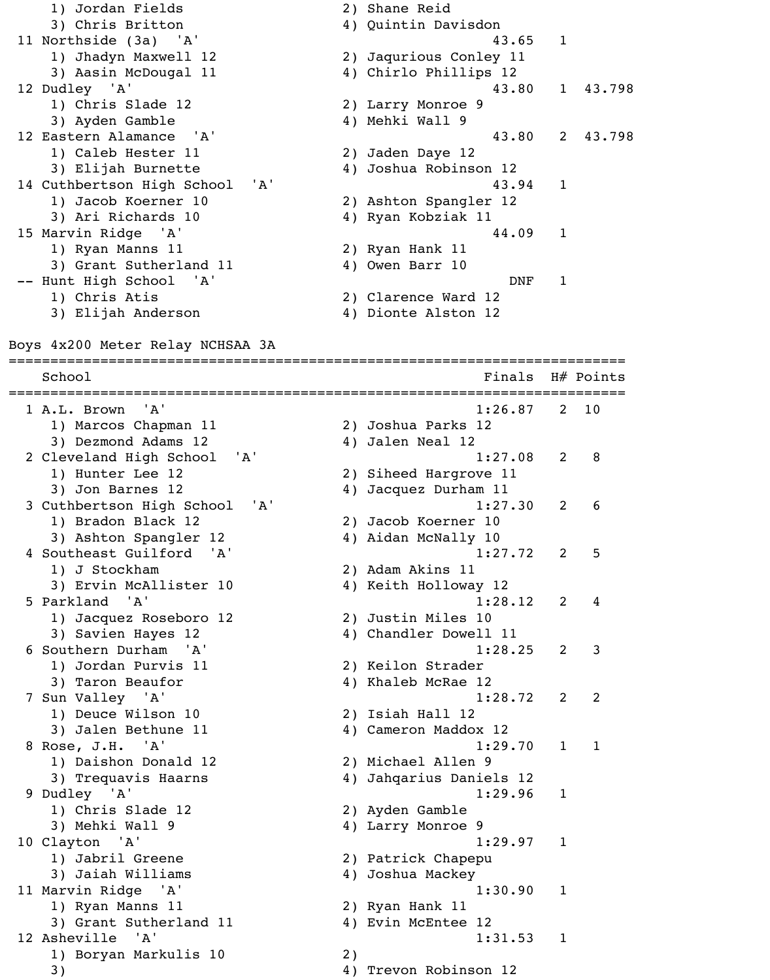1) Jordan Fields 2) Shane Reid 3) Chris Britton 4) Quintin Davisdon 11 Northside (3a) 'A' 43.65 1 1) Jhadyn Maxwell 12 2) Jaqurious Conley 11 3) Aasin McDougal 11 4) Chirlo Phillips 12 12 Dudley 'A' 43.80 1 43.798 1) Chris Slade 12 2) Larry Monroe 9 3) Ayden Gamble 4) Mehki Wall 9 12 Eastern Alamance 'A' 43.80 2 43.798 1) Caleb Hester 11 2) Jaden Daye 12 3) Elijah Burnette 4) Joshua Robinson 12 14 Cuthbertson High School 'A' 43.94 1 1) Jacob Koerner 10 2) Ashton Spangler 12 3) Ari Richards 10 4) Ryan Kobziak 11 15 Marvin Ridge 'A' 44.09 1 1) Ryan Manns 11 2) Ryan Hank 11 3) Grant Sutherland 11 4) Owen Barr 10 -- Hunt High School 'A' DNF 1 1) Chris Atis 2) Clarence Ward 12 3) Elijah Anderson 4) Dionte Alston 12 Boys 4x200 Meter Relay NCHSAA 3A ========================================================================== School School **Finals** H# Points ========================================================================== 1 A.L. Brown 'A' 1:26.87 2 10 1) Marcos Chapman 11 2) Joshua Parks 12 3) Dezmond Adams 12 4) Jalen Neal 12 2 Cleveland High School 'A' 1:27.08 2 8 1) Hunter Lee 12 2) Siheed Hargrove 11 3) Jon Barnes 12 4) Jacquez Durham 11 3 Cuthbertson High School 'A' 1:27.30 2 6 1) Bradon Black 12 2) Jacob Koerner 10 3) Ashton Spangler 12 4) Aidan McNally 10 4 Southeast Guilford 'A' 1:27.72 2 5 1) J Stockham 2) Adam Akins 11 3) Ervin McAllister 10 4) Keith Holloway 12 5 Parkland 'A' 1:28.12 2 4 1) Jacquez Roseboro 12 2) Justin Miles 10 3) Savien Hayes 12 4) Chandler Dowell 11 6 Southern Durham 'A' 1:28.25 2 3 1) Jordan Purvis 11 2) Keilon Strader 3) Taron Beaufor 4) Khaleb McRae 12 7 Sun Valley 'A' 1:28.72 2 2 1) Deuce Wilson 10 2) Isiah Hall 12 3) Jalen Bethune 11 4) Cameron Maddox 12 8 Rose, J.H. 'A' 1:29.70 1 1 1) Daishon Donald 12 2) Michael Allen 9 3) Trequavis Haarns 12 (4) Jahqarius Daniels 12 9 Dudley 'A' 1:29.96 1 1) Chris Slade 12 2) Ayden Gamble 3) Mehki Wall 9 4) Larry Monroe 9 10 Clayton 'A' 1:29.97 1 1) Jabril Greene 2) Patrick Chapepu 3) Jaiah Williams 4) Joshua Mackey 11 Marvin Ridge 'A' 1:30.90 1 1) Ryan Manns 11 2) Ryan Hank 11 3) Grant Sutherland 11 4) Evin McEntee 12 12 Asheville 'A' 1:31.53 1 1) Boryan Markulis 10 2) 3) 4) Trevon Robinson 12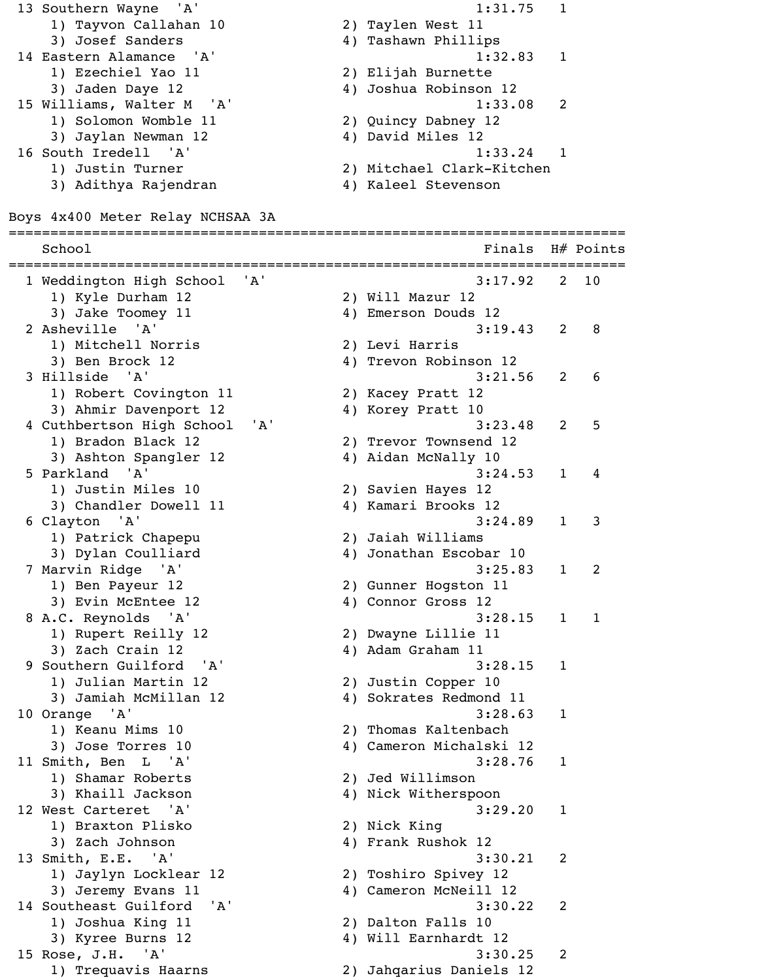13 Southern Wayne 'A' 1:31.75 1 1) Tayvon Callahan 10 2) Taylen West 11 3) Josef Sanders (4) Tashawn Phillips 14 Eastern Alamance 'A' 1:32.83 1 1) Ezechiel Yao 11 2) Elijah Burnette 3) Jaden Daye 12 4) Joshua Robinson 12 15 Williams, Walter M 'A' 1:33.08 2 1) Solomon Womble 11 2) Quincy Dabney 12 3) Jaylan Newman 12 4) David Miles 12 16 South Iredell 'A' 1:33.24 1 1) Justin Turner 2) Mitchael Clark-Kitchen 3) Adithya Rajendran (4) Kaleel Stevenson Boys 4x400 Meter Relay NCHSAA 3A ========================================================================== School **Finals** H# Points ========================================================================== 1 Weddington High School 'A' 3:17.92 2 10 1) Kyle Durham 12 2) Will Mazur 12 3) Jake Toomey 11 4) Emerson Douds 12 2 Asheville 'A' 3:19.43 2 8 1) Mitchell Norris 2) Levi Harris 3) Ben Brock 12 4) Trevon Robinson 12 3 Hillside 'A' 3:21.56 2 6 1) Robert Covington 11 2) Kacey Pratt 12 3) Ahmir Davenport 12 4) Korey Pratt 10 4 Cuthbertson High School 'A' 3:23.48 2 5 1) Bradon Black 12 2) Trevor Townsend 12 3) Ashton Spangler 12 4) Aidan McNally 10 5 Parkland 'A' 3:24.53 1 4 1) Justin Miles 10 2) Savien Hayes 12 3) Chandler Dowell 11 4) Kamari Brooks 12 6 Clayton 'A' 3:24.89 1 3 1) Patrick Chapepu 2) Jaiah Williams 3) Dylan Coulliard (4) Jonathan Escobar 10 7 Marvin Ridge 'A' 3:25.83 1 2 1) Ben Payeur 12 2) Gunner Hogston 11 3) Evin McEntee 12 4) Connor Gross 12 8 A.C. Reynolds 'A' 3:28.15 1 1 1) Rupert Reilly 12 2) Dwayne Lillie 11 3) Zach Crain 12 4) Adam Graham 11 9 Southern Guilford 'A' 3:28.15 1 1) Julian Martin 12 2) Justin Copper 10 3) Jamiah McMillan 12 4) Sokrates Redmond 11 10 Orange 'A' 3:28.63 1 1) Keanu Mims 10 2) Thomas Kaltenbach 3) Jose Torres 10 4) Cameron Michalski 12 11 Smith, Ben L 'A' 3:28.76 1 1) Shamar Roberts 2) Jed Willimson 3) Khaill Jackson 4) Nick Witherspoon 12 West Carteret 'A' 3:29.20 1 1) Braxton Plisko 2) Nick King 3) Zach Johnson 4) Frank Rushok 12 13 Smith, E.E. 'A' 3:30.21 2 1) Jaylyn Locklear 12 2) Toshiro Spivey 12 3) Jeremy Evans 11 4) Cameron McNeill 12 14 Southeast Guilford 'A' 3:30.22 2 1) Joshua King 11 2) Dalton Falls 10 3) Kyree Burns 12 4) Will Earnhardt 12 15 Rose, J.H. 'A' 3:30.25 2 1) Trequavis Haarns 2) Jahqarius Daniels 12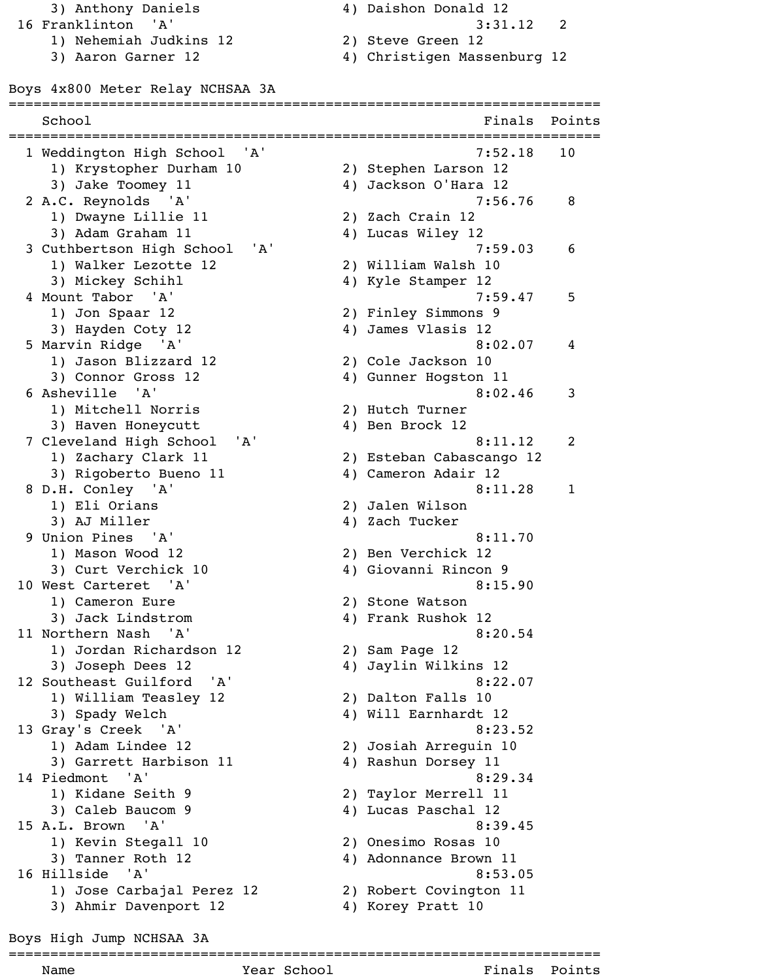3) Anthony Daniels 4) Daishon Donald 12 16 Franklinton 'A' 3:31.12 2 1) Nehemiah Judkins 12 2) Steve Green 12

- 
- 3) Aaron Garner 12 4) Christigen Massenburg 12

Boys 4x800 Meter Relay NCHSAA 3A

| School                           | ==============================<br>Finals | Points       |
|----------------------------------|------------------------------------------|--------------|
| 1 Weddington High School 'A'     | 7:52.18                                  | 10           |
| 1) Krystopher Durham 10          | 2) Stephen Larson 12                     |              |
| 3) Jake Toomey 11                | 4) Jackson O'Hara 12                     |              |
| 2 A.C. Reynolds 'A'              | 7:56.76                                  | 8            |
| 1) Dwayne Lillie 11              | 2) Zach Crain 12                         |              |
| 3) Adam Graham 11                | 4) Lucas Wiley 12                        |              |
| 'A'<br>3 Cuthbertson High School | 7:59.03                                  | 6            |
| 1) Walker Lezotte 12             | 2) William Walsh 10                      |              |
| 3) Mickey Schihl                 | 4) Kyle Stamper 12                       |              |
| 4 Mount Tabor 'A'                | 7:59.47                                  | 5            |
| 1) Jon Spaar 12                  | 2) Finley Simmons 9                      |              |
| 3) Hayden Coty 12                | 4) James Vlasis 12                       |              |
| 5 Marvin Ridge 'A'               | 8:02.07                                  | 4            |
| 1) Jason Blizzard 12             | 2) Cole Jackson 10                       |              |
| 3) Connor Gross 12               | 4) Gunner Hogston 11                     |              |
| 6 Asheville 'A'                  | 8:02.46                                  | 3            |
| 1) Mitchell Norris               | 2) Hutch Turner                          |              |
| 3) Haven Honeycutt               | 4) Ben Brock 12                          |              |
| 7 Cleveland High School<br>'A'   | 8:11.12                                  | 2            |
| 1) Zachary Clark 11              | 2) Esteban Cabascango 12                 |              |
| 3) Rigoberto Bueno 11            | 4) Cameron Adair 12                      |              |
| 8 D.H. Conley 'A'                | 8:11.28                                  | $\mathbf{1}$ |
| 1) Eli Orians                    | 2) Jalen Wilson                          |              |
| 3) AJ Miller                     | 4) Zach Tucker                           |              |
| 9 Union Pines 'A'                | 8:11.70                                  |              |
| 1) Mason Wood 12                 | 2) Ben Verchick 12                       |              |
| 3) Curt Verchick 10              | 4) Giovanni Rincon 9                     |              |
| 10 West Carteret 'A'             | 8:15.90                                  |              |
| 1) Cameron Eure                  | 2) Stone Watson                          |              |
| 3) Jack Lindstrom                | 4) Frank Rushok 12                       |              |
| 11 Northern Nash 'A'             | 8:20.54                                  |              |
| 1) Jordan Richardson 12          | 2) Sam Page 12                           |              |
| 3) Joseph Dees 12                | 4) Jaylin Wilkins 12                     |              |
| 12 Southeast Guilford 'A'        | 8:22.07                                  |              |
| 1) William Teasley 12            | 2) Dalton Falls 10                       |              |
| 3) Spady Welch                   | 4) Will Earnhardt 12                     |              |
| 13 Gray's Creek 'A'              | 8:23.52                                  |              |
| 1) Adam Lindee 12                | 2) Josiah Arreguin 10                    |              |
| 3) Garrett Harbison 11           | 4) Rashun Dorsey 11                      |              |
| 14 Piedmont 'A'                  | 8:29.34                                  |              |
| 1) Kidane Seith 9                | 2) Taylor Merrell 11                     |              |
| 3) Caleb Baucom 9                | 4) Lucas Paschal 12                      |              |
| 15 A.L. Brown 'A'                | 8:39.45                                  |              |
| 1) Kevin Stegall 10              | 2) Onesimo Rosas 10                      |              |
| 3) Tanner Roth 12                | 4) Adonnance Brown 11                    |              |
| 16 Hillside 'A'                  | 8:53.05                                  |              |
| 1) Jose Carbajal Perez 12        | 2) Robert Covington 11                   |              |
| 3) Ahmir Davenport 12            | 4) Korey Pratt 10                        |              |
|                                  |                                          |              |

Boys High Jump NCHSAA 3A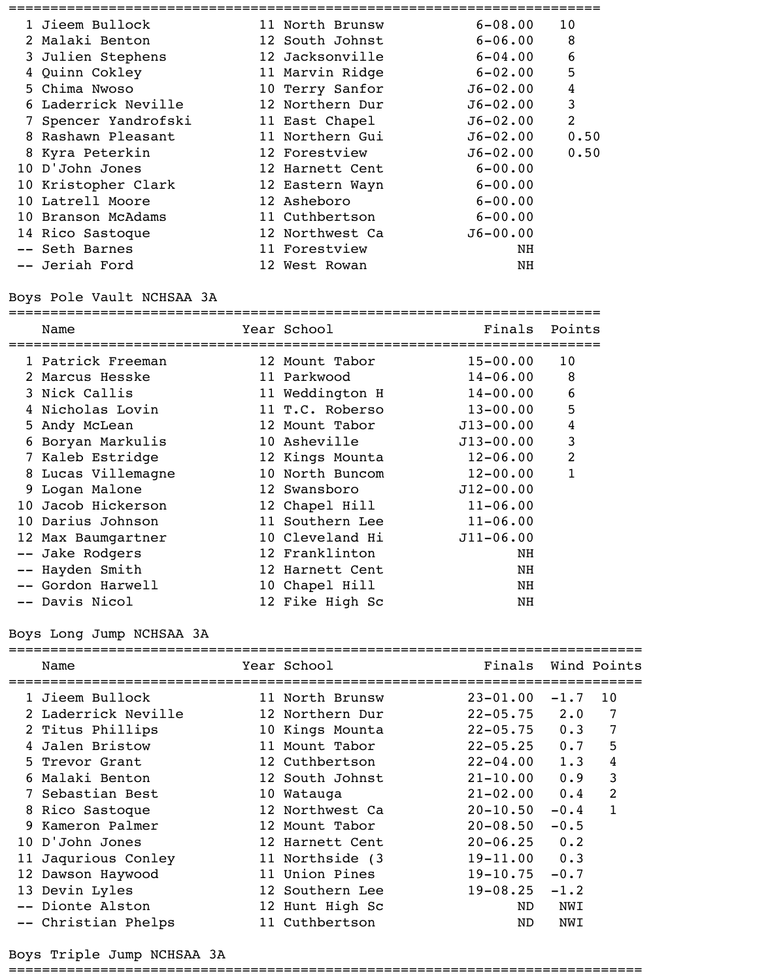| 1 Jieem Bullock      | 11 North Brunsw | $6 - 08.00$  | 10             |
|----------------------|-----------------|--------------|----------------|
| 2 Malaki Benton      | 12 South Johnst | $6 - 06.00$  | 8              |
| 3 Julien Stephens    | 12 Jacksonville | $6 - 04.00$  | 6              |
| 4 Quinn Cokley       | 11 Marvin Ridge | $6 - 02.00$  | 5              |
| 5 Chima Nwoso        | 10 Terry Sanfor | $J6 - 02.00$ | $\overline{4}$ |
| 6 Laderrick Neville  | 12 Northern Dur | $J6 - 02.00$ | 3              |
| 7 Spencer Yandrofski | 11 East Chapel  | $J6 - 02.00$ | $\overline{2}$ |
| 8 Rashawn Pleasant   | 11 Northern Gui | $J6 - 02.00$ | 0.50           |
| 8 Kyra Peterkin      | 12 Forestview   | $J6 - 02.00$ | 0.50           |
| 10 D'John Jones      | 12 Harnett Cent | $6 - 00.00$  |                |
| 10 Kristopher Clark  | 12 Eastern Wayn | $6 - 00.00$  |                |
| 10 Latrell Moore     | 12 Asheboro     | $6 - 00.00$  |                |
| 10 Branson McAdams   | 11 Cuthbertson  | $6 - 00.00$  |                |
| 14 Rico Sastoque     | 12 Northwest Ca | $J6 - 00.00$ |                |
| -- Seth Barnes       | 11 Forestview   | NH           |                |
| -- Jeriah Ford       | 12 West Rowan   | NH           |                |
|                      |                 |              |                |

### Boys Pole Vault NCHSAA 3A

======================================================================= Name Year School Finals Points ======================================================================= 1 Patrick Freeman 12 Mount Tabor 15-00.00 10 2 Marcus Hesske 11 Parkwood 14-06.00 8 3 Nick Callis **11 Weddington H** 14-00.00 6 4 Nicholas Lovin 11 T.C. Roberso 13-00.00 5 5 Andy McLean 12 Mount Tabor J13-00.00 4 6 Boryan Markulis 10 Asheville J13-00.00 3 7 Kaleb Estridge 12 Kings Mounta 12-06.00 2 8 Lucas Villemagne  $10$  North Buncom  $12-00.00$  1 9 Logan Malone 12 Swansboro J12-00.00 10 Jacob Hickerson 12 Chapel Hill 11-06.00 10 Darius Johnson 11 Southern Lee 11-06.00 12 Max Baumgartner 10 Cleveland Hi J11-06.00 -- Jake Rodgers and the Tranklinton of the NH -- Hayden Smith 12 Harnett Cent NH -- Gordon Harwell 10 Chapel Hill NH -- Davis Nicol 12 Fike High Sc NH

### Boys Long Jump NCHSAA 3A

| Name                | Year School      | Finals       |             | Wind Points    |
|---------------------|------------------|--------------|-------------|----------------|
| 1 Jieem Bullock     | 11 North Brunsw  | $23 - 01.00$ | $-1.7$      | 10             |
| 2 Laderrick Neville | 12 Northern Dur  | $22 - 05.75$ | $2 \cdot 0$ | 7              |
| 2 Titus Phillips    | 10 Kings Mounta  | $22 - 05.75$ | 0.3         | 7              |
| 4 Jalen Bristow     | 11 Mount Tabor   | $22 - 05.25$ | 0.7         | 5              |
| 5 Trevor Grant      | 12 Cuthbertson   | $22 - 04.00$ | 1.3         | $\overline{4}$ |
| 6 Malaki Benton     | 12 South Johnst  | $21 - 10.00$ | 0.9         | 3              |
| 7 Sebastian Best    | 10 Watauga       | $21 - 02.00$ | 0.4         | $\overline{2}$ |
| 8 Rico Sastoque     | 12 Northwest Ca  | $20 - 10.50$ | $-0.4$      | $\mathbf{1}$   |
| 9 Kameron Palmer    | 12 Mount Tabor   | $20 - 08.50$ | $-0.5$      |                |
| 10 D'John Jones     | 12 Harnett Cent  | $20 - 06.25$ | 0.2         |                |
| 11 Jaqurious Conley | 11 Northside (3) | $19 - 11.00$ | 0.3         |                |
| 12 Dawson Haywood   | 11 Union Pines   | $19 - 10.75$ | $-0.7$      |                |
| 13 Devin Lyles      | 12 Southern Lee  | $19 - 08.25$ | $-1.2$      |                |
| -- Dionte Alston    | 12 Hunt High Sc  | ND.          | NWI         |                |
| -- Christian Phelps | 11 Cuthbertson   | ND           | NWI         |                |

#### Boys Triple Jump NCHSAA 3A

============================================================================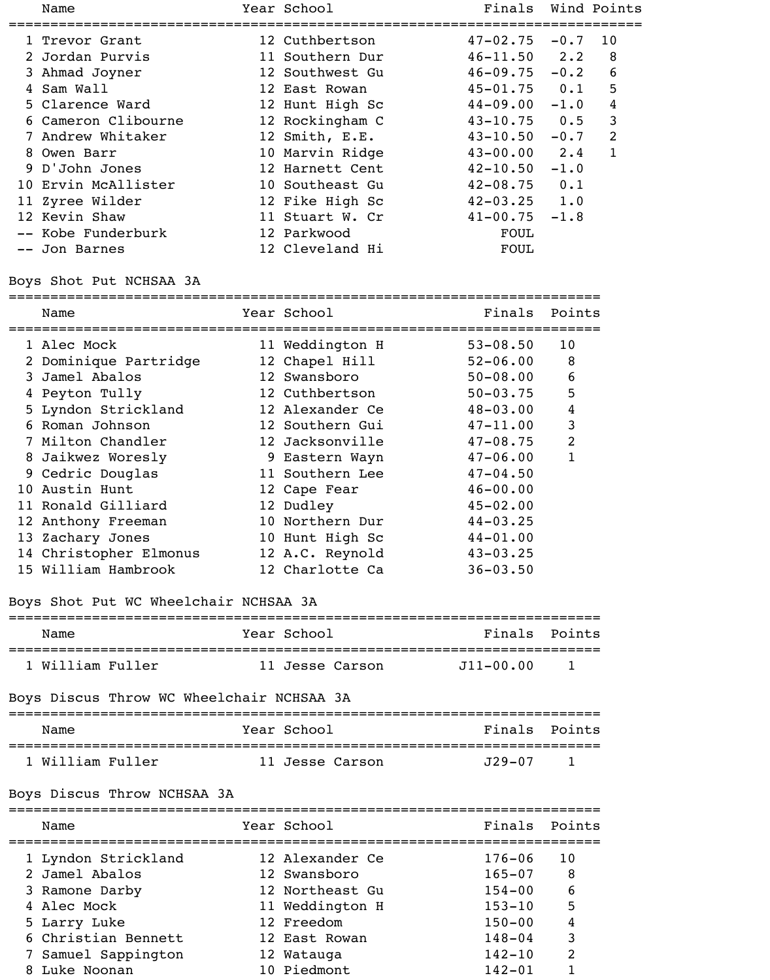| Name                | Year School     | Finals           |        | Wind Points    |
|---------------------|-----------------|------------------|--------|----------------|
| 1 Trevor Grant      | 12 Cuthbertson  | $47 - 02.75$     | $-0.7$ | 10             |
| 2 Jordan Purvis     | 11 Southern Dur | $46 - 11.50$ 2.2 |        | 8              |
| 3 Ahmad Joyner      | 12 Southwest Gu | $46 - 09.75$     | $-0.2$ | 6              |
| 4 Sam Wall          | 12 East Rowan   | $45 - 01.75$ 0.1 |        | 5              |
| 5 Clarence Ward     | 12 Hunt High Sc | $44 - 09.00$     | $-1.0$ | 4              |
| 6 Cameron Clibourne | 12 Rockingham C | $43 - 10.75$     | 0.5    | $\mathbf{3}$   |
| 7 Andrew Whitaker   | 12 Smith, E.E.  | $43 - 10.50$     | $-0.7$ | $\overline{2}$ |
| 8 Owen Barr         | 10 Marvin Ridge | $43 - 00.00$     | 2.4    | $\mathbf{1}$   |
| 9 D'John Jones      | 12 Harnett Cent | $42 - 10.50$     | $-1.0$ |                |
| 10 Ervin McAllister | 10 Southeast Gu | $42 - 08.75$     | 0.1    |                |
| 11 Zyree Wilder     | 12 Fike High Sc | $42 - 03.25$ 1.0 |        |                |
| 12 Kevin Shaw       | 11 Stuart W. Cr | $41 - 00.75$     | $-1.8$ |                |
| -- Kobe Funderburk  | 12 Parkwood     | FOUL             |        |                |
| -- Jon Barnes       | 12 Cleveland Hi | <b>FOUL</b>      |        |                |
|                     |                 |                  |        |                |

### Boys Shot Put NCHSAA 3A

=======================================================================

| Name                   | Year School     | Finals       | Points         |
|------------------------|-----------------|--------------|----------------|
| 1 Alec Mock            | 11 Weddington H | $53 - 08.50$ | 10             |
| 2 Dominique Partridge  | 12 Chapel Hill  | $52 - 06.00$ | 8              |
| 3 Jamel Abalos         | 12 Swansboro    | $50 - 08.00$ | 6              |
| 4 Peyton Tully         | 12 Cuthbertson  | $50 - 03.75$ | 5              |
| 5 Lyndon Strickland    | 12 Alexander Ce | $48 - 03.00$ | 4              |
| 6 Roman Johnson        | 12 Southern Gui | $47 - 11.00$ | 3              |
| 7 Milton Chandler      | 12 Jacksonville | $47 - 08.75$ | $\overline{2}$ |
| 8 Jaikwez Woresly      | 9 Eastern Wayn  | $47 - 06.00$ | 1              |
| 9 Cedric Douglas       | 11 Southern Lee | $47 - 04.50$ |                |
| 10 Austin Hunt         | 12 Cape Fear    | $46 - 00.00$ |                |
| 11 Ronald Gilliard     | 12 Dudley       | $45 - 02.00$ |                |
| 12 Anthony Freeman     | 10 Northern Dur | $44 - 03.25$ |                |
| 13 Zachary Jones       | 10 Hunt High Sc | $44 - 01.00$ |                |
| 14 Christopher Elmonus | 12 A.C. Reynold | $43 - 03.25$ |                |
| 15 William Hambrook    | 12 Charlotte Ca | $36 - 03.50$ |                |

### Boys Shot Put WC Wheelchair NCHSAA 3A

# ======================================================================= Name Year School Finals Points ======================================================================= 1 William Fuller 11 Jesse Carson J11-00.00 1

### Boys Discus Throw WC Wheelchair NCHSAA 3A

| Name             | Year School     | Finals Points |                |
|------------------|-----------------|---------------|----------------|
| 1 William Fuller | 11 Jesse Carson | T29-07        | $\overline{1}$ |

#### Boys Discus Throw NCHSAA 3A

======================================================================= Name The Year School The Points Points ======================================================================= 1 Lyndon Strickland 12 Alexander Ce 176-06 10 2 Jamel Abalos 12 Swansboro 165-07 8 3 Ramone Darby 12 Northeast Gu 154-00 6 4 Alec Mock 11 Weddington H 153-10 5 5 Larry Luke 12 Freedom 150-00 4 6 Christian Bennett 12 East Rowan 148-04 3 7 Samuel Sappington 12 Watauga 142-10 2 8 Luke Noonan 10 Piedmont 142-01 1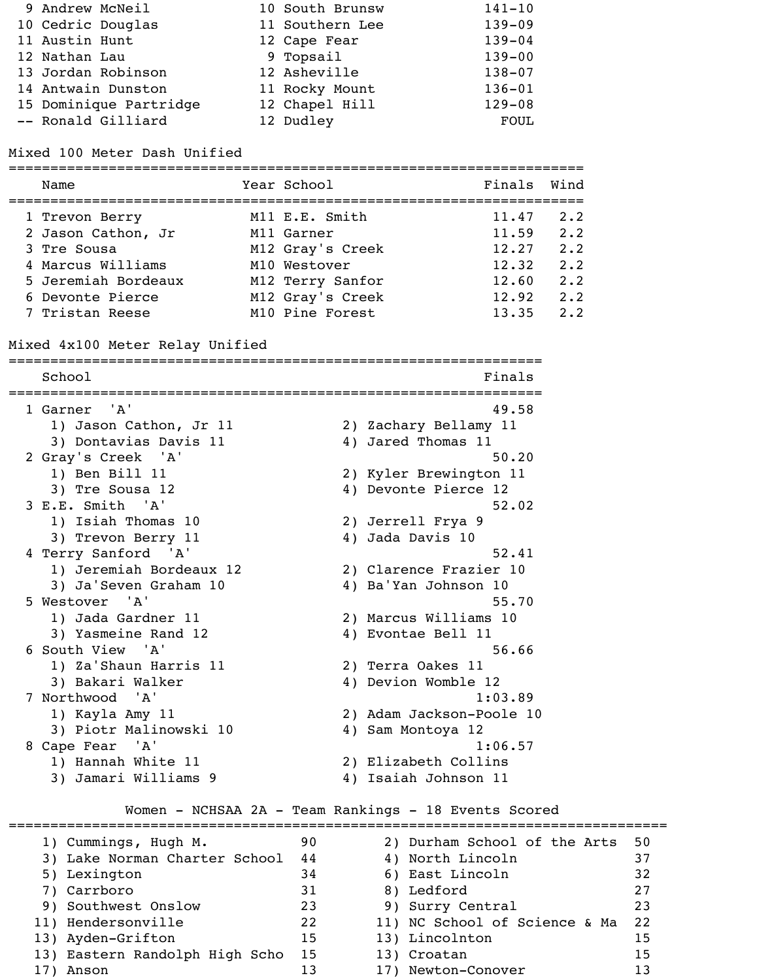| 9 Andrew McNeil |                        | 10 South Brunsw | $141 - 10$  |
|-----------------|------------------------|-----------------|-------------|
|                 | 10 Cedric Douglas      | 11 Southern Lee | $139 - 09$  |
| 11 Austin Hunt  |                        | 12 Cape Fear    | $139 - 04$  |
| 12 Nathan Lau   |                        | 9 Topsail       | $139 - 00$  |
|                 | 13 Jordan Robinson     | 12 Asheville    | $138 - 07$  |
|                 | 14 Antwain Dunston     | 11 Rocky Mount  | $136 - 01$  |
|                 | 15 Dominique Partridge | 12 Chapel Hill  | $129 - 08$  |
|                 | -- Ronald Gilliard     | 12 Dudley       | <b>FOUL</b> |

Mixed 100 Meter Dash Unified

| Name                | Year School      | Finals Wind |             |
|---------------------|------------------|-------------|-------------|
| 1 Trevon Berry      | M11 E.E. Smith   | 11.47       | $2 \cdot 2$ |
| 2 Jason Cathon, Jr  | M11 Garner       | 11.59       | 2.2         |
| 3 Tre Sousa         | M12 Gray's Creek | 12.27       | 2.2         |
| 4 Marcus Williams   | M10 Westover     | 12.32       | $2 \cdot 2$ |
| 5 Jeremiah Bordeaux | M12 Terry Sanfor | 12.60       | 2.2         |
| 6 Devonte Pierce    | M12 Gray's Creek | 12.92       | 2.2         |
| 7 Tristan Reese     | M10 Pine Forest  | 13.35       | 2.2         |

### Mixed 4x100 Meter Relay Unified

================================================================ School Finals ================================================================ 1 Garner 'A' 49.58 1) Jason Cathon, Jr 11 2) Zachary Bellamy 11 3) Dontavias Davis 11 (4) Jared Thomas 11 2 Gray's Creek 'A' 50.20 1) Ben Bill 11 2) Kyler Brewington 11 3) Tre Sousa 12 4) Devonte Pierce 12 3 E.E. Smith 'A' 52.02 1) Isiah Thomas 10 2) Jerrell Frya 9 3) Trevon Berry 11 4) Jada Davis 10 4 Terry Sanford 'A' 52.41 1) Jeremiah Bordeaux 12 2) Clarence Frazier 10 3) Ja'Seven Graham 10 4) Ba'Yan Johnson 10 5 Westover 'A' 55.70 1) Jada Gardner 11 2) Marcus Williams 10 3) Yasmeine Rand 12 4) Evontae Bell 11 6 South View 'A' 56.66 1) Za'Shaun Harris 11 2) Terra Oakes 11 3) Bakari Walker 4) Devion Womble 12 7 Northwood 'A' 1:03.89 1) Kayla Amy 11 2) Adam Jackson-Poole 10 3) Piotr Malinowski 10 4) Sam Montoya 12 8 Cape Fear 'A' 1:06.57 1) Hannah White 11 2) Elizabeth Collins 3) Jamari Williams 9 4) Isaiah Johnson 11

### Women - NCHSAA 2A - Team Rankings - 18 Events Scored

| 1) Cummings, Hugh M.           | 90 | 2) Durham School of the Arts  | 50 |
|--------------------------------|----|-------------------------------|----|
| 3) Lake Norman Charter School  | 44 | 4) North Lincoln              | 37 |
| 5) Lexington                   | 34 | 6) East Lincoln               | 32 |
| 7) Carrboro                    | 31 | 8) Ledford                    | 27 |
| 9) Southwest Onslow            | 23 | 9) Surry Central              | 23 |
| 11) Hendersonville             | 22 | 11) NC School of Science & Ma | 22 |
| 13) Ayden-Grifton              | 15 | 13) Lincolnton                | 15 |
| 13) Eastern Randolph High Scho | 15 | 13) Croatan                   | 15 |
| Anson                          | 13 | 17) Newton-Conover            | 13 |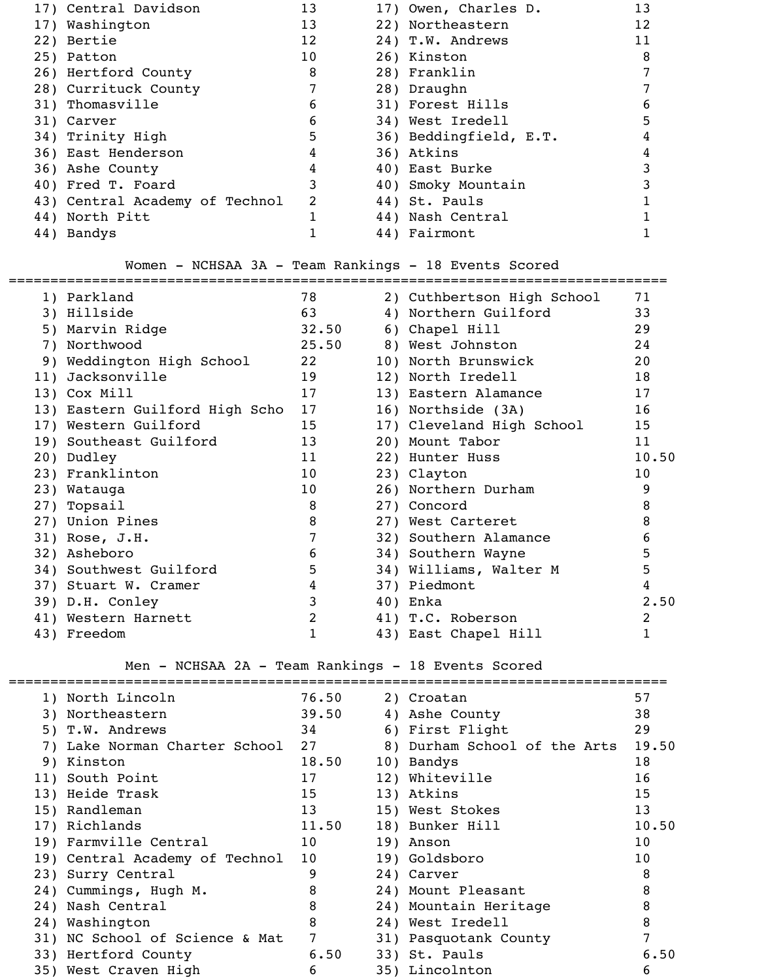| 17) Central Davidson           | 13 | 17) Owen, Charles D.   | 13 |
|--------------------------------|----|------------------------|----|
| 17) Washington                 | 13 | 22) Northeastern       | 12 |
| 22) Bertie                     | 12 | 24) T.W. Andrews       | 11 |
| 25) Patton                     | 10 | 26) Kinston            | 8  |
| 26) Hertford County            | 8  | 28) Franklin           |    |
| 28) Currituck County           |    | 28) Draughn            |    |
| 31) Thomasville                | 6  | 31) Forest Hills       | 6  |
| 31) Carver                     | 6  | 34) West Iredell       | 5  |
| 34) Trinity High               | 5  | 36) Beddingfield, E.T. | 4  |
| 36) East Henderson             | 4  | 36) Atkins             | 4  |
| 36) Ashe County                | 4  | 40) East Burke         |    |
| 40) Fred T. Foard              | 3  | 40) Smoky Mountain     |    |
| 43) Central Academy of Technol | 2  | 44) St. Pauls          |    |
| 44) North Pitt                 |    | 44) Nash Central       |    |
| 44) Bandys                     |    | 44) Fairmont           |    |

Women - NCHSAA 3A - Team Rankings - 18 Events Scored

| 1) Parkland                    | 78              | 2) Cuthbertson High School | 71              |
|--------------------------------|-----------------|----------------------------|-----------------|
| 3) Hillside                    | 63              | 4) Northern Guilford       | 33              |
| 5) Marvin Ridge                | 32.50           | 6) Chapel Hill             | 29              |
| 7) Northwood                   | 25.50           | 8) West Johnston           | 24              |
| 9) Weddington High School      | 22              | 10) North Brunswick        | 20              |
| 11) Jacksonville               | 19              | 12) North Iredell          | 18              |
| 13) Cox Mill                   | 17              | 13) Eastern Alamance       | 17              |
| 13) Eastern Guilford High Scho | 17              | 16) Northside (3A)         | 16              |
| 17) Western Guilford           | 15              | 17) Cleveland High School  | 15              |
| 19) Southeast Guilford         | 13              | 20) Mount Tabor            | 11              |
| 20) Dudley                     | 11              | 22) Hunter Huss            | 10.50           |
| 23) Franklinton                | 10              | 23) Clayton                | 10 <sub>o</sub> |
| 23) Watauga                    | 10 <sub>o</sub> | 26) Northern Durham        | 9               |
| 27) Topsail                    | 8               | 27) Concord                | 8               |
| 27) Union Pines                | 8               | 27) West Carteret          | 8               |
| 31) Rose, J.H.                 | 7               | 32) Southern Alamance      | 6               |
| 32) Asheboro                   | 6               | 34) Southern Wayne         | 5               |
| 34) Southwest Guilford         | 5               | 34) Williams, Walter M     | 5               |
| 37) Stuart W. Cramer           | 4               | 37) Piedmont               | 4               |
| 39) D.H. Conley                | 3               | 40) Enka                   | 2.50            |
| 41) Western Harnett            | 2               | 41) T.C. Roberson          | 2               |
| 43) Freedom                    |                 | 43) East Chapel Hill       |                 |

# Men - NCHSAA 2A - Team Rankings - 18 Events Scored

| 1) North Lincoln               | 76.50           | 2) Croatan                   | 57              |
|--------------------------------|-----------------|------------------------------|-----------------|
| 3) Northeastern                | 39.50           | 4) Ashe County               | 38              |
| 5) T.W. Andrews                | 34              | 6) First Flight              | 29              |
| 7) Lake Norman Charter School  | 27              | 8) Durham School of the Arts | 19.50           |
| 9) Kinston                     | 18.50           | 10) Bandys                   | 18              |
| 11) South Point                | 17              | 12) Whiteville               | 16              |
| 13) Heide Trask                | 15              | 13) Atkins                   | 15              |
| 15) Randleman                  | 13              | 15) West Stokes              | 13              |
| 17) Richlands                  | 11.50           | 18) Bunker Hill              | 10.50           |
| 19) Farmville Central          | 10              | 19) Anson                    | 10 <sup>°</sup> |
| 19) Central Academy of Technol | 10 <sup>°</sup> | 19) Goldsboro                | 10 <sub>o</sub> |
| 23) Surry Central              | 9               | 24) Carver                   | 8               |
| 24) Cummings, Hugh M.          | 8               | 24) Mount Pleasant           | 8               |
| 24) Nash Central               | 8               | 24) Mountain Heritage        | 8               |
| 24) Washington                 | 8               | 24) West Iredell             | 8               |
| 31) NC School of Science & Mat | $7\overline{ }$ | 31) Pasquotank County        |                 |
| 33) Hertford County            | 6.50            | 33) St. Pauls                | 6.50            |
| 35) West Craven High           | 6               | 35) Lincolnton               | 6               |